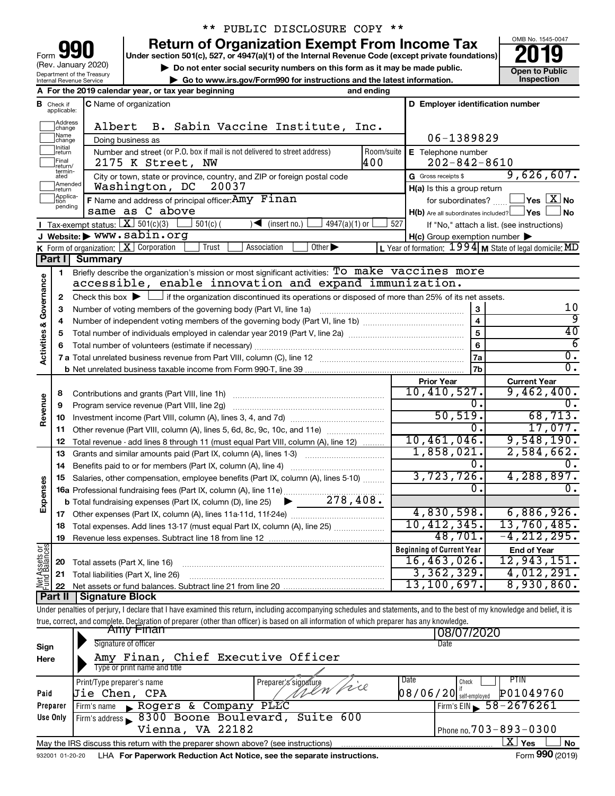| Form 990            |
|---------------------|
| (Rev. January 2020) |

Department of the Treasury Internal Revenue Service

## \*\* PUBLIC DISCLOSURE COPY \*\*

**your Section 501(c), 527, or 4947(a)(1) of the Internal Revenue Code (except private foundations) 2019** 

▶ Do not enter social security numbers on this form as it may be made public. <br>● Go to www.irs.gov/Form990 for instructions and the latest information. **Department in the latest** information. **| Go to www.irs.gov/Form990 for instructions and the latest information. Inspection**

OMB No. 1545-0047

|                         |                               | A For the 2019 calendar year, or tax year beginning                                                                                                                        | and ending |                                                     |                                                           |
|-------------------------|-------------------------------|----------------------------------------------------------------------------------------------------------------------------------------------------------------------------|------------|-----------------------------------------------------|-----------------------------------------------------------|
|                         | <b>B</b> Check if applicable: | C Name of organization                                                                                                                                                     |            | D Employer identification number                    |                                                           |
|                         | Address<br>change             | B. Sabin Vaccine Institute, Inc.<br>Albert                                                                                                                                 |            |                                                     |                                                           |
|                         | Name<br>change                | Doing business as                                                                                                                                                          |            | 06-1389829                                          |                                                           |
|                         | Initial<br>return             | Number and street (or P.O. box if mail is not delivered to street address)                                                                                                 | Room/suite | E Telephone number                                  |                                                           |
|                         | Final<br>return/              | 2175 K Street, NW                                                                                                                                                          | 400        | $202 - 842 - 8610$                                  |                                                           |
|                         | termin-<br>ated               | City or town, state or province, country, and ZIP or foreign postal code                                                                                                   |            | G Gross receipts \$                                 | 9,626,607.                                                |
|                         | Amended<br>return             | Washington, DC<br>20037                                                                                                                                                    |            | H(a) Is this a group return                         |                                                           |
|                         | Applica-<br>tion<br>pending   | F Name and address of principal officer: Amy Finan                                                                                                                         |            | for subordinates?                                   | $\,$ Yes $\,$ $\,$ $\rm X$ $\,$ No $\,$                   |
|                         |                               | same as C above                                                                                                                                                            |            | H(b) Are all subordinates included? Ves             | ⊿No                                                       |
|                         |                               | Tax-exempt status: $X \mid 501(c)(3)$<br>$4947(a)(1)$ or<br>$501(c)$ (<br>$(\text{insert no.})$                                                                            | 527        |                                                     | If "No," attach a list. (see instructions)                |
|                         |                               | J Website: > www.sabin.org                                                                                                                                                 |            | $H(c)$ Group exemption number $\blacktriangleright$ |                                                           |
|                         | Part I                        | K Form of organization:   X Corporation<br>Trust<br>Association<br>Other $\blacktriangleright$<br><b>Summary</b>                                                           |            |                                                     | L Year of formation: $1994$ M State of legal domicile: MD |
|                         |                               | Briefly describe the organization's mission or most significant activities: To make vaccines more                                                                          |            |                                                     |                                                           |
|                         | 1                             | accessible, enable innovation and expand immunization.                                                                                                                     |            |                                                     |                                                           |
|                         | 2                             | Check this box $\blacktriangleright$ $\Box$ if the organization discontinued its operations or disposed of more than 25% of its net assets.                                |            |                                                     |                                                           |
|                         | з                             | Number of voting members of the governing body (Part VI, line 1a)                                                                                                          |            | 3                                                   | 10                                                        |
|                         | 4                             |                                                                                                                                                                            |            |                                                     | 9                                                         |
|                         | 5                             |                                                                                                                                                                            |            | 5                                                   | 40                                                        |
|                         | 6                             |                                                                                                                                                                            |            | 6                                                   | $\overline{6}$                                            |
| Activities & Governance |                               |                                                                                                                                                                            |            | 7a                                                  | $\overline{0}$ .                                          |
|                         |                               |                                                                                                                                                                            |            | 7 <sub>b</sub>                                      | 0.                                                        |
|                         |                               |                                                                                                                                                                            |            | <b>Prior Year</b>                                   | <b>Current Year</b>                                       |
|                         | 8                             |                                                                                                                                                                            |            | 10,410,527.                                         | 9,462,400.                                                |
|                         | 9                             | Program service revenue (Part VIII, line 2g)                                                                                                                               |            | 0.                                                  |                                                           |
| Revenue                 | 10                            |                                                                                                                                                                            |            | 50, 519.                                            | 68,713.                                                   |
|                         | 11                            | Other revenue (Part VIII, column (A), lines 5, 6d, 8c, 9c, 10c, and 11e)                                                                                                   |            | 0.                                                  | 17,077.                                                   |
|                         | 12                            | Total revenue - add lines 8 through 11 (must equal Part VIII, column (A), line 12)                                                                                         |            | 10,461,046.                                         | 9,548,190.                                                |
|                         | 13                            | Grants and similar amounts paid (Part IX, column (A), lines 1-3) <i></i>                                                                                                   |            | 1,858,021.                                          | 2,584,662.                                                |
|                         | 14                            |                                                                                                                                                                            |            | 0.                                                  |                                                           |
|                         | 15                            | Salaries, other compensation, employee benefits (Part IX, column (A), lines 5-10)                                                                                          |            | 3,723,726.<br>0.                                    | 4,288,897.<br>0.                                          |
| Expenses                |                               | 16a Professional fundraising fees (Part IX, column (A), line 11e)                                                                                                          |            |                                                     |                                                           |
|                         |                               | <b>b</b> Total fundraising expenses (Part IX, column (D), line 25) $\bullet$ ______ 278, 408.                                                                              |            | 4,830,598.                                          | 6,886,926.                                                |
|                         | 17                            | 18 Total expenses. Add lines 13-17 (must equal Part IX, column (A), line 25)                                                                                               |            | 10,412,345.                                         | 13,760,485.                                               |
|                         | 19                            |                                                                                                                                                                            |            | 48,701.                                             | $-4, 212, 295.$                                           |
|                         |                               |                                                                                                                                                                            |            | <b>Beginning of Current Year</b>                    | <b>End of Year</b>                                        |
|                         | 20                            | Total assets (Part X, line 16)                                                                                                                                             |            | 16,463,026.                                         | 12,943,151.                                               |
|                         | 21                            | Total liabilities (Part X, line 26)                                                                                                                                        |            | 3,362,329.                                          | 4,012,291.                                                |
| Net Assets or           | 22                            |                                                                                                                                                                            |            | 13,100,697.                                         | 8,930,860.                                                |
|                         | Part II                       | <b>Signature Block</b>                                                                                                                                                     |            |                                                     |                                                           |
|                         |                               | Under penalties of perjury, I declare that I have examined this return, including accompanying schedules and statements, and to the best of my knowledge and belief, it is |            |                                                     |                                                           |

| true, correct, and complete. Declaration of preparer (other than officer) is based on all information of which preparer has any knowledge. |                                                                                   |                                       |  |  |  |  |  |  |  |
|--------------------------------------------------------------------------------------------------------------------------------------------|-----------------------------------------------------------------------------------|---------------------------------------|--|--|--|--|--|--|--|
|                                                                                                                                            | <del>AMV Finan</del>                                                              | 08/07/2020                            |  |  |  |  |  |  |  |
| Sign                                                                                                                                       | Signature of officer                                                              | Date                                  |  |  |  |  |  |  |  |
| Here                                                                                                                                       | Amy Finan, Chief Executive Officer                                                |                                       |  |  |  |  |  |  |  |
|                                                                                                                                            | Type or print name and title                                                      |                                       |  |  |  |  |  |  |  |
|                                                                                                                                            | Preparer's signature<br>Print/Type preparer's name                                | Date<br><b>PTIN</b><br>Check          |  |  |  |  |  |  |  |
| Paid                                                                                                                                       | wen fire<br>Jie Chen, CPA                                                         | P01049760<br>$08/06/20$ self-employed |  |  |  |  |  |  |  |
| Preparer                                                                                                                                   | Rogers & Company PLKC<br>Firm's name                                              | Firm's EIN $\frac{58 - 2676261}{ }$   |  |  |  |  |  |  |  |
| Use Only                                                                                                                                   | Firm's address 8300 Boone Boulevard, Suite 600                                    |                                       |  |  |  |  |  |  |  |
|                                                                                                                                            | Vienna, VA 22182                                                                  | Phone no. $703 - 893 - 0300$          |  |  |  |  |  |  |  |
|                                                                                                                                            | May the IRS discuss this return with the preparer shown above? (see instructions) | $X \mid$<br><b>No</b><br>Yes          |  |  |  |  |  |  |  |
| 932001 01-20-20                                                                                                                            | LHA For Paperwork Reduction Act Notice, see the separate instructions.            | Form 990 (2019)                       |  |  |  |  |  |  |  |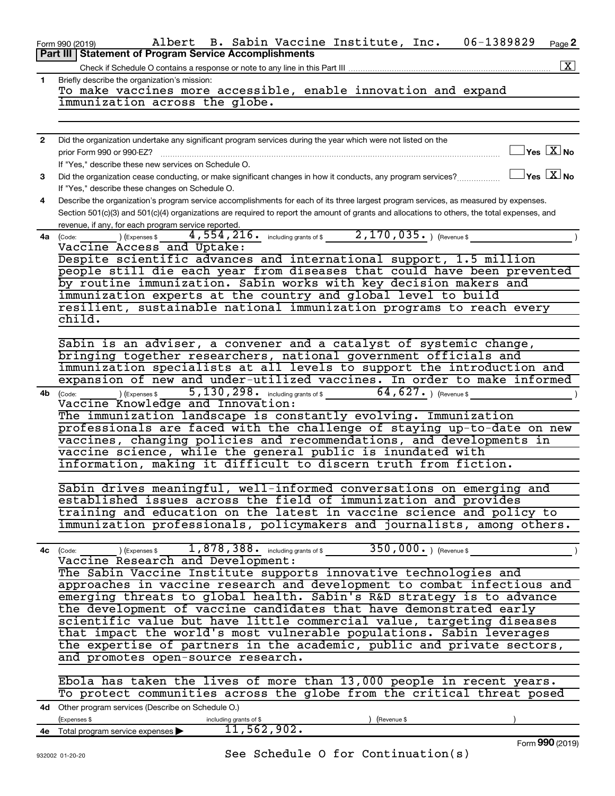|              | 06-1389829<br>Albert B. Sabin Vaccine Institute, Inc.<br>Page 2<br>Form 990 (2019)                                                                  |
|--------------|-----------------------------------------------------------------------------------------------------------------------------------------------------|
|              | <b>Part III   Statement of Program Service Accomplishments</b><br> X                                                                                |
| $\mathbf{1}$ | Briefly describe the organization's mission:                                                                                                        |
|              | To make vaccines more accessible, enable innovation and expand                                                                                      |
|              | immunization across the globe.                                                                                                                      |
|              |                                                                                                                                                     |
| $\mathbf{2}$ | Did the organization undertake any significant program services during the year which were not listed on the                                        |
|              | $\Box$ Yes $\Box X$ No<br>prior Form 990 or 990-EZ?                                                                                                 |
|              | If "Yes," describe these new services on Schedule O.                                                                                                |
| 3            | $\Box$ Yes $[\overline{X}]$ No<br>Did the organization cease conducting, or make significant changes in how it conducts, any program services?      |
|              | If "Yes," describe these changes on Schedule O.                                                                                                     |
| 4            | Describe the organization's program service accomplishments for each of its three largest program services, as measured by expenses.                |
|              | Section 501(c)(3) and 501(c)(4) organizations are required to report the amount of grants and allocations to others, the total expenses, and        |
|              | revenue, if any, for each program service reported.<br>4,554,216. including grants of \$2,170,035. ) (Revenue \$<br><b>4a</b> (Code: ) (Expenses \$ |
|              | Vaccine Access and Uptake:                                                                                                                          |
|              | Despite scientific advances and international support, 1.5 million                                                                                  |
|              | people still die each year from diseases that could have been prevented                                                                             |
|              | by routine immunization. Sabin works with key decision makers and                                                                                   |
|              | immunization experts at the country and global level to build                                                                                       |
|              | resilient, sustainable national immunization programs to reach every<br>child.                                                                      |
|              |                                                                                                                                                     |
|              | Sabin is an adviser, a convener and a catalyst of systemic change,                                                                                  |
|              | bringing together researchers, national government officials and                                                                                    |
|              | immunization specialists at all levels to support the introduction and                                                                              |
|              | expansion of new and under-utilized vaccines. In order to make informed                                                                             |
| 4b           | $(\text{Code:}\n \begin{array}{c}\n \text{[Code:}\n \end{array})$ (Expenses \$ 5,130,298. including grants of \$ 64,627.) (Revenue \$               |
|              | Vaccine Knowledge and Innovation:<br>The immunization landscape is constantly evolving. Immunization                                                |
|              | professionals are faced with the challenge of staying up-to-date on new                                                                             |
|              | vaccines, changing policies and recommendations, and developments in                                                                                |
|              | vaccine science, while the general public is inundated with                                                                                         |
|              | information, making it difficult to discern truth from fiction.                                                                                     |
|              |                                                                                                                                                     |
|              | Sabin drives meaningful, well-informed conversations on emerging and<br>established issues across the field of immunization and provides            |
|              | training and education on the latest in vaccine science and policy to                                                                               |
|              | immunization professionals, policymakers and journalists, among others.                                                                             |
|              |                                                                                                                                                     |
| 4с           | $350,000.$ ) (Revenue \$<br>) (Expenses $$1,878,388$ . $~$ including grants of \$<br>(Code:                                                         |
|              | Vaccine Research and Development:                                                                                                                   |
|              | The Sabin Vaccine Institute supports innovative technologies and<br>approaches in vaccine research and development to combat infectious and         |
|              | emerging threats to global health. Sabin's R&D strategy is to advance                                                                               |
|              | the development of vaccine candidates that have demonstrated early                                                                                  |
|              | scientific value but have little commercial value, targeting diseases                                                                               |
|              | that impact the world's most vulnerable populations. Sabin leverages                                                                                |
|              | the expertise of partners in the academic, public and private sectors,                                                                              |
|              | and promotes open-source research.                                                                                                                  |
|              |                                                                                                                                                     |
|              | Ebola has taken the lives of more than 13,000 people in recent years.<br>To protect communities across the globe from the critical threat posed     |
|              | 4d Other program services (Describe on Schedule O.)                                                                                                 |
|              | (Expenses \$<br>including grants of \$<br>(Revenue \$                                                                                               |
|              | 11,562,902.<br>4e Total program service expenses >                                                                                                  |
|              | Form 990 (2019)                                                                                                                                     |

(2019)

See Schedule O for Continuation(s)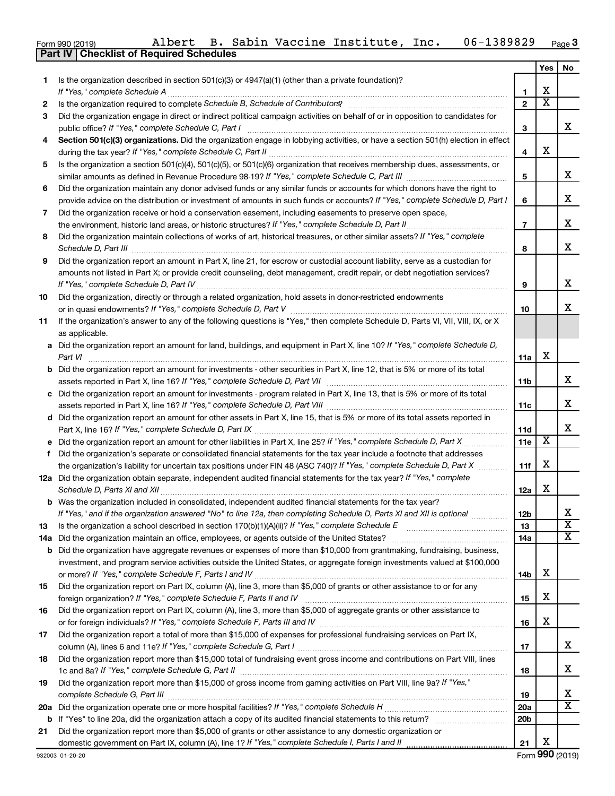|  | Form 990 (2019) | Albert | в. | Sabin | Vaccine | Institute, | Inc. | 89829<br>$06 -$<br>י הנ | Page <b>3</b> |
|--|-----------------|--------|----|-------|---------|------------|------|-------------------------|---------------|
|--|-----------------|--------|----|-------|---------|------------|------|-------------------------|---------------|

|    | Part IV   Checklist of Required Schedules                                                                                                                                                                                           |                 |                         |                            |
|----|-------------------------------------------------------------------------------------------------------------------------------------------------------------------------------------------------------------------------------------|-----------------|-------------------------|----------------------------|
|    |                                                                                                                                                                                                                                     |                 | Yes                     | No.                        |
| 1  | Is the organization described in section 501(c)(3) or $4947(a)(1)$ (other than a private foundation)?                                                                                                                               |                 |                         |                            |
|    | If "Yes," complete Schedule A                                                                                                                                                                                                       | 1               | X                       |                            |
| 2  |                                                                                                                                                                                                                                     | $\overline{2}$  | $\overline{\text{x}}$   |                            |
| 3  | Did the organization engage in direct or indirect political campaign activities on behalf of or in opposition to candidates for                                                                                                     |                 |                         |                            |
|    | public office? If "Yes," complete Schedule C, Part I                                                                                                                                                                                | 3               |                         | x                          |
| 4  | Section 501(c)(3) organizations. Did the organization engage in lobbying activities, or have a section 501(h) election in effect                                                                                                    |                 |                         |                            |
|    |                                                                                                                                                                                                                                     | 4               | х                       |                            |
| 5  | Is the organization a section 501(c)(4), 501(c)(5), or 501(c)(6) organization that receives membership dues, assessments, or                                                                                                        |                 |                         |                            |
|    |                                                                                                                                                                                                                                     | 5               |                         | x                          |
| 6  | Did the organization maintain any donor advised funds or any similar funds or accounts for which donors have the right to                                                                                                           |                 |                         |                            |
|    | provide advice on the distribution or investment of amounts in such funds or accounts? If "Yes," complete Schedule D, Part I                                                                                                        | 6               |                         | x                          |
| 7  | Did the organization receive or hold a conservation easement, including easements to preserve open space,                                                                                                                           |                 |                         |                            |
|    | the environment, historic land areas, or historic structures? If "Yes," complete Schedule D, Part II                                                                                                                                | $\overline{7}$  |                         | x                          |
| 8  | Did the organization maintain collections of works of art, historical treasures, or other similar assets? If "Yes," complete                                                                                                        |                 |                         |                            |
|    |                                                                                                                                                                                                                                     | 8               |                         | x                          |
| 9  | Did the organization report an amount in Part X, line 21, for escrow or custodial account liability, serve as a custodian for                                                                                                       |                 |                         |                            |
|    | amounts not listed in Part X; or provide credit counseling, debt management, credit repair, or debt negotiation services?                                                                                                           |                 |                         |                            |
|    |                                                                                                                                                                                                                                     | 9               |                         | X                          |
| 10 | Did the organization, directly or through a related organization, hold assets in donor-restricted endowments                                                                                                                        |                 |                         | x                          |
|    | If the organization's answer to any of the following questions is "Yes," then complete Schedule D, Parts VI, VII, VIII, IX, or X                                                                                                    | 10              |                         |                            |
| 11 | as applicable.                                                                                                                                                                                                                      |                 |                         |                            |
|    | a Did the organization report an amount for land, buildings, and equipment in Part X, line 10? If "Yes," complete Schedule D,                                                                                                       |                 |                         |                            |
|    | Part VI                                                                                                                                                                                                                             | 11a             | X                       |                            |
|    | <b>b</b> Did the organization report an amount for investments - other securities in Part X, line 12, that is 5% or more of its total                                                                                               |                 |                         |                            |
|    |                                                                                                                                                                                                                                     | 11b             |                         | x                          |
|    | c Did the organization report an amount for investments - program related in Part X, line 13, that is 5% or more of its total                                                                                                       |                 |                         |                            |
|    |                                                                                                                                                                                                                                     | 11c             |                         | x                          |
|    | d Did the organization report an amount for other assets in Part X, line 15, that is 5% or more of its total assets reported in                                                                                                     |                 |                         |                            |
|    |                                                                                                                                                                                                                                     | 11d             |                         | х                          |
|    | e Did the organization report an amount for other liabilities in Part X, line 25? If "Yes," complete Schedule D, Part X                                                                                                             | 11e             | $\overline{\mathbf{X}}$ |                            |
| f  | Did the organization's separate or consolidated financial statements for the tax year include a footnote that addresses                                                                                                             |                 |                         |                            |
|    | the organization's liability for uncertain tax positions under FIN 48 (ASC 740)? If "Yes," complete Schedule D, Part X                                                                                                              | 11f             | X                       |                            |
|    | 12a Did the organization obtain separate, independent audited financial statements for the tax year? If "Yes," complete                                                                                                             |                 |                         |                            |
|    |                                                                                                                                                                                                                                     | 12a             | X                       |                            |
|    | b Was the organization included in consolidated, independent audited financial statements for the tax year?                                                                                                                         |                 |                         | х                          |
|    | If "Yes," and if the organization answered "No" to line 12a, then completing Schedule D, Parts XI and XII is optional                                                                                                               | 12b<br>13       |                         | $\overline{\textbf{x}}$    |
| 13 |                                                                                                                                                                                                                                     | 14a             |                         | $\overline{\mathbf{X}}$    |
|    | 14a Did the organization maintain an office, employees, or agents outside of the United States?<br><b>b</b> Did the organization have aggregate revenues or expenses of more than \$10,000 from grantmaking, fundraising, business, |                 |                         |                            |
|    | investment, and program service activities outside the United States, or aggregate foreign investments valued at \$100,000                                                                                                          |                 |                         |                            |
|    |                                                                                                                                                                                                                                     | 14b             | х                       |                            |
| 15 | Did the organization report on Part IX, column (A), line 3, more than \$5,000 of grants or other assistance to or for any                                                                                                           |                 |                         |                            |
|    | foreign organization? If "Yes," complete Schedule F, Parts II and IV                                                                                                                                                                | 15              | х                       |                            |
| 16 | Did the organization report on Part IX, column (A), line 3, more than \$5,000 of aggregate grants or other assistance to                                                                                                            |                 |                         |                            |
|    |                                                                                                                                                                                                                                     | 16              | х                       |                            |
| 17 | Did the organization report a total of more than \$15,000 of expenses for professional fundraising services on Part IX,                                                                                                             |                 |                         |                            |
|    |                                                                                                                                                                                                                                     | 17              |                         | X                          |
| 18 | Did the organization report more than \$15,000 total of fundraising event gross income and contributions on Part VIII, lines                                                                                                        |                 |                         |                            |
|    |                                                                                                                                                                                                                                     | 18              |                         | X                          |
| 19 | Did the organization report more than \$15,000 of gross income from gaming activities on Part VIII, line 9a? If "Yes,"                                                                                                              |                 |                         |                            |
|    |                                                                                                                                                                                                                                     | 19              |                         | x<br>$\overline{\text{X}}$ |
|    |                                                                                                                                                                                                                                     | 20a             |                         |                            |
|    |                                                                                                                                                                                                                                     | 20 <sub>b</sub> |                         |                            |
| 21 | Did the organization report more than \$5,000 of grants or other assistance to any domestic organization or<br>domestic government on Part IX, column (A), line 1? If "Yes," complete Schedule I, Parts I and II                    | 21              | X                       |                            |
|    |                                                                                                                                                                                                                                     |                 |                         | $000 \text{ hours}$        |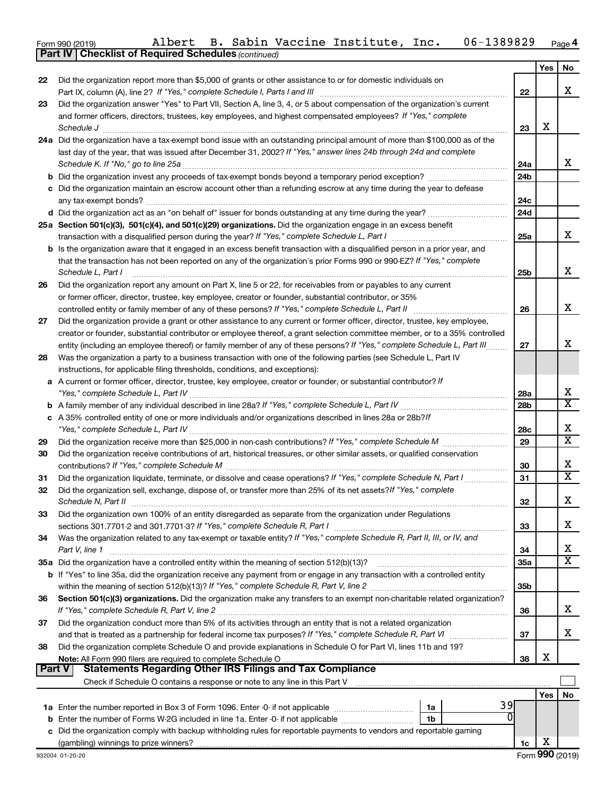Form 990 (2019) Albert B. Sabin Vaccine Institute, Inc. 06-1389829 <sub>Page</sub> 4 **Part IV Checklist of Required Schedules** Albert B. Sabin Vaccine Institute, Inc. 06-1389829

*(continued)*

|               |                                                                                                                                                                                                  |                 | Yes | No                      |
|---------------|--------------------------------------------------------------------------------------------------------------------------------------------------------------------------------------------------|-----------------|-----|-------------------------|
| 22            | Did the organization report more than \$5,000 of grants or other assistance to or for domestic individuals on                                                                                    |                 |     |                         |
|               | Part IX, column (A), line 2? If "Yes," complete Schedule I, Parts I and III [11]] [11]] [11] [11] [11] [11] [1                                                                                   | 22              |     | х                       |
| 23            | Did the organization answer "Yes" to Part VII, Section A, line 3, 4, or 5 about compensation of the organization's current                                                                       |                 |     |                         |
|               | and former officers, directors, trustees, key employees, and highest compensated employees? If "Yes," complete                                                                                   |                 | x   |                         |
|               |                                                                                                                                                                                                  | 23              |     |                         |
|               | 24a Did the organization have a tax-exempt bond issue with an outstanding principal amount of more than \$100,000 as of the                                                                      |                 |     |                         |
|               | last day of the year, that was issued after December 31, 2002? If "Yes," answer lines 24b through 24d and complete                                                                               | 24a             |     | x                       |
|               |                                                                                                                                                                                                  | 24 <sub>b</sub> |     |                         |
|               | c Did the organization maintain an escrow account other than a refunding escrow at any time during the year to defease                                                                           |                 |     |                         |
|               |                                                                                                                                                                                                  | 24c             |     |                         |
|               |                                                                                                                                                                                                  | 24d             |     |                         |
|               | 25a Section 501(c)(3), 501(c)(4), and 501(c)(29) organizations. Did the organization engage in an excess benefit                                                                                 |                 |     |                         |
|               |                                                                                                                                                                                                  | 25a             |     | x                       |
|               | b Is the organization aware that it engaged in an excess benefit transaction with a disqualified person in a prior year, and                                                                     |                 |     |                         |
|               | that the transaction has not been reported on any of the organization's prior Forms 990 or 990-EZ? If "Yes," complete                                                                            |                 |     |                         |
|               | Schedule L, Part I                                                                                                                                                                               | 25b             |     | X                       |
| 26            | Did the organization report any amount on Part X, line 5 or 22, for receivables from or payables to any current                                                                                  |                 |     |                         |
|               | or former officer, director, trustee, key employee, creator or founder, substantial contributor, or 35%                                                                                          |                 |     |                         |
|               | controlled entity or family member of any of these persons? If "Yes," complete Schedule L, Part II                                                                                               | 26              |     | х                       |
| 27            | Did the organization provide a grant or other assistance to any current or former officer, director, trustee, key employee,                                                                      |                 |     |                         |
|               | creator or founder, substantial contributor or employee thereof, a grant selection committee member, or to a 35% controlled                                                                      |                 |     | х                       |
|               | entity (including an employee thereof) or family member of any of these persons? If "Yes," complete Schedule L, Part III                                                                         | 27              |     |                         |
| 28            | Was the organization a party to a business transaction with one of the following parties (see Schedule L, Part IV                                                                                |                 |     |                         |
|               | instructions, for applicable filing thresholds, conditions, and exceptions):<br>A current or former officer, director, trustee, key employee, creator or founder, or substantial contributor? If |                 |     |                         |
| а             |                                                                                                                                                                                                  | 28a             |     | X                       |
|               |                                                                                                                                                                                                  | 28 <sub>b</sub> |     | $\overline{\mathbf{x}}$ |
|               | c A 35% controlled entity of one or more individuals and/or organizations described in lines 28a or 28b?/f                                                                                       |                 |     |                         |
|               |                                                                                                                                                                                                  | 28c             |     | x                       |
| 29            |                                                                                                                                                                                                  | 29              |     | $\overline{\mathtt{x}}$ |
| 30            | Did the organization receive contributions of art, historical treasures, or other similar assets, or qualified conservation                                                                      |                 |     |                         |
|               |                                                                                                                                                                                                  | 30              |     | X                       |
| 31            | Did the organization liquidate, terminate, or dissolve and cease operations? If "Yes," complete Schedule N, Part I                                                                               | 31              |     | $\overline{\mathtt{x}}$ |
| 32            | Did the organization sell, exchange, dispose of, or transfer more than 25% of its net assets? If "Yes," complete                                                                                 | 32              |     | X                       |
| 33            | Did the organization own 100% of an entity disregarded as separate from the organization under Regulations                                                                                       |                 |     |                         |
|               | sections 301.7701-2 and 301.7701-3? If "Yes," complete Schedule R, Part I                                                                                                                        | 33              |     | X                       |
| 34            | Was the organization related to any tax-exempt or taxable entity? If "Yes," complete Schedule R, Part II, III, or IV, and                                                                        |                 |     |                         |
|               | Part V, line 1                                                                                                                                                                                   | 34              |     | х                       |
|               | 35a Did the organization have a controlled entity within the meaning of section 512(b)(13)?                                                                                                      | 35a             |     | $\overline{\mathtt{x}}$ |
|               | b If "Yes" to line 35a, did the organization receive any payment from or engage in any transaction with a controlled entity                                                                      |                 |     |                         |
|               |                                                                                                                                                                                                  | 35 <sub>b</sub> |     |                         |
| 36            | Section 501(c)(3) organizations. Did the organization make any transfers to an exempt non-charitable related organization?                                                                       |                 |     |                         |
|               |                                                                                                                                                                                                  | 36              |     | X                       |
| 37            | Did the organization conduct more than 5% of its activities through an entity that is not a related organization                                                                                 |                 |     |                         |
|               |                                                                                                                                                                                                  | 37              |     | X                       |
| 38            | Did the organization complete Schedule O and provide explanations in Schedule O for Part VI, lines 11b and 19?                                                                                   |                 | х   |                         |
| <b>Part V</b> | Note: All Form 990 filers are required to complete Schedule O<br><b>Statements Regarding Other IRS Filings and Tax Compliance</b>                                                                | 38              |     |                         |
|               | Check if Schedule O contains a response or note to any line in this Part V                                                                                                                       |                 |     |                         |
|               |                                                                                                                                                                                                  |                 | Yes | No                      |
|               | 39<br>1a                                                                                                                                                                                         |                 |     |                         |
| b             | 0<br>Enter the number of Forms W-2G included in line 1a. Enter -0- if not applicable<br>1b                                                                                                       |                 |     |                         |
|               | c Did the organization comply with backup withholding rules for reportable payments to vendors and reportable gaming                                                                             |                 |     |                         |
|               |                                                                                                                                                                                                  | 1c              | х   |                         |
|               | 932004 01-20-20                                                                                                                                                                                  |                 |     | Form 990 (2019)         |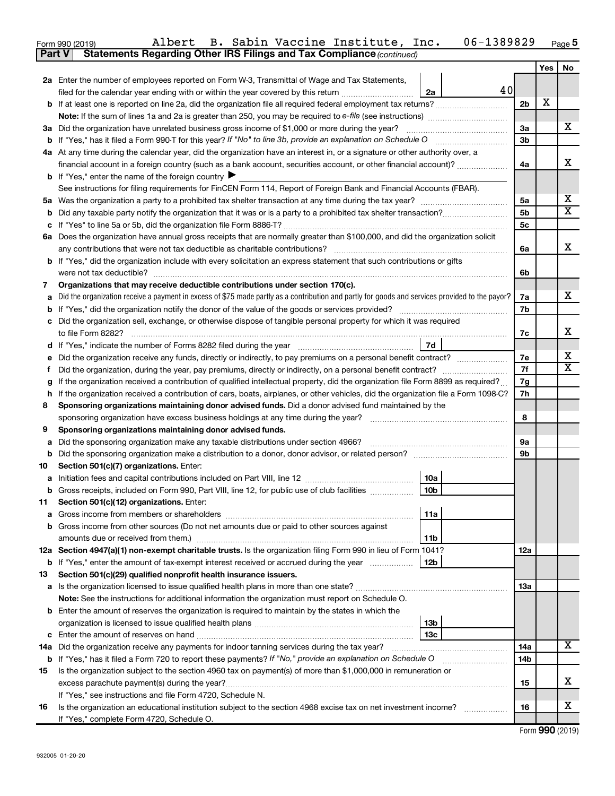| Form 990 (2019) |  |  | Albert B. Sabin Vaccine Institute, Inc.                                             | 06-1389829 | Page ${\bf 5}$ |
|-----------------|--|--|-------------------------------------------------------------------------------------|------------|----------------|
|                 |  |  | <b>Part V</b> Statements Regarding Other IRS Filings and Tax Compliance (continued) |            |                |

|     |                                                                                                                                                 |                | Yes | No |  |  |  |
|-----|-------------------------------------------------------------------------------------------------------------------------------------------------|----------------|-----|----|--|--|--|
|     | 2a Enter the number of employees reported on Form W-3, Transmittal of Wage and Tax Statements,                                                  |                |     |    |  |  |  |
|     | 40<br>filed for the calendar year ending with or within the year covered by this return <i>[[[[[[[[[[[[[]]]</i> ]]<br>2a                        |                |     |    |  |  |  |
|     |                                                                                                                                                 | 2 <sub>b</sub> | X   |    |  |  |  |
|     | <b>Note:</b> If the sum of lines 1a and 2a is greater than 250, you may be required to e-file (see instructions) <i></i>                        |                |     |    |  |  |  |
|     | 3a Did the organization have unrelated business gross income of \$1,000 or more during the year?                                                | За             |     | x  |  |  |  |
| b   | If "Yes," has it filed a Form 990 T for this year? If "No" to line 3b, provide an explanation on Schedule O manumerrous                         | 3b             |     |    |  |  |  |
|     | 4a At any time during the calendar year, did the organization have an interest in, or a signature or other authority over, a                    |                |     |    |  |  |  |
|     | financial account in a foreign country (such as a bank account, securities account, or other financial account)?                                | 4a             |     | x  |  |  |  |
|     | <b>b</b> If "Yes," enter the name of the foreign country $\blacktriangleright$                                                                  |                |     |    |  |  |  |
|     | See instructions for filing requirements for FinCEN Form 114, Report of Foreign Bank and Financial Accounts (FBAR).                             |                |     |    |  |  |  |
| 5а  |                                                                                                                                                 | 5a             |     | х  |  |  |  |
| b   |                                                                                                                                                 | 5 <sub>b</sub> |     | X  |  |  |  |
| с   |                                                                                                                                                 | 5 <sub>c</sub> |     |    |  |  |  |
| 6а  | Does the organization have annual gross receipts that are normally greater than \$100,000, and did the organization solicit                     | 6a             |     | х  |  |  |  |
|     | If "Yes," did the organization include with every solicitation an express statement that such contributions or gifts                            |                |     |    |  |  |  |
| b   |                                                                                                                                                 | 6b             |     |    |  |  |  |
| 7   | Organizations that may receive deductible contributions under section 170(c).                                                                   |                |     |    |  |  |  |
| а   | Did the organization receive a payment in excess of \$75 made partly as a contribution and partly for goods and services provided to the payor? | 7a             |     | x  |  |  |  |
| b   |                                                                                                                                                 | 7b             |     |    |  |  |  |
| с   | Did the organization sell, exchange, or otherwise dispose of tangible personal property for which it was required                               |                |     |    |  |  |  |
|     |                                                                                                                                                 | 7c             |     | x  |  |  |  |
|     | 7d                                                                                                                                              |                |     |    |  |  |  |
| е   | Did the organization receive any funds, directly or indirectly, to pay premiums on a personal benefit contract?                                 | 7e             |     | х  |  |  |  |
| f.  |                                                                                                                                                 | 7f             |     | X  |  |  |  |
| g   | If the organization received a contribution of qualified intellectual property, did the organization file Form 8899 as required?                |                |     |    |  |  |  |
| h   | If the organization received a contribution of cars, boats, airplanes, or other vehicles, did the organization file a Form 1098-C?              |                |     |    |  |  |  |
| 8   | Sponsoring organizations maintaining donor advised funds. Did a donor advised fund maintained by the                                            |                |     |    |  |  |  |
|     |                                                                                                                                                 |                |     |    |  |  |  |
| 9   | Sponsoring organizations maintaining donor advised funds.                                                                                       |                |     |    |  |  |  |
| а   | Did the sponsoring organization make any taxable distributions under section 4966?                                                              | 9а             |     |    |  |  |  |
| b   |                                                                                                                                                 | 9b             |     |    |  |  |  |
| 10  | Section 501(c)(7) organizations. Enter:                                                                                                         |                |     |    |  |  |  |
| а   | 10a<br>10 <sub>b</sub><br>Gross receipts, included on Form 990, Part VIII, line 12, for public use of club facilities                           |                |     |    |  |  |  |
| 11  | Section 501(c)(12) organizations. Enter:                                                                                                        |                |     |    |  |  |  |
|     | 11a                                                                                                                                             |                |     |    |  |  |  |
| b   | Gross income from other sources (Do not net amounts due or paid to other sources against                                                        |                |     |    |  |  |  |
|     | 11b                                                                                                                                             |                |     |    |  |  |  |
|     | 12a Section 4947(a)(1) non-exempt charitable trusts. Is the organization filing Form 990 in lieu of Form 1041?                                  | 12a            |     |    |  |  |  |
| b   | 12 <sub>b</sub><br>If "Yes," enter the amount of tax-exempt interest received or accrued during the year                                        |                |     |    |  |  |  |
| 13  | Section 501(c)(29) qualified nonprofit health insurance issuers.                                                                                |                |     |    |  |  |  |
| а   |                                                                                                                                                 | 13a            |     |    |  |  |  |
|     | Note: See the instructions for additional information the organization must report on Schedule O.                                               |                |     |    |  |  |  |
|     | <b>b</b> Enter the amount of reserves the organization is required to maintain by the states in which the                                       |                |     |    |  |  |  |
|     | 13 <sub>b</sub>                                                                                                                                 |                |     |    |  |  |  |
| с   | 13 <sub>c</sub>                                                                                                                                 | 14a            |     | х  |  |  |  |
| 14a | Did the organization receive any payments for indoor tanning services during the tax year?                                                      |                |     |    |  |  |  |
| b   | If "Yes," has it filed a Form 720 to report these payments? If "No," provide an explanation on Schedule O                                       | 14b            |     |    |  |  |  |
| 15  | Is the organization subject to the section 4960 tax on payment(s) of more than \$1,000,000 in remuneration or                                   |                |     |    |  |  |  |
|     | excess parachute payment(s) during the year?                                                                                                    | 15             |     | x. |  |  |  |
|     | If "Yes," see instructions and file Form 4720, Schedule N.                                                                                      |                |     | х  |  |  |  |
| 16  | Is the organization an educational institution subject to the section 4968 excise tax on net investment income?                                 | 16             |     |    |  |  |  |
|     | If "Yes," complete Form 4720, Schedule O.                                                                                                       |                |     |    |  |  |  |

Form (2019) **990**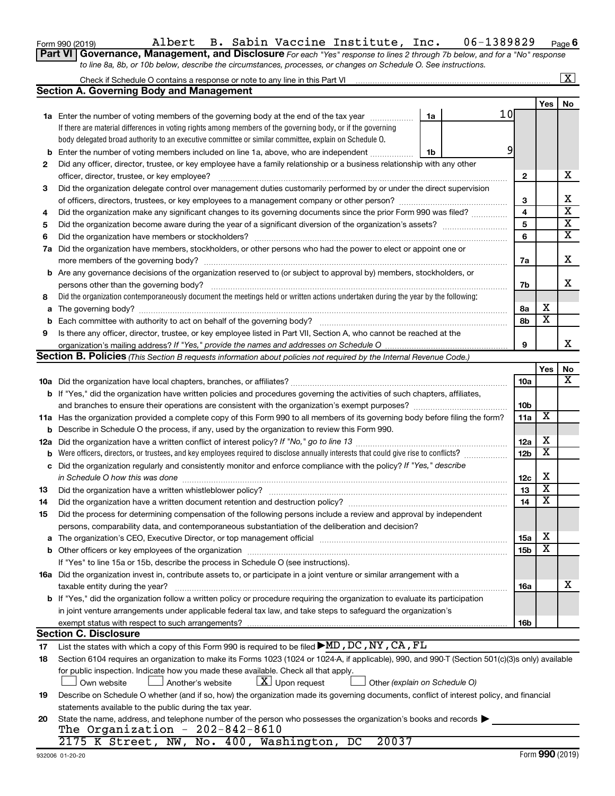|  | Form 990 (2019) |  |
|--|-----------------|--|
|  |                 |  |

## Form 990 (2019) Page Albert B. Sabin Vaccine Institute, Inc. 06-1389829

**6**

**Part VI** Governance, Management, and Disclosure For each "Yes" response to lines 2 through 7b below, and for a "No" response *to line 8a, 8b, or 10b below, describe the circumstances, processes, or changes on Schedule O. See instructions.*

|    | Check if Schedule O contains a response or note to any line in this Part VI [11] [12] Check if Schedule O contains a response or note to any line in this Part VI |                 |                         | $\overline{\text{X}}$   |
|----|-------------------------------------------------------------------------------------------------------------------------------------------------------------------|-----------------|-------------------------|-------------------------|
|    | <b>Section A. Governing Body and Management</b>                                                                                                                   |                 |                         |                         |
|    |                                                                                                                                                                   |                 | Yes                     | No.                     |
|    | 10 <sub>l</sub><br>1a Enter the number of voting members of the governing body at the end of the tax year<br>1a                                                   |                 |                         |                         |
|    | If there are material differences in voting rights among members of the governing body, or if the governing                                                       |                 |                         |                         |
|    | body delegated broad authority to an executive committee or similar committee, explain on Schedule O.                                                             |                 |                         |                         |
| b  | 9<br>Enter the number of voting members included on line 1a, above, who are independent<br>1b                                                                     |                 |                         |                         |
| 2  | Did any officer, director, trustee, or key employee have a family relationship or a business relationship with any other                                          |                 |                         |                         |
|    |                                                                                                                                                                   | 2               |                         | х                       |
| 3  | Did the organization delegate control over management duties customarily performed by or under the direct supervision                                             |                 |                         |                         |
|    |                                                                                                                                                                   | 3               |                         | x                       |
| 4  | Did the organization make any significant changes to its governing documents since the prior Form 990 was filed?                                                  | 4               |                         | $\overline{\text{x}}$   |
| 5  |                                                                                                                                                                   | 5               |                         | $\overline{\mathbf{x}}$ |
| 6  |                                                                                                                                                                   | 6               |                         | $\overline{\text{x}}$   |
| 7а | Did the organization have members, stockholders, or other persons who had the power to elect or appoint one or                                                    |                 |                         |                         |
|    | more members of the governing body?                                                                                                                               | 7a              |                         | х                       |
|    | <b>b</b> Are any governance decisions of the organization reserved to (or subject to approval by) members, stockholders, or                                       |                 |                         |                         |
|    | persons other than the governing body?                                                                                                                            | 7b              |                         | x                       |
| 8  | Did the organization contemporaneously document the meetings held or written actions undertaken during the year by the following:                                 |                 |                         |                         |
|    |                                                                                                                                                                   | 8а              | x                       |                         |
| b  |                                                                                                                                                                   | 8b              | $\overline{\mathbf{x}}$ |                         |
| 9  | Is there any officer, director, trustee, or key employee listed in Part VII, Section A, who cannot be reached at the                                              |                 |                         |                         |
|    |                                                                                                                                                                   | 9               |                         | x                       |
|    | Section B. Policies (This Section B requests information about policies not required by the Internal Revenue Code.)                                               |                 |                         |                         |
|    |                                                                                                                                                                   |                 | Yes                     | No                      |
|    |                                                                                                                                                                   | 10a             |                         | x                       |
|    | b If "Yes," did the organization have written policies and procedures governing the activities of such chapters, affiliates,                                      |                 |                         |                         |
|    | and branches to ensure their operations are consistent with the organization's exempt purposes? www.www.www.www.                                                  | 10b             |                         |                         |
|    | 11a Has the organization provided a complete copy of this Form 990 to all members of its governing body before filing the form?                                   | 11a             | X                       |                         |
| b  | Describe in Schedule O the process, if any, used by the organization to review this Form 990.                                                                     |                 |                         |                         |
|    |                                                                                                                                                                   | 12a             | х                       |                         |
| b  | Were officers, directors, or trustees, and key employees required to disclose annually interests that could give rise to conflicts?                               | 12 <sub>b</sub> | $\overline{\textbf{x}}$ |                         |
| c  | Did the organization regularly and consistently monitor and enforce compliance with the policy? If "Yes," describe                                                |                 |                         |                         |
|    | in Schedule O how this was done                                                                                                                                   | 12c             | х                       |                         |
| 13 |                                                                                                                                                                   | 13              | $\overline{\textbf{x}}$ |                         |
| 14 | Did the organization have a written document retention and destruction policy? [11] manufaction manufaction in                                                    | 14              | $\overline{\textbf{x}}$ |                         |
| 15 | Did the process for determining compensation of the following persons include a review and approval by independent                                                |                 |                         |                         |
|    | persons, comparability data, and contemporaneous substantiation of the deliberation and decision?                                                                 |                 |                         |                         |
|    |                                                                                                                                                                   | 15a             | x                       |                         |
|    |                                                                                                                                                                   | 15b             | $\overline{\textbf{x}}$ |                         |
|    | If "Yes" to line 15a or 15b, describe the process in Schedule O (see instructions).                                                                               |                 |                         |                         |
|    | 16a Did the organization invest in, contribute assets to, or participate in a joint venture or similar arrangement with a                                         |                 |                         |                         |
|    | taxable entity during the year?                                                                                                                                   | 16a             |                         | x                       |
|    | b If "Yes," did the organization follow a written policy or procedure requiring the organization to evaluate its participation                                    |                 |                         |                         |
|    | in joint venture arrangements under applicable federal tax law, and take steps to safeguard the organization's                                                    |                 |                         |                         |
|    | exempt status with respect to such arrangements?                                                                                                                  | 16b             |                         |                         |
|    | <b>Section C. Disclosure</b>                                                                                                                                      |                 |                         |                         |
| 17 | List the states with which a copy of this Form 990 is required to be filed $\blacktriangleright$ MD, DC, NY, CA, FL                                               |                 |                         |                         |
| 18 | Section 6104 requires an organization to make its Forms 1023 (1024 or 1024-A, if applicable), 990, and 990-T (Section 501(c)(3)s only) available                  |                 |                         |                         |
|    | for public inspection. Indicate how you made these available. Check all that apply.                                                                               |                 |                         |                         |
|    | $\lfloor x \rfloor$ Upon request<br>Other (explain on Schedule O)<br>Another's website<br>Own website                                                             |                 |                         |                         |
| 19 | Describe on Schedule O whether (and if so, how) the organization made its governing documents, conflict of interest policy, and financial                         |                 |                         |                         |
|    | statements available to the public during the tax year.                                                                                                           |                 |                         |                         |
| 20 | State the name, address, and telephone number of the person who possesses the organization's books and records                                                    |                 |                         |                         |
|    | The Organization - $202-842-8610$                                                                                                                                 |                 |                         |                         |
|    | 20037<br>2175 K Street, NW, No. 400, Washington, DC                                                                                                               |                 |                         |                         |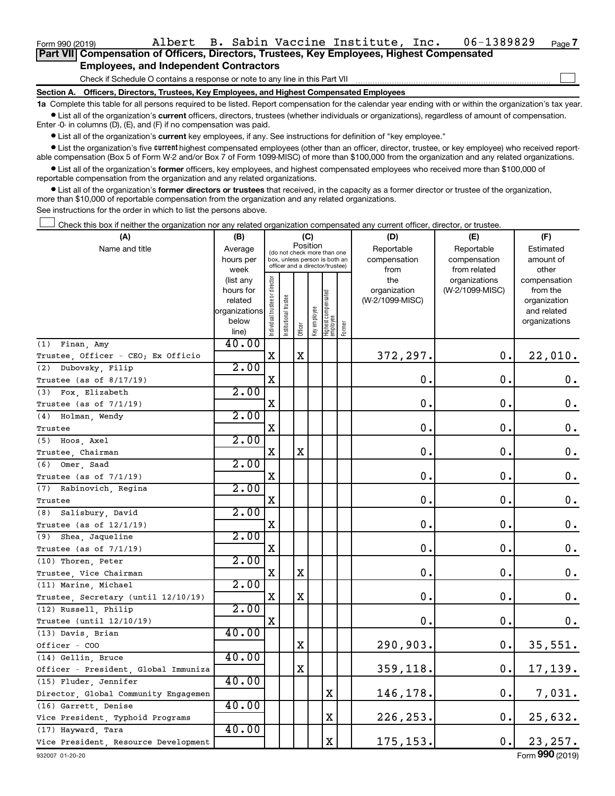$\Box$ 

|  | Part VII Compensation of Officers, Directors, Trustees, Key Employees, Highest Compensated |  |
|--|--------------------------------------------------------------------------------------------|--|
|  | <b>Employees, and Independent Contractors</b>                                              |  |

Check if Schedule O contains a response or note to any line in this Part VII

**Section A. Officers, Directors, Trustees, Key Employees, and Highest Compensated Employees**

**1a**  Complete this table for all persons required to be listed. Report compensation for the calendar year ending with or within the organization's tax year.  $\bullet$  List all of the organization's current officers, directors, trustees (whether individuals or organizations), regardless of amount of compensation.

Enter -0- in columns (D), (E), and (F) if no compensation was paid.

**•** List all of the organization's current key employees, if any. See instructions for definition of "key employee."

• List the organization's five *current* highest compensated employees (other than an officer, director, trustee, or key employee) who received reportable compensation (Box 5 of Form W-2 and/or Box 7 of Form 1099-MISC) of more than \$100,000 from the organization and any related organizations.

 $\bullet$  List all of the organization's former officers, key employees, and highest compensated employees who received more than \$100,000 of reportable compensation from the organization and any related organizations.

**•** List all of the organization's former directors or trustees that received, in the capacity as a former director or trustee of the organization, more than \$10,000 of reportable compensation from the organization and any related organizations.

See instructions for the order in which to list the persons above.

Check this box if neither the organization nor any related organization compensated any current officer, director, or trustee.  $\Box$ 

| (A)                                  | (B)                  |                                |                                 |             | (C)          |                                   |        | (D)                             | (E)             | (F)                      |
|--------------------------------------|----------------------|--------------------------------|---------------------------------|-------------|--------------|-----------------------------------|--------|---------------------------------|-----------------|--------------------------|
| Name and title                       | Average              |                                | (do not check more than one     | Position    |              |                                   |        | Reportable                      | Reportable      | Estimated                |
|                                      | hours per            |                                | box, unless person is both an   |             |              |                                   |        | compensation                    | compensation    | amount of                |
|                                      | week                 |                                | officer and a director/trustee) |             |              |                                   |        | from                            | from related    | other                    |
|                                      | (list any            |                                |                                 |             |              |                                   |        | the                             | organizations   | compensation             |
|                                      | hours for<br>related |                                |                                 |             |              |                                   |        | organization<br>(W-2/1099-MISC) | (W-2/1099-MISC) | from the<br>organization |
|                                      | organizations        |                                |                                 |             |              |                                   |        |                                 |                 | and related              |
|                                      | below                |                                |                                 |             |              |                                   |        |                                 |                 | organizations            |
|                                      | line)                | Individual trustee or director | nstitutional trustee            | Officer     | Key employee | Highest compensated<br>  employee | Former |                                 |                 |                          |
| (1) Finan, Amy                       | 40.00                |                                |                                 |             |              |                                   |        |                                 |                 |                          |
| Trustee, Officer - CEO; Ex Officio   |                      | X                              |                                 | X           |              |                                   |        | 372,297.                        | 0.              | 22,010.                  |
| Dubovsky, Filip<br>(2)               | 2.00                 |                                |                                 |             |              |                                   |        |                                 |                 |                          |
| Trustee (as of 8/17/19)              |                      | X                              |                                 |             |              |                                   |        | $\mathbf 0$ .                   | $\mathbf 0$ .   | $0$ .                    |
| (3) Fox, Elizabeth                   | 2.00                 |                                |                                 |             |              |                                   |        |                                 |                 |                          |
| Trustee (as of 7/1/19)               |                      | X                              |                                 |             |              |                                   |        | $\mathbf 0$ .                   | 0.              | 0.                       |
| (4) Holman, Wendy                    | 2.00                 |                                |                                 |             |              |                                   |        |                                 |                 |                          |
| Trustee                              |                      | X                              |                                 |             |              |                                   |        | $\mathbf 0$ .                   | $\mathbf 0$ .   | 0.                       |
| (5) Hoos, Axel                       | 2.00                 |                                |                                 |             |              |                                   |        |                                 |                 |                          |
| Trustee, Chairman                    |                      | X                              |                                 | X           |              |                                   |        | $\mathbf 0$ .                   | 0.              | 0.                       |
| (6) Omer, Saad                       | 2.00                 |                                |                                 |             |              |                                   |        |                                 |                 |                          |
| Trustee (as of 7/1/19)               |                      | X                              |                                 |             |              |                                   |        | $\mathbf 0$ .                   | 0.              | $\boldsymbol{0}$ .       |
| (7) Rabinovich, Regina               | 2.00                 |                                |                                 |             |              |                                   |        |                                 |                 |                          |
| Trustee                              |                      | X                              |                                 |             |              |                                   |        | $\mathbf 0$ .                   | $\mathbf 0$ .   | $\mathbf 0$ .            |
| (8) Salisbury, David                 | 2.00                 |                                |                                 |             |              |                                   |        |                                 |                 |                          |
| Trustee (as of $12/1/19$ )           |                      | X                              |                                 |             |              |                                   |        | 0.                              | 0.              | 0.                       |
| (9)<br>Shea, Jaqueline               | 2.00                 |                                |                                 |             |              |                                   |        |                                 |                 |                          |
| Trustee (as of $7/1/19$ )            |                      | X                              |                                 |             |              |                                   |        | $\mathbf 0$ .                   | $\mathbf 0$ .   | 0.                       |
| (10) Thoren, Peter                   | 2.00                 |                                |                                 |             |              |                                   |        |                                 |                 |                          |
| Trustee, Vice Chairman               |                      | X                              |                                 | X           |              |                                   |        | $\mathbf 0$ .                   | 0.              | 0.                       |
| (11) Marine, Michael                 | 2.00                 |                                |                                 |             |              |                                   |        |                                 |                 |                          |
| Trustee, Secretary (until 12/10/19)  |                      | X                              |                                 | $\mathbf X$ |              |                                   |        | $\mathbf 0$ .                   | $\mathbf 0$ .   | $\mathbf 0$ .            |
| (12) Russell, Philip                 | 2.00                 |                                |                                 |             |              |                                   |        |                                 |                 |                          |
| Trustee (until $12/10/19$ )          |                      | X                              |                                 |             |              |                                   |        | 0.                              | $\mathbf 0$ .   | $0$ .                    |
| (13) Davis, Brian                    | 40.00                |                                |                                 |             |              |                                   |        |                                 |                 |                          |
| Officer - COO                        |                      |                                |                                 | X           |              |                                   |        | 290,903.                        | 0.              | 35,551.                  |
| (14) Gellin, Bruce                   | 40.00                |                                |                                 |             |              |                                   |        |                                 |                 |                          |
| Officer - President, Global Immuniza |                      |                                |                                 | $\mathbf X$ |              |                                   |        | 359,118.                        | $\mathbf 0$ .   | 17,139.                  |
| (15) Fluder, Jennifer                | 40.00                |                                |                                 |             |              |                                   |        |                                 |                 |                          |
| Director, Global Community Engagemen |                      |                                |                                 |             |              | X                                 |        | 146,178.                        | 0.              | 7,031.                   |
| (16) Garrett, Denise                 | 40.00                |                                |                                 |             |              |                                   |        |                                 |                 |                          |
| Vice President, Typhoid Programs     |                      |                                |                                 |             |              | $\mathbf X$                       |        | 226,253.                        | 0.              | 25,632.                  |
| (17) Hayward, Tara                   | 40.00                |                                |                                 |             |              |                                   |        |                                 |                 |                          |
| Vice President, Resource Development |                      |                                |                                 |             |              | X                                 |        | 175, 153.                       | 0.              | 23, 257.                 |
| 932007 01-20-20                      |                      |                                |                                 |             |              |                                   |        |                                 |                 | Form 990 (2019)          |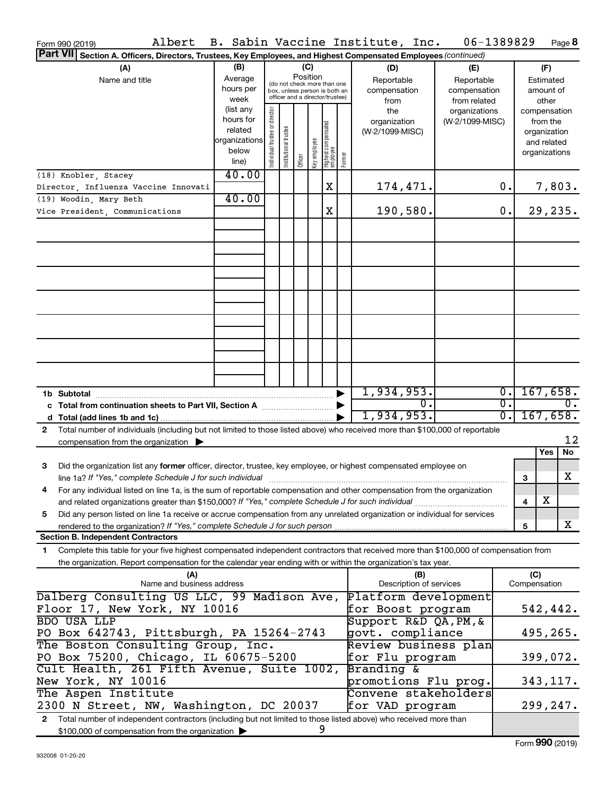| Albert<br>Form 990 (2019)                                                                                                                  |                        |                       |                                                                  |         |              |                                  |                       | B. Sabin Vaccine Institute, Inc. | 06-1389829                       |                  |              | Page 8                   |
|--------------------------------------------------------------------------------------------------------------------------------------------|------------------------|-----------------------|------------------------------------------------------------------|---------|--------------|----------------------------------|-----------------------|----------------------------------|----------------------------------|------------------|--------------|--------------------------|
| <b>Part VII</b><br>Section A. Officers, Directors, Trustees, Key Employees, and Highest Compensated Employees (continued)                  |                        |                       |                                                                  |         |              |                                  |                       |                                  |                                  |                  |              |                          |
| (A)                                                                                                                                        | (B)                    |                       |                                                                  | (C)     |              |                                  |                       | (D)                              | (E)                              | (F)              |              |                          |
| Name and title                                                                                                                             | Average                |                       | (do not check more than one                                      |         | Position     |                                  |                       | Reportable                       | Reportable                       |                  |              | Estimated                |
|                                                                                                                                            | hours per              |                       | box, unless person is both an<br>officer and a director/trustee) |         |              |                                  |                       | compensation                     | compensation                     |                  |              | amount of                |
|                                                                                                                                            | week                   |                       |                                                                  |         |              |                                  |                       | from                             | from related                     |                  |              | other                    |
|                                                                                                                                            | (list any<br>hours for | director              |                                                                  |         |              |                                  |                       | the<br>organization              | organizations<br>(W-2/1099-MISC) |                  |              | compensation<br>from the |
|                                                                                                                                            | related                |                       |                                                                  |         |              |                                  |                       | (W-2/1099-MISC)                  |                                  |                  |              | organization             |
|                                                                                                                                            | organizations          |                       |                                                                  |         |              |                                  |                       |                                  |                                  |                  |              | and related              |
|                                                                                                                                            | below                  | Individual trustee or | Institutional trustee                                            |         |              |                                  |                       |                                  |                                  |                  |              | organizations            |
|                                                                                                                                            | line)                  |                       |                                                                  | Officer | Key employee | Highest compensated<br> employee | Former                |                                  |                                  |                  |              |                          |
| (18) Knobler, Stacey                                                                                                                       | 40.00                  |                       |                                                                  |         |              |                                  |                       |                                  |                                  |                  |              |                          |
| Director, Influenza Vaccine Innovati                                                                                                       |                        |                       |                                                                  |         |              | X                                |                       | 174,471.                         |                                  | 0.               |              | 7,803.                   |
| (19) Woodin, Mary Beth                                                                                                                     | 40.00                  |                       |                                                                  |         |              |                                  |                       |                                  |                                  |                  |              |                          |
| Vice President, Communications                                                                                                             |                        |                       |                                                                  |         |              | X                                |                       | 190,580.                         |                                  | 0.               |              | 29,235.                  |
|                                                                                                                                            |                        |                       |                                                                  |         |              |                                  |                       |                                  |                                  |                  |              |                          |
|                                                                                                                                            |                        |                       |                                                                  |         |              |                                  |                       |                                  |                                  |                  |              |                          |
|                                                                                                                                            |                        |                       |                                                                  |         |              |                                  |                       |                                  |                                  |                  |              |                          |
|                                                                                                                                            |                        |                       |                                                                  |         |              |                                  |                       |                                  |                                  |                  |              |                          |
|                                                                                                                                            |                        |                       |                                                                  |         |              |                                  |                       |                                  |                                  |                  |              |                          |
|                                                                                                                                            |                        |                       |                                                                  |         |              |                                  |                       |                                  |                                  |                  |              |                          |
|                                                                                                                                            |                        |                       |                                                                  |         |              |                                  |                       |                                  |                                  |                  |              |                          |
|                                                                                                                                            |                        |                       |                                                                  |         |              |                                  |                       |                                  |                                  |                  |              |                          |
|                                                                                                                                            |                        |                       |                                                                  |         |              |                                  |                       |                                  |                                  |                  |              |                          |
|                                                                                                                                            |                        |                       |                                                                  |         |              |                                  |                       |                                  |                                  |                  |              |                          |
|                                                                                                                                            |                        |                       |                                                                  |         |              |                                  |                       |                                  |                                  |                  |              |                          |
|                                                                                                                                            |                        |                       |                                                                  |         |              |                                  |                       |                                  |                                  |                  |              |                          |
|                                                                                                                                            |                        |                       |                                                                  |         |              |                                  |                       |                                  |                                  |                  |              |                          |
|                                                                                                                                            |                        |                       |                                                                  |         |              |                                  |                       |                                  |                                  |                  |              |                          |
| 1b Subtotal                                                                                                                                |                        |                       |                                                                  |         |              |                                  | $\blacktriangleright$ | 1,934,953.                       |                                  | $\overline{0}$ . |              | 167,658.                 |
|                                                                                                                                            |                        |                       |                                                                  |         |              |                                  |                       | $\overline{0}$ .                 |                                  | σ.               |              | $0$ .                    |
|                                                                                                                                            |                        |                       |                                                                  |         |              |                                  |                       | 1,934,953.                       |                                  | $\overline{0}$ . |              | 167,658.                 |
| Total number of individuals (including but not limited to those listed above) who received more than \$100,000 of reportable<br>2          |                        |                       |                                                                  |         |              |                                  |                       |                                  |                                  |                  |              |                          |
| compensation from the organization $\blacktriangleright$                                                                                   |                        |                       |                                                                  |         |              |                                  |                       |                                  |                                  |                  |              | 12                       |
|                                                                                                                                            |                        |                       |                                                                  |         |              |                                  |                       |                                  |                                  |                  |              | No<br>Yes                |
| 3<br>Did the organization list any former officer, director, trustee, key employee, or highest compensated employee on                     |                        |                       |                                                                  |         |              |                                  |                       |                                  |                                  |                  |              |                          |
|                                                                                                                                            |                        |                       |                                                                  |         |              |                                  |                       |                                  |                                  |                  | 3            | X                        |
| For any individual listed on line 1a, is the sum of reportable compensation and other compensation from the organization                   |                        |                       |                                                                  |         |              |                                  |                       |                                  |                                  |                  |              |                          |
| and related organizations greater than \$150,000? If "Yes," complete Schedule J for such individual                                        |                        |                       |                                                                  |         |              |                                  |                       |                                  |                                  |                  | 4            | х                        |
| Did any person listed on line 1a receive or accrue compensation from any unrelated organization or individual for services<br>5            |                        |                       |                                                                  |         |              |                                  |                       |                                  |                                  |                  |              |                          |
| rendered to the organization? If "Yes," complete Schedule J for such person.                                                               |                        |                       |                                                                  |         |              |                                  |                       |                                  |                                  |                  | 5            | X                        |
| <b>Section B. Independent Contractors</b>                                                                                                  |                        |                       |                                                                  |         |              |                                  |                       |                                  |                                  |                  |              |                          |
| Complete this table for your five highest compensated independent contractors that received more than \$100,000 of compensation from<br>1. |                        |                       |                                                                  |         |              |                                  |                       |                                  |                                  |                  |              |                          |
| the organization. Report compensation for the calendar year ending with or within the organization's tax year.                             |                        |                       |                                                                  |         |              |                                  |                       |                                  |                                  |                  |              |                          |
| (A)                                                                                                                                        |                        |                       |                                                                  |         |              |                                  |                       | (B)                              |                                  |                  | (C)          |                          |
| Name and business address                                                                                                                  |                        |                       |                                                                  |         |              |                                  |                       | Description of services          |                                  |                  | Compensation |                          |
| Dalberg Consulting US LLC, 99 Madison Ave,                                                                                                 |                        |                       |                                                                  |         |              |                                  |                       | Platform development             |                                  |                  |              |                          |
| Floor 17, New York, NY 10016                                                                                                               |                        |                       |                                                                  |         |              |                                  |                       | for Boost program                |                                  |                  |              | 542,442.                 |
| <b>BDO USA LLP</b>                                                                                                                         |                        |                       |                                                                  |         |              |                                  |                       | Support R&D QA, PM, &            |                                  |                  |              |                          |
| PO Box 642743, Pittsburgh, PA 15264-2743                                                                                                   |                        |                       |                                                                  |         |              |                                  |                       | govt. compliance                 |                                  |                  |              | 495,265.                 |
| The Boston Consulting Group, Inc.                                                                                                          |                        |                       |                                                                  |         |              |                                  |                       | Review business plan             |                                  |                  |              |                          |
| PO Box 75200, Chicago, IL 60675-5200                                                                                                       |                        |                       |                                                                  |         |              |                                  |                       | for Flu program                  |                                  |                  |              | 399,072.                 |
| Cult Health, 261 Fifth Avenue, Suite 1002,                                                                                                 |                        |                       |                                                                  |         |              |                                  |                       | Branding &                       |                                  |                  |              |                          |
| New York, NY 10016                                                                                                                         |                        |                       |                                                                  |         |              |                                  |                       | promotions Flu prog.             |                                  |                  |              | 343,117.                 |
| The Aspen Institute<br>Convene stakeholders                                                                                                |                        |                       |                                                                  |         |              |                                  |                       |                                  |                                  |                  |              |                          |
| 2300 N Street, NW, Washington, DC 20037<br>for VAD program                                                                                 |                        |                       |                                                                  |         |              |                                  |                       |                                  | 299,247.                         |                  |              |                          |
| Total number of independent contractors (including but not limited to those listed above) who received more than<br>$\mathbf{2}$           |                        |                       |                                                                  |         |              |                                  |                       |                                  |                                  |                  |              |                          |
| \$100,000 of compensation from the organization                                                                                            |                        |                       |                                                                  |         |              | 9                                |                       |                                  |                                  |                  |              |                          |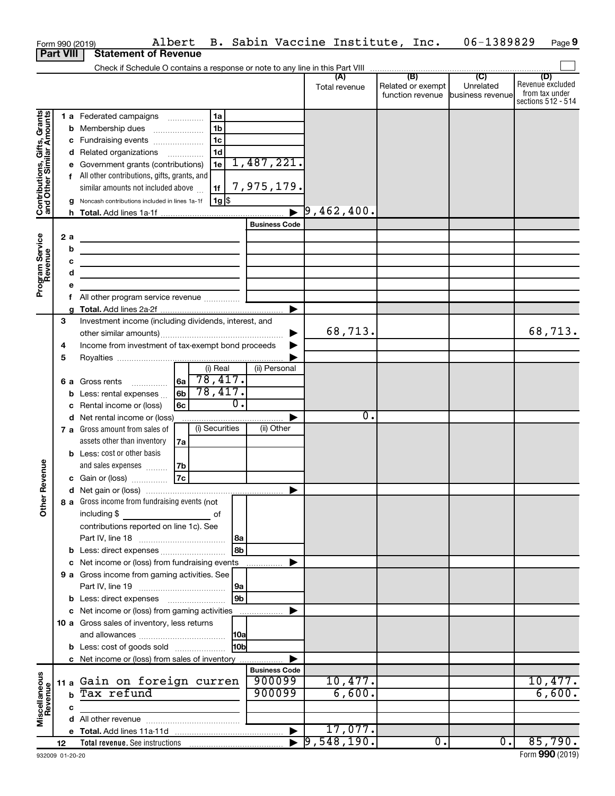|                                                           |                  |             | Albert<br>Form 990 (2019)                                                                                            |     |                  |                                | B. Sabin Vaccine Institute, Inc. |                                              | 06-1389829                                      | Page 9                                                          |
|-----------------------------------------------------------|------------------|-------------|----------------------------------------------------------------------------------------------------------------------|-----|------------------|--------------------------------|----------------------------------|----------------------------------------------|-------------------------------------------------|-----------------------------------------------------------------|
|                                                           | <b>Part VIII</b> |             | <b>Statement of Revenue</b>                                                                                          |     |                  |                                |                                  |                                              |                                                 |                                                                 |
|                                                           |                  |             |                                                                                                                      |     |                  |                                |                                  |                                              |                                                 |                                                                 |
|                                                           |                  |             |                                                                                                                      |     |                  |                                | (A)<br>Total revenue             | (B)<br>Related or exempt<br>function revenue | $\overline{C}$<br>Unrelated<br>business revenue | (D)<br>Revenue excluded<br>from tax under<br>sections 512 - 514 |
|                                                           |                  |             | 1 a Federated campaigns                                                                                              |     | 1a               |                                |                                  |                                              |                                                 |                                                                 |
|                                                           |                  | b           | Membership dues                                                                                                      |     | 1 <sub>b</sub>   |                                |                                  |                                              |                                                 |                                                                 |
|                                                           |                  |             | c Fundraising events                                                                                                 |     | 1 <sub>c</sub>   |                                |                                  |                                              |                                                 |                                                                 |
|                                                           |                  | d           | Related organizations                                                                                                |     | 1 <sub>d</sub>   |                                |                                  |                                              |                                                 |                                                                 |
|                                                           |                  |             | e Government grants (contributions)                                                                                  |     | 1e               | 1,487,221.                     |                                  |                                              |                                                 |                                                                 |
| Contributions, Gifts, Grants<br>and Other Similar Amounts |                  |             | f All other contributions, gifts, grants, and<br>similar amounts not included above                                  |     | 1f               | 7,975,179.                     |                                  |                                              |                                                 |                                                                 |
|                                                           |                  |             | Noncash contributions included in lines 1a-1f                                                                        |     | 1g  \$           |                                |                                  |                                              |                                                 |                                                                 |
|                                                           |                  |             |                                                                                                                      |     |                  |                                | $\overline{9}$ ,462,400.         |                                              |                                                 |                                                                 |
|                                                           |                  |             |                                                                                                                      |     |                  | <b>Business Code</b>           |                                  |                                              |                                                 |                                                                 |
| Program Service<br>Revenue                                | 2 a              |             | <u> 1989 - Johann Barn, fransk politik (d. 1989)</u>                                                                 |     |                  |                                |                                  |                                              |                                                 |                                                                 |
|                                                           |                  | b           | <u> 1989 - Johann Barbara, martin amerikan basar dan basa dan basar dalam basa dalam basa dalam basa dalam basa </u> |     |                  |                                |                                  |                                              |                                                 |                                                                 |
|                                                           |                  | с           |                                                                                                                      |     |                  |                                |                                  |                                              |                                                 |                                                                 |
|                                                           |                  | d           | the control of the control of the control of the control of                                                          |     |                  |                                |                                  |                                              |                                                 |                                                                 |
|                                                           |                  | е           |                                                                                                                      |     |                  |                                |                                  |                                              |                                                 |                                                                 |
|                                                           |                  |             | f All other program service revenue                                                                                  |     |                  |                                |                                  |                                              |                                                 |                                                                 |
|                                                           | З                | a           | Investment income (including dividends, interest, and                                                                |     |                  |                                |                                  |                                              |                                                 |                                                                 |
|                                                           |                  |             |                                                                                                                      |     |                  |                                | 68,713.                          |                                              |                                                 | 68,713.                                                         |
|                                                           | 4                |             | Income from investment of tax-exempt bond proceeds                                                                   |     |                  |                                |                                  |                                              |                                                 |                                                                 |
|                                                           | 5                |             |                                                                                                                      |     |                  |                                |                                  |                                              |                                                 |                                                                 |
|                                                           |                  |             |                                                                                                                      |     | (i) Real         | (ii) Personal                  |                                  |                                              |                                                 |                                                                 |
|                                                           |                  |             | 6 a Gross rents                                                                                                      | ∣6a | 78,417.          |                                |                                  |                                              |                                                 |                                                                 |
|                                                           |                  | b           | Less: rental expenses                                                                                                | 6b  | 78,417.          |                                |                                  |                                              |                                                 |                                                                 |
|                                                           |                  | c           | Rental income or (loss)                                                                                              | 6с  | $\overline{0}$ . |                                |                                  |                                              |                                                 |                                                                 |
|                                                           |                  |             | d Net rental income or (loss)                                                                                        |     |                  |                                | $\overline{0}$ .                 |                                              |                                                 |                                                                 |
|                                                           |                  |             | 7 a Gross amount from sales of                                                                                       |     | (i) Securities   | (ii) Other                     |                                  |                                              |                                                 |                                                                 |
|                                                           |                  |             | assets other than inventory                                                                                          | 7a  |                  |                                |                                  |                                              |                                                 |                                                                 |
|                                                           |                  |             | <b>b</b> Less: cost or other basis                                                                                   |     |                  |                                |                                  |                                              |                                                 |                                                                 |
|                                                           |                  |             | and sales expenses                                                                                                   | 7b  |                  |                                |                                  |                                              |                                                 |                                                                 |
| evenue                                                    |                  |             | c Gain or (loss)                                                                                                     | 7c  |                  |                                |                                  |                                              |                                                 |                                                                 |
|                                                           |                  |             |                                                                                                                      |     |                  |                                |                                  |                                              |                                                 |                                                                 |
| Other F                                                   |                  |             | 8 a Gross income from fundraising events (not                                                                        |     |                  |                                |                                  |                                              |                                                 |                                                                 |
|                                                           |                  |             | including \$                                                                                                         |     | of               |                                |                                  |                                              |                                                 |                                                                 |
|                                                           |                  |             | contributions reported on line 1c). See                                                                              |     |                  |                                |                                  |                                              |                                                 |                                                                 |
|                                                           |                  |             |                                                                                                                      |     | 8a               |                                |                                  |                                              |                                                 |                                                                 |
|                                                           |                  |             | <b>b</b> Less: direct expenses                                                                                       |     | 8b               |                                |                                  |                                              |                                                 |                                                                 |
|                                                           |                  |             | c Net income or (loss) from fundraising events                                                                       |     |                  |                                |                                  |                                              |                                                 |                                                                 |
|                                                           |                  |             | 9 a Gross income from gaming activities. See                                                                         |     |                  |                                |                                  |                                              |                                                 |                                                                 |
|                                                           |                  |             |                                                                                                                      |     | 9a               |                                |                                  |                                              |                                                 |                                                                 |
|                                                           |                  |             | <b>b</b> Less: direct expenses <b>manually</b>                                                                       |     | 9b               |                                |                                  |                                              |                                                 |                                                                 |
|                                                           |                  |             | c Net income or (loss) from gaming activities                                                                        |     |                  |                                |                                  |                                              |                                                 |                                                                 |
|                                                           |                  |             | 10 a Gross sales of inventory, less returns                                                                          |     |                  |                                |                                  |                                              |                                                 |                                                                 |
|                                                           |                  |             |                                                                                                                      |     | 10a              |                                |                                  |                                              |                                                 |                                                                 |
|                                                           |                  |             | <b>b</b> Less: cost of goods sold                                                                                    |     | l10bl            |                                |                                  |                                              |                                                 |                                                                 |
|                                                           |                  |             | c Net income or (loss) from sales of inventory                                                                       |     |                  |                                |                                  |                                              |                                                 |                                                                 |
|                                                           |                  |             | 11 a Gain on foreign curren                                                                                          |     |                  | <b>Business Code</b><br>900099 | 10,477.                          |                                              |                                                 | 10,477.                                                         |
|                                                           |                  | $\mathbf b$ | Tax refund                                                                                                           |     |                  | 900099                         | 6,600.                           |                                              |                                                 | 6,600.                                                          |
| Miscellaneous<br>Revenue                                  |                  |             |                                                                                                                      |     |                  |                                |                                  |                                              |                                                 |                                                                 |
|                                                           |                  | c           |                                                                                                                      |     |                  |                                |                                  |                                              |                                                 |                                                                 |
|                                                           |                  |             |                                                                                                                      |     |                  |                                | 17,077.                          |                                              |                                                 |                                                                 |
|                                                           | 12               |             |                                                                                                                      |     |                  |                                | $\blacktriangleright$ 9,548,190. | $\overline{0}$ .                             | $\overline{0}$ .                                | 85,790.                                                         |
|                                                           |                  |             |                                                                                                                      |     |                  |                                |                                  |                                              |                                                 |                                                                 |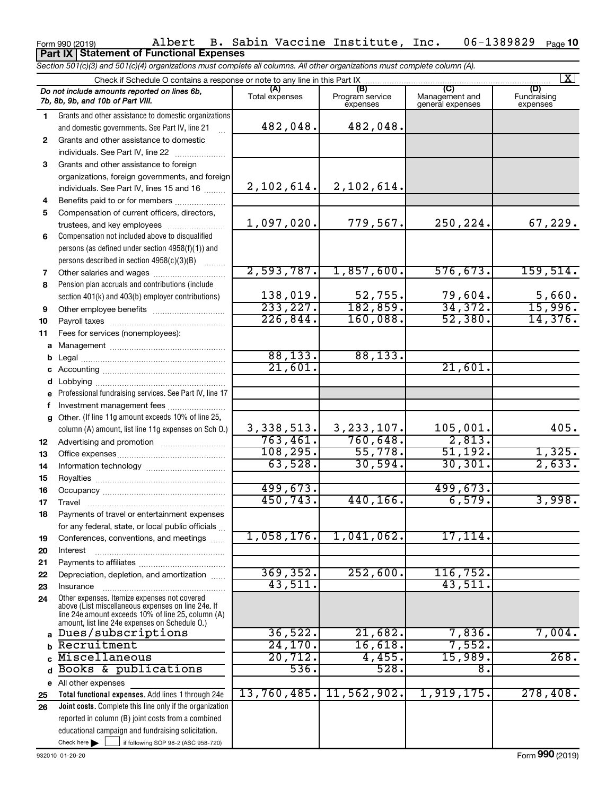### Form 990 (2019) Albert B. Sabin Vaccine Institute, Inc. 06-1389829 Page 06-1389829 Page 10 **Part IX Statement of Functional Expenses**

*Section 501(c)(3) and 501(c)(4) organizations must complete all columns. All other organizations must complete column (A).*

|              | $\mathbf{X}$<br>Check if Schedule O contains a response or note to any line in this Part IX              |                       |                                    |                                    |                                |  |  |  |  |  |
|--------------|----------------------------------------------------------------------------------------------------------|-----------------------|------------------------------------|------------------------------------|--------------------------------|--|--|--|--|--|
|              | Do not include amounts reported on lines 6b,<br>7b, 8b, 9b, and 10b of Part VIII.                        | (A)<br>Total expenses | (B)<br>Program service<br>expenses | Management and<br>general expenses | (D)<br>Fundraising<br>expenses |  |  |  |  |  |
| 1.           | Grants and other assistance to domestic organizations                                                    |                       |                                    |                                    |                                |  |  |  |  |  |
|              | and domestic governments. See Part IV, line 21                                                           | 482,048.              | 482,048.                           |                                    |                                |  |  |  |  |  |
| $\mathbf{2}$ | Grants and other assistance to domestic                                                                  |                       |                                    |                                    |                                |  |  |  |  |  |
|              | individuals. See Part IV, line 22                                                                        |                       |                                    |                                    |                                |  |  |  |  |  |
| 3            | Grants and other assistance to foreign                                                                   |                       |                                    |                                    |                                |  |  |  |  |  |
|              | organizations, foreign governments, and foreign                                                          |                       |                                    |                                    |                                |  |  |  |  |  |
|              | individuals. See Part IV, lines 15 and 16                                                                | 2,102,614.            | 2,102,614.                         |                                    |                                |  |  |  |  |  |
| 4            |                                                                                                          |                       |                                    |                                    |                                |  |  |  |  |  |
| 5            | Compensation of current officers, directors,                                                             |                       |                                    |                                    |                                |  |  |  |  |  |
|              | trustees, and key employees                                                                              | 1,097,020.            | 779,567.                           | 250,224.                           | 67,229.                        |  |  |  |  |  |
| 6            | Compensation not included above to disqualified                                                          |                       |                                    |                                    |                                |  |  |  |  |  |
|              | persons (as defined under section 4958(f)(1)) and                                                        |                       |                                    |                                    |                                |  |  |  |  |  |
|              | persons described in section 4958(c)(3)(B)                                                               |                       |                                    |                                    |                                |  |  |  |  |  |
| 7            | Other salaries and wages                                                                                 | 2,593,787.            | 1,857,600.                         | 576, 673.                          | 159,514.                       |  |  |  |  |  |
| 8            | Pension plan accruals and contributions (include                                                         |                       |                                    |                                    |                                |  |  |  |  |  |
|              | section 401(k) and 403(b) employer contributions)                                                        | 138,019.              | $\frac{52,755}{182,859}$           | 79,604.                            | $\frac{5,660}{15,996}$         |  |  |  |  |  |
| 9            |                                                                                                          | 233, 227.             |                                    | 34,372.                            |                                |  |  |  |  |  |
| 10           |                                                                                                          | 226,844.              | 160,088.                           | 52,380.                            | 14,376.                        |  |  |  |  |  |
| 11           | Fees for services (nonemployees):                                                                        |                       |                                    |                                    |                                |  |  |  |  |  |
| a            |                                                                                                          |                       |                                    |                                    |                                |  |  |  |  |  |
| b            |                                                                                                          | 88, 133.              | 88, 133.                           |                                    |                                |  |  |  |  |  |
| с            |                                                                                                          | 21,601.               |                                    | 21,601.                            |                                |  |  |  |  |  |
| d            | Lobbying                                                                                                 |                       |                                    |                                    |                                |  |  |  |  |  |
|              | Professional fundraising services. See Part IV, line 17                                                  |                       |                                    |                                    |                                |  |  |  |  |  |
| f            | Investment management fees                                                                               |                       |                                    |                                    |                                |  |  |  |  |  |
| a            | Other. (If line 11g amount exceeds 10% of line 25,                                                       |                       |                                    |                                    |                                |  |  |  |  |  |
|              | column (A) amount, list line 11g expenses on Sch O.)                                                     | 3,338,513.            | 3, 233, 107.                       | 105,001.                           | 405.                           |  |  |  |  |  |
| 12           |                                                                                                          | 763,461.              | 760,648.                           | 2,813.                             |                                |  |  |  |  |  |
| 13           |                                                                                                          | 108, 295.             | 55,778.                            | 51,192.                            | 1,325.                         |  |  |  |  |  |
| 14           |                                                                                                          | 63,528.               | 30,594.                            | 30, 301.                           | 2,633.                         |  |  |  |  |  |
| 15           |                                                                                                          |                       |                                    |                                    |                                |  |  |  |  |  |
| 16           |                                                                                                          | 499,673.              |                                    | 499,673.                           |                                |  |  |  |  |  |
| 17           |                                                                                                          | 450, 743.             | 440, 166.                          | 6,579.                             | 3,998.                         |  |  |  |  |  |
| 18           | Payments of travel or entertainment expenses                                                             |                       |                                    |                                    |                                |  |  |  |  |  |
|              | for any federal, state, or local public officials                                                        |                       |                                    |                                    |                                |  |  |  |  |  |
| 19           | Conferences, conventions, and meetings                                                                   | 1,058,176.            | 1,041,062.                         | $17,114$ .                         |                                |  |  |  |  |  |
| 20           | Interest                                                                                                 |                       |                                    |                                    |                                |  |  |  |  |  |
| 21           |                                                                                                          |                       |                                    |                                    |                                |  |  |  |  |  |
| 22           | Depreciation, depletion, and amortization                                                                | 369, 352.             | 252,600.                           | 116, 752.                          |                                |  |  |  |  |  |
| 23           | Insurance                                                                                                | 43,511.               |                                    | 43,511.                            |                                |  |  |  |  |  |
| 24           | Other expenses. Itemize expenses not covered                                                             |                       |                                    |                                    |                                |  |  |  |  |  |
|              | above (List miscellaneous expenses on line 24e. If<br>line 24e amount exceeds 10% of line 25, column (A) |                       |                                    |                                    |                                |  |  |  |  |  |
|              | amount, list line 24e expenses on Schedule O.)                                                           |                       |                                    |                                    |                                |  |  |  |  |  |
| $\mathbf{a}$ | Dues/subscriptions                                                                                       | 36,522.               | 21,682.                            | 7,836.                             | 7,004.                         |  |  |  |  |  |
|              | Recruitment                                                                                              | 24, 170.              | 16,618.                            | 7,552.                             |                                |  |  |  |  |  |
|              | Miscellaneous                                                                                            | 20,712.               | 4,455.                             | 15,989.                            | 268.                           |  |  |  |  |  |
| d            | Books & publications                                                                                     | 536.                  | 528.                               | $\overline{8}$                     |                                |  |  |  |  |  |
|              | e All other expenses                                                                                     |                       |                                    |                                    |                                |  |  |  |  |  |
| 25           | Total functional expenses. Add lines 1 through 24e                                                       | 13,760,485.           | 11,562,902.                        | 1,919,175.                         | 278,408.                       |  |  |  |  |  |
| 26           | Joint costs. Complete this line only if the organization                                                 |                       |                                    |                                    |                                |  |  |  |  |  |
|              | reported in column (B) joint costs from a combined                                                       |                       |                                    |                                    |                                |  |  |  |  |  |
|              | educational campaign and fundraising solicitation.                                                       |                       |                                    |                                    |                                |  |  |  |  |  |
|              | Check here $\blacktriangleright$<br>if following SOP 98-2 (ASC 958-720)                                  |                       |                                    |                                    |                                |  |  |  |  |  |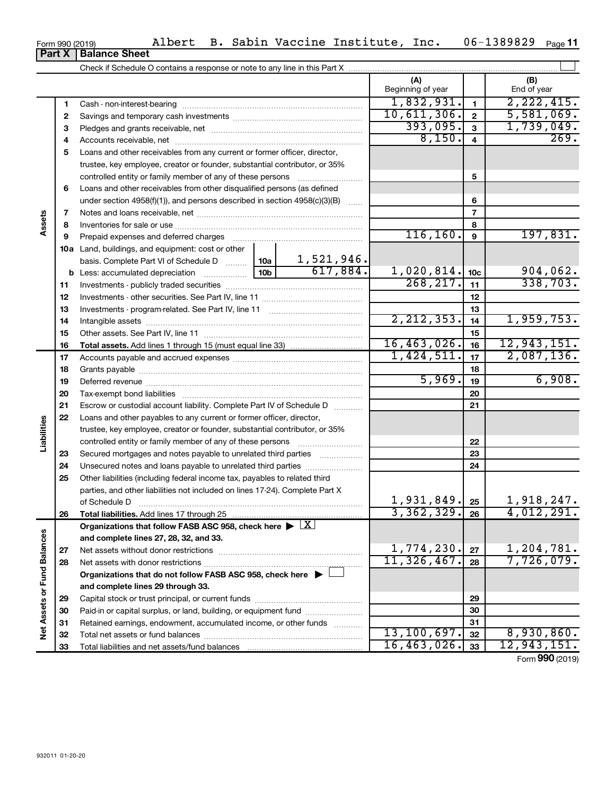| Form 990 (2019) |                               |  |
|-----------------|-------------------------------|--|
|                 | <b>Part X   Balance Sheet</b> |  |

|                             |    |                                                                                                        |                 |            | (A)<br>Beginning of year |                 | (B)<br>End of year |
|-----------------------------|----|--------------------------------------------------------------------------------------------------------|-----------------|------------|--------------------------|-----------------|--------------------|
|                             | 1  |                                                                                                        |                 |            | 1,832,931.               | $\mathbf{1}$    | 2, 222, 415.       |
|                             | 2  |                                                                                                        |                 |            | 10,611,306.              | $\overline{2}$  | 5,581,069.         |
|                             | 3  |                                                                                                        |                 |            | 393,095.                 | 3               | 1,739,049.         |
|                             | 4  |                                                                                                        |                 |            | 8,150.                   | $\overline{4}$  | 269.               |
|                             | 5  | Loans and other receivables from any current or former officer, director,                              |                 |            |                          |                 |                    |
|                             |    | trustee, key employee, creator or founder, substantial contributor, or 35%                             |                 |            |                          |                 |                    |
|                             |    |                                                                                                        |                 |            |                          | 5               |                    |
|                             | 6  | Loans and other receivables from other disqualified persons (as defined                                |                 |            |                          |                 |                    |
| Assets                      |    | under section 4958(f)(1)), and persons described in section 4958(c)(3)(B)                              |                 |            |                          | 6               |                    |
|                             | 7  |                                                                                                        |                 |            |                          | $\overline{7}$  |                    |
|                             | 8  |                                                                                                        |                 |            |                          | 8               |                    |
|                             | 9  | Prepaid expenses and deferred charges                                                                  |                 |            | 116, 160.                | $\mathbf{9}$    | 197,831.           |
|                             |    | 10a Land, buildings, and equipment: cost or other                                                      |                 |            |                          |                 |                    |
|                             |    | basis. Complete Part VI of Schedule D                                                                  | 10a             | 1,521,946. |                          |                 |                    |
|                             |    | <b>b</b> Less: accumulated depreciation <i>mimimimimi</i>                                              | 10 <sub>b</sub> | 617,884.   | 1,020,814.               | 10 <sub>c</sub> | 904,062.           |
|                             | 11 |                                                                                                        |                 |            | 268, 217.                | 11              | 338,703.           |
|                             | 12 |                                                                                                        |                 |            |                          | 12              |                    |
|                             | 13 |                                                                                                        |                 |            |                          | 13              |                    |
|                             | 14 |                                                                                                        |                 |            | 2, 212, 353.             | 14              | 1,959,753.         |
|                             | 15 |                                                                                                        |                 |            |                          | 15              |                    |
|                             | 16 |                                                                                                        |                 |            | 16,463,026.              | 16              | 12,943,151.        |
|                             | 17 |                                                                                                        |                 |            | 1,424,511.               | 17              | 2,087,136.         |
|                             | 18 |                                                                                                        |                 | 18         |                          |                 |                    |
|                             | 19 |                                                                                                        | 5,969.          | 19         | 6,908.                   |                 |                    |
|                             | 20 |                                                                                                        |                 |            | 20                       |                 |                    |
|                             | 21 | Escrow or custodial account liability. Complete Part IV of Schedule D                                  |                 |            |                          | 21              |                    |
|                             | 22 | Loans and other payables to any current or former officer, director,                                   |                 |            |                          |                 |                    |
| Liabilities                 |    | trustee, key employee, creator or founder, substantial contributor, or 35%                             |                 |            |                          |                 |                    |
|                             |    |                                                                                                        |                 |            |                          | 22              |                    |
|                             | 23 | Secured mortgages and notes payable to unrelated third parties <i>manumum</i>                          |                 |            |                          | 23              |                    |
|                             | 24 | Unsecured notes and loans payable to unrelated third parties                                           |                 |            |                          | 24              |                    |
|                             | 25 | Other liabilities (including federal income tax, payables to related third                             |                 |            |                          |                 |                    |
|                             |    | parties, and other liabilities not included on lines 17-24). Complete Part X                           |                 |            |                          |                 |                    |
|                             |    |                                                                                                        |                 |            | 1,931,849.               | 25              | 1,918,247.         |
|                             | 26 | Total liabilities. Add lines 17 through 25                                                             |                 |            | 3,362,329.               | 26              | 4,012,291.         |
|                             |    | Organizations that follow FASB ASC 958, check here $\blacktriangleright \lfloor \underline{X} \rfloor$ |                 |            |                          |                 |                    |
|                             |    | and complete lines 27, 28, 32, and 33.                                                                 |                 |            |                          |                 |                    |
|                             | 27 |                                                                                                        |                 |            | 1,774,230.               | 27              | 1,204,781.         |
|                             | 28 |                                                                                                        | 11,326,467.     | 28         | 7,726,079.               |                 |                    |
|                             |    | Organizations that do not follow FASB ASC 958, check here $\blacktriangleright$                        |                 |            |                          |                 |                    |
|                             |    | and complete lines 29 through 33.                                                                      |                 |            |                          |                 |                    |
|                             | 29 |                                                                                                        |                 |            |                          | 29              |                    |
| Net Assets or Fund Balances | 30 | Paid-in or capital surplus, or land, building, or equipment fund                                       |                 |            |                          | 30              |                    |
|                             | 31 | Retained earnings, endowment, accumulated income, or other funds                                       |                 |            |                          | 31              |                    |
|                             | 32 |                                                                                                        |                 |            | 13, 100, 697.            | 32              | 8,930,860.         |
|                             | 33 |                                                                                                        |                 |            | 16,463,026.              | 33              | 12,943,151.        |

Form (2019) **990**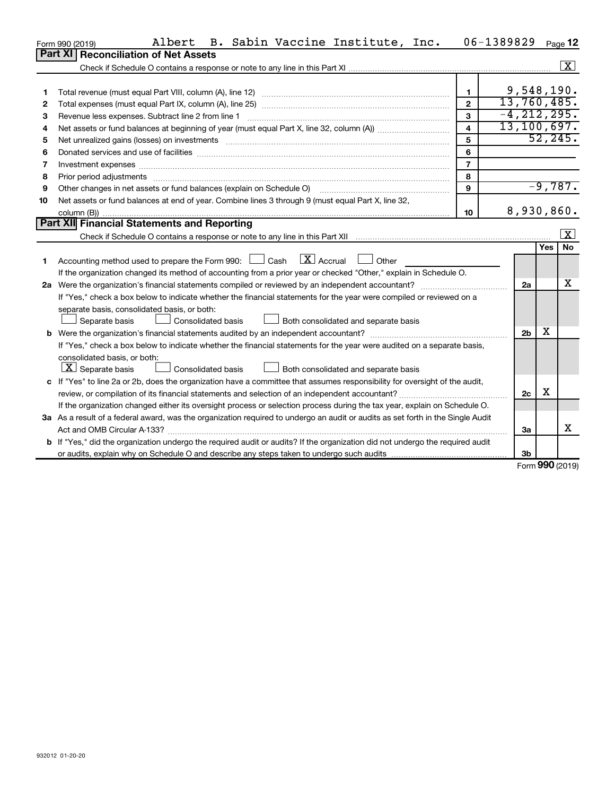|    | Albert<br>B. Sabin Vaccine Institute, Inc.<br>Form 990 (2019)                                                                                                                                                                  | 06-1389829              |                 |            | Page 12      |
|----|--------------------------------------------------------------------------------------------------------------------------------------------------------------------------------------------------------------------------------|-------------------------|-----------------|------------|--------------|
|    | Part XI<br><b>Reconciliation of Net Assets</b>                                                                                                                                                                                 |                         |                 |            |              |
|    |                                                                                                                                                                                                                                |                         |                 |            | $\mathbf{X}$ |
|    |                                                                                                                                                                                                                                |                         |                 |            |              |
|    |                                                                                                                                                                                                                                | $\mathbf{1}$            | 9,548,190.      |            |              |
| 2  |                                                                                                                                                                                                                                | $\mathbf{2}$            | 13,760,485.     |            |              |
| З  | Revenue less expenses. Subtract line 2 from line 1                                                                                                                                                                             | 3                       | $-4, 212, 295.$ |            |              |
| 4  |                                                                                                                                                                                                                                | $\overline{\mathbf{A}}$ | 13, 100, 697.   |            |              |
| 5  | Net unrealized gains (losses) on investments [111] www.martime.community.community.community.community.communi                                                                                                                 | 5                       |                 |            | 52, 245.     |
| 6  | Donated services and use of facilities [[111] matter contracts and all the services and use of facilities [[11                                                                                                                 | 6                       |                 |            |              |
| 7  | Investment expenses www.communication.communication.com/interaction.com/interaction.com/interaction.com/interaction.com/interaction.com/interaction.com/interaction.com/interaction.com/interaction.com/interaction.com/intera | $\overline{7}$          |                 |            |              |
| 8  |                                                                                                                                                                                                                                | 8                       |                 |            |              |
| 9  | Other changes in net assets or fund balances (explain on Schedule O) [11] [2000] [2000] [2000] [2000] [2000] [                                                                                                                 | $\mathbf{Q}$            |                 |            | $-9,787.$    |
| 10 | Net assets or fund balances at end of year. Combine lines 3 through 9 (must equal Part X, line 32,                                                                                                                             |                         |                 |            |              |
|    |                                                                                                                                                                                                                                | 10                      | 8,930,860.      |            |              |
|    | Part XII Financial Statements and Reporting                                                                                                                                                                                    |                         |                 |            |              |
|    |                                                                                                                                                                                                                                |                         |                 |            | $\mathbf{x}$ |
|    |                                                                                                                                                                                                                                |                         |                 | Yes        | <b>No</b>    |
| 1  | $\lfloor X \rfloor$ Accrual $\lfloor \rfloor$ Other<br>Accounting method used to prepare the Form 990: $\Box$ Cash                                                                                                             |                         |                 |            |              |
|    | If the organization changed its method of accounting from a prior year or checked "Other," explain in Schedule O.                                                                                                              |                         |                 |            |              |
|    | 2a Were the organization's financial statements compiled or reviewed by an independent accountant?                                                                                                                             |                         | 2a              |            | X            |
|    | If "Yes," check a box below to indicate whether the financial statements for the year were compiled or reviewed on a                                                                                                           |                         |                 |            |              |
|    | separate basis, consolidated basis, or both:                                                                                                                                                                                   |                         |                 |            |              |
|    | Both consolidated and separate basis<br>Separate basis<br>Consolidated basis                                                                                                                                                   |                         |                 |            |              |
|    |                                                                                                                                                                                                                                |                         | 2 <sub>b</sub>  | х          |              |
|    | If "Yes," check a box below to indicate whether the financial statements for the year were audited on a separate basis,                                                                                                        |                         |                 |            |              |
|    | consolidated basis, or both:                                                                                                                                                                                                   |                         |                 |            |              |
|    | $ \mathbf{X} $ Separate basis<br>Consolidated basis<br>Both consolidated and separate basis                                                                                                                                    |                         |                 |            |              |
|    | c If "Yes" to line 2a or 2b, does the organization have a committee that assumes responsibility for oversight of the audit,                                                                                                    |                         |                 |            |              |
|    | review, or compilation of its financial statements and selection of an independent accountant?                                                                                                                                 |                         | 2c              | х          |              |
|    | If the organization changed either its oversight process or selection process during the tax year, explain on Schedule O.                                                                                                      |                         |                 |            |              |
|    | 3a As a result of a federal award, was the organization required to undergo an audit or audits as set forth in the Single Audit                                                                                                |                         |                 |            |              |
|    | Act and OMB Circular A-133?                                                                                                                                                                                                    |                         | За              |            | x            |
|    | b If "Yes," did the organization undergo the required audit or audits? If the organization did not undergo the required audit                                                                                                  |                         |                 |            |              |
|    |                                                                                                                                                                                                                                |                         | 3b              | <b>000</b> |              |

Form (2019) **990**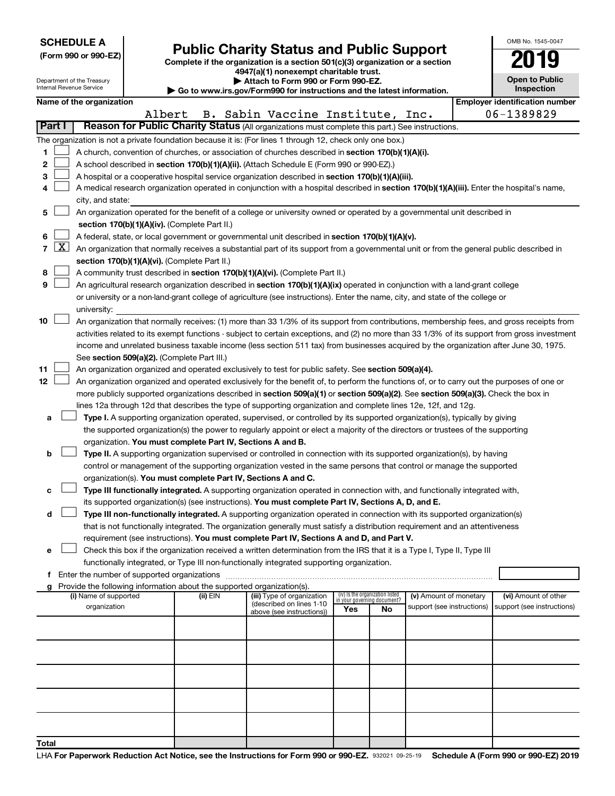| <b>SCHEDULE A</b> |  |
|-------------------|--|
|-------------------|--|

Department of the Treasury Internal Revenue Service

| (Form 990 or 990-EZ) |  |  |
|----------------------|--|--|

Form 990 or 990-EZ)<br>
Complete if the organization is a section 501(c)(3) organization or a section<br> **Public Charity Status and Public Support** 

**4947(a)(1) nonexempt charitable trust. | Attach to Form 990 or Form 990-EZ.** 

**| Go to www.irs.gov/Form990 for instructions and the latest information.**

| OMB No. 1545-0047                   |
|-------------------------------------|
| 019                                 |
| <b>Open to Public</b><br>Inspection |

|               |   | Name of the organization                                                                                                                      |  |          |                                                        |                                                                |    |                            |  | <b>Employer identification number</b> |  |  |
|---------------|---|-----------------------------------------------------------------------------------------------------------------------------------------------|--|----------|--------------------------------------------------------|----------------------------------------------------------------|----|----------------------------|--|---------------------------------------|--|--|
|               |   | Albert                                                                                                                                        |  |          | B. Sabin Vaccine Institute, Inc.                       |                                                                |    |                            |  | 06-1389829                            |  |  |
| <b>Part I</b> |   | Reason for Public Charity Status (All organizations must complete this part.) See instructions.                                               |  |          |                                                        |                                                                |    |                            |  |                                       |  |  |
|               |   | The organization is not a private foundation because it is: (For lines 1 through 12, check only one box.)                                     |  |          |                                                        |                                                                |    |                            |  |                                       |  |  |
| 1             |   | A church, convention of churches, or association of churches described in section 170(b)(1)(A)(i).                                            |  |          |                                                        |                                                                |    |                            |  |                                       |  |  |
| 2             |   | A school described in section 170(b)(1)(A)(ii). (Attach Schedule E (Form 990 or 990-EZ).)                                                     |  |          |                                                        |                                                                |    |                            |  |                                       |  |  |
| 3             |   | A hospital or a cooperative hospital service organization described in section 170(b)(1)(A)(iii).                                             |  |          |                                                        |                                                                |    |                            |  |                                       |  |  |
| 4             |   | A medical research organization operated in conjunction with a hospital described in section 170(b)(1)(A)(iii). Enter the hospital's name,    |  |          |                                                        |                                                                |    |                            |  |                                       |  |  |
|               |   | city, and state:                                                                                                                              |  |          |                                                        |                                                                |    |                            |  |                                       |  |  |
| 5             |   | An organization operated for the benefit of a college or university owned or operated by a governmental unit described in                     |  |          |                                                        |                                                                |    |                            |  |                                       |  |  |
|               |   | section 170(b)(1)(A)(iv). (Complete Part II.)                                                                                                 |  |          |                                                        |                                                                |    |                            |  |                                       |  |  |
|               |   |                                                                                                                                               |  |          |                                                        |                                                                |    |                            |  |                                       |  |  |
| 6             |   | A federal, state, or local government or governmental unit described in section 170(b)(1)(A)(v).                                              |  |          |                                                        |                                                                |    |                            |  |                                       |  |  |
| 7             | X | An organization that normally receives a substantial part of its support from a governmental unit or from the general public described in     |  |          |                                                        |                                                                |    |                            |  |                                       |  |  |
|               |   | section 170(b)(1)(A)(vi). (Complete Part II.)                                                                                                 |  |          |                                                        |                                                                |    |                            |  |                                       |  |  |
| 8             |   | A community trust described in section 170(b)(1)(A)(vi). (Complete Part II.)                                                                  |  |          |                                                        |                                                                |    |                            |  |                                       |  |  |
| 9             |   | An agricultural research organization described in section 170(b)(1)(A)(ix) operated in conjunction with a land-grant college                 |  |          |                                                        |                                                                |    |                            |  |                                       |  |  |
|               |   | or university or a non-land-grant college of agriculture (see instructions). Enter the name, city, and state of the college or                |  |          |                                                        |                                                                |    |                            |  |                                       |  |  |
|               |   | university:                                                                                                                                   |  |          |                                                        |                                                                |    |                            |  |                                       |  |  |
| 10            |   | An organization that normally receives: (1) more than 33 1/3% of its support from contributions, membership fees, and gross receipts from     |  |          |                                                        |                                                                |    |                            |  |                                       |  |  |
|               |   | activities related to its exempt functions - subject to certain exceptions, and (2) no more than 33 1/3% of its support from gross investment |  |          |                                                        |                                                                |    |                            |  |                                       |  |  |
|               |   | income and unrelated business taxable income (less section 511 tax) from businesses acquired by the organization after June 30, 1975.         |  |          |                                                        |                                                                |    |                            |  |                                       |  |  |
|               |   | See section 509(a)(2). (Complete Part III.)                                                                                                   |  |          |                                                        |                                                                |    |                            |  |                                       |  |  |
| 11            |   | An organization organized and operated exclusively to test for public safety. See section 509(a)(4).                                          |  |          |                                                        |                                                                |    |                            |  |                                       |  |  |
| 12            |   | An organization organized and operated exclusively for the benefit of, to perform the functions of, or to carry out the purposes of one or    |  |          |                                                        |                                                                |    |                            |  |                                       |  |  |
|               |   | more publicly supported organizations described in section 509(a)(1) or section 509(a)(2). See section 509(a)(3). Check the box in            |  |          |                                                        |                                                                |    |                            |  |                                       |  |  |
|               |   | lines 12a through 12d that describes the type of supporting organization and complete lines 12e, 12f, and 12g.                                |  |          |                                                        |                                                                |    |                            |  |                                       |  |  |
| а             |   | Type I. A supporting organization operated, supervised, or controlled by its supported organization(s), typically by giving                   |  |          |                                                        |                                                                |    |                            |  |                                       |  |  |
|               |   | the supported organization(s) the power to regularly appoint or elect a majority of the directors or trustees of the supporting               |  |          |                                                        |                                                                |    |                            |  |                                       |  |  |
|               |   | organization. You must complete Part IV, Sections A and B.                                                                                    |  |          |                                                        |                                                                |    |                            |  |                                       |  |  |
|               |   |                                                                                                                                               |  |          |                                                        |                                                                |    |                            |  |                                       |  |  |
| b             |   | Type II. A supporting organization supervised or controlled in connection with its supported organization(s), by having                       |  |          |                                                        |                                                                |    |                            |  |                                       |  |  |
|               |   | control or management of the supporting organization vested in the same persons that control or manage the supported                          |  |          |                                                        |                                                                |    |                            |  |                                       |  |  |
|               |   | organization(s). You must complete Part IV, Sections A and C.                                                                                 |  |          |                                                        |                                                                |    |                            |  |                                       |  |  |
| с             |   | Type III functionally integrated. A supporting organization operated in connection with, and functionally integrated with,                    |  |          |                                                        |                                                                |    |                            |  |                                       |  |  |
|               |   | its supported organization(s) (see instructions). You must complete Part IV, Sections A, D, and E.                                            |  |          |                                                        |                                                                |    |                            |  |                                       |  |  |
| d             |   | Type III non-functionally integrated. A supporting organization operated in connection with its supported organization(s)                     |  |          |                                                        |                                                                |    |                            |  |                                       |  |  |
|               |   | that is not functionally integrated. The organization generally must satisfy a distribution requirement and an attentiveness                  |  |          |                                                        |                                                                |    |                            |  |                                       |  |  |
|               |   | requirement (see instructions). You must complete Part IV, Sections A and D, and Part V.                                                      |  |          |                                                        |                                                                |    |                            |  |                                       |  |  |
| е             |   | Check this box if the organization received a written determination from the IRS that it is a Type I, Type II, Type III                       |  |          |                                                        |                                                                |    |                            |  |                                       |  |  |
|               |   | functionally integrated, or Type III non-functionally integrated supporting organization.                                                     |  |          |                                                        |                                                                |    |                            |  |                                       |  |  |
| f             |   | Enter the number of supported organizations                                                                                                   |  |          |                                                        |                                                                |    |                            |  |                                       |  |  |
| g             |   | Provide the following information about the supported organization(s).                                                                        |  |          |                                                        |                                                                |    |                            |  |                                       |  |  |
|               |   | (i) Name of supported                                                                                                                         |  | (ii) EIN | (iii) Type of organization<br>(described on lines 1-10 | (iv) Is the organization listed<br>in your governing document? |    | (v) Amount of monetary     |  | (vi) Amount of other                  |  |  |
|               |   | organization                                                                                                                                  |  |          | above (see instructions))                              | Yes                                                            | No | support (see instructions) |  | support (see instructions)            |  |  |
|               |   |                                                                                                                                               |  |          |                                                        |                                                                |    |                            |  |                                       |  |  |
|               |   |                                                                                                                                               |  |          |                                                        |                                                                |    |                            |  |                                       |  |  |
|               |   |                                                                                                                                               |  |          |                                                        |                                                                |    |                            |  |                                       |  |  |
|               |   |                                                                                                                                               |  |          |                                                        |                                                                |    |                            |  |                                       |  |  |
|               |   |                                                                                                                                               |  |          |                                                        |                                                                |    |                            |  |                                       |  |  |
|               |   |                                                                                                                                               |  |          |                                                        |                                                                |    |                            |  |                                       |  |  |
|               |   |                                                                                                                                               |  |          |                                                        |                                                                |    |                            |  |                                       |  |  |
|               |   |                                                                                                                                               |  |          |                                                        |                                                                |    |                            |  |                                       |  |  |
|               |   |                                                                                                                                               |  |          |                                                        |                                                                |    |                            |  |                                       |  |  |
|               |   |                                                                                                                                               |  |          |                                                        |                                                                |    |                            |  |                                       |  |  |
|               |   |                                                                                                                                               |  |          |                                                        |                                                                |    |                            |  |                                       |  |  |
| Total         |   |                                                                                                                                               |  |          |                                                        |                                                                |    |                            |  |                                       |  |  |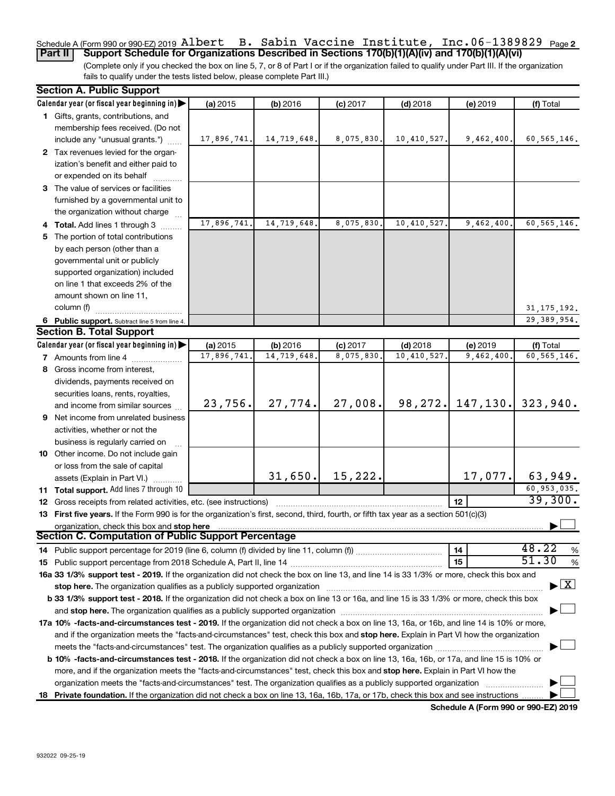#### Schedule A (Form 990 or 990-EZ) 2019 <code>AlDert B.</code> Sabin Vaccine Institute, Inc.06-1389829  $\,$  Page <code>2</code> **Part II Support Schedule for Organizations Described in Sections 170(b)(1)(A)(iv) and 170(b)(1)(A)(vi)** Albert B. Sabin Vaccine Institute, Inc.06-1389829

(Complete only if you checked the box on line 5, 7, or 8 of Part I or if the organization failed to qualify under Part III. If the organization fails to qualify under the tests listed below, please complete Part III.)

| Calendar year (or fiscal year beginning in)<br>(a) 2015<br>(b) 2016<br>$(d)$ 2018<br>(f) Total<br>$(c)$ 2017<br>(e) 2019<br>1 Gifts, grants, contributions, and<br>membership fees received. (Do not<br>14,719,648.<br>8,075,830.<br>10,410,527.<br>9,462,400.<br>include any "unusual grants.")<br>17,896,741.<br>2 Tax revenues levied for the organ-<br>ization's benefit and either paid to<br>or expended on its behalf<br>3 The value of services or facilities<br>furnished by a governmental unit to<br>the organization without charge<br>14,719,648.<br>8,075,830.<br>10,410,527.<br>17,896,741.<br>9,462,400<br>4 Total. Add lines 1 through 3<br>5 The portion of total contributions<br>by each person (other than a<br>governmental unit or publicly<br>supported organization) included<br>on line 1 that exceeds 2% of the<br>amount shown on line 11,<br>column (f)<br>31, 175, 192.<br>29, 389, 954.<br>6 Public support. Subtract line 5 from line 4.<br><b>Section B. Total Support</b><br>Calendar year (or fiscal year beginning in)<br>(a) 2015<br>(b) 2016<br>$(c)$ 2017<br>$(d)$ 2018<br>(f) Total<br>(e) 2019<br>14,719,648<br>8,075,830<br>10,410,527<br>9,462,400<br>60, 565, 146.<br>17,896,741<br><b>7</b> Amounts from line 4<br>8 Gross income from interest,<br>dividends, payments received on<br>securities loans, rents, royalties,<br>147, 130.<br>27,774.<br>27,008.<br>98, 272.<br>323,940.<br>23,756.<br>and income from similar sources<br>9 Net income from unrelated business<br>activities, whether or not the<br>business is regularly carried on<br>10 Other income. Do not include gain<br>or loss from the sale of capital<br>31,650.<br>15,222.<br>17,077.<br>63,949.<br>assets (Explain in Part VI.)<br>60,953,035.<br>11 Total support. Add lines 7 through 10<br>39,300.<br>12<br><b>12</b> Gross receipts from related activities, etc. (see instructions)<br>13 First five years. If the Form 990 is for the organization's first, second, third, fourth, or fifth tax year as a section 501(c)(3) | <b>Section A. Public Support</b>           |  |  |                                          |
|----------------------------------------------------------------------------------------------------------------------------------------------------------------------------------------------------------------------------------------------------------------------------------------------------------------------------------------------------------------------------------------------------------------------------------------------------------------------------------------------------------------------------------------------------------------------------------------------------------------------------------------------------------------------------------------------------------------------------------------------------------------------------------------------------------------------------------------------------------------------------------------------------------------------------------------------------------------------------------------------------------------------------------------------------------------------------------------------------------------------------------------------------------------------------------------------------------------------------------------------------------------------------------------------------------------------------------------------------------------------------------------------------------------------------------------------------------------------------------------------------------------------------------------------------------------------------------------------------------------------------------------------------------------------------------------------------------------------------------------------------------------------------------------------------------------------------------------------------------------------------------------------------------------------------------------------------------------------------------------------------------------------------------------------------------|--------------------------------------------|--|--|------------------------------------------|
|                                                                                                                                                                                                                                                                                                                                                                                                                                                                                                                                                                                                                                                                                                                                                                                                                                                                                                                                                                                                                                                                                                                                                                                                                                                                                                                                                                                                                                                                                                                                                                                                                                                                                                                                                                                                                                                                                                                                                                                                                                                          |                                            |  |  |                                          |
|                                                                                                                                                                                                                                                                                                                                                                                                                                                                                                                                                                                                                                                                                                                                                                                                                                                                                                                                                                                                                                                                                                                                                                                                                                                                                                                                                                                                                                                                                                                                                                                                                                                                                                                                                                                                                                                                                                                                                                                                                                                          |                                            |  |  |                                          |
|                                                                                                                                                                                                                                                                                                                                                                                                                                                                                                                                                                                                                                                                                                                                                                                                                                                                                                                                                                                                                                                                                                                                                                                                                                                                                                                                                                                                                                                                                                                                                                                                                                                                                                                                                                                                                                                                                                                                                                                                                                                          |                                            |  |  |                                          |
|                                                                                                                                                                                                                                                                                                                                                                                                                                                                                                                                                                                                                                                                                                                                                                                                                                                                                                                                                                                                                                                                                                                                                                                                                                                                                                                                                                                                                                                                                                                                                                                                                                                                                                                                                                                                                                                                                                                                                                                                                                                          |                                            |  |  | 60, 565, 146.                            |
|                                                                                                                                                                                                                                                                                                                                                                                                                                                                                                                                                                                                                                                                                                                                                                                                                                                                                                                                                                                                                                                                                                                                                                                                                                                                                                                                                                                                                                                                                                                                                                                                                                                                                                                                                                                                                                                                                                                                                                                                                                                          |                                            |  |  |                                          |
|                                                                                                                                                                                                                                                                                                                                                                                                                                                                                                                                                                                                                                                                                                                                                                                                                                                                                                                                                                                                                                                                                                                                                                                                                                                                                                                                                                                                                                                                                                                                                                                                                                                                                                                                                                                                                                                                                                                                                                                                                                                          |                                            |  |  |                                          |
|                                                                                                                                                                                                                                                                                                                                                                                                                                                                                                                                                                                                                                                                                                                                                                                                                                                                                                                                                                                                                                                                                                                                                                                                                                                                                                                                                                                                                                                                                                                                                                                                                                                                                                                                                                                                                                                                                                                                                                                                                                                          |                                            |  |  |                                          |
|                                                                                                                                                                                                                                                                                                                                                                                                                                                                                                                                                                                                                                                                                                                                                                                                                                                                                                                                                                                                                                                                                                                                                                                                                                                                                                                                                                                                                                                                                                                                                                                                                                                                                                                                                                                                                                                                                                                                                                                                                                                          |                                            |  |  |                                          |
|                                                                                                                                                                                                                                                                                                                                                                                                                                                                                                                                                                                                                                                                                                                                                                                                                                                                                                                                                                                                                                                                                                                                                                                                                                                                                                                                                                                                                                                                                                                                                                                                                                                                                                                                                                                                                                                                                                                                                                                                                                                          |                                            |  |  |                                          |
|                                                                                                                                                                                                                                                                                                                                                                                                                                                                                                                                                                                                                                                                                                                                                                                                                                                                                                                                                                                                                                                                                                                                                                                                                                                                                                                                                                                                                                                                                                                                                                                                                                                                                                                                                                                                                                                                                                                                                                                                                                                          |                                            |  |  |                                          |
|                                                                                                                                                                                                                                                                                                                                                                                                                                                                                                                                                                                                                                                                                                                                                                                                                                                                                                                                                                                                                                                                                                                                                                                                                                                                                                                                                                                                                                                                                                                                                                                                                                                                                                                                                                                                                                                                                                                                                                                                                                                          |                                            |  |  | 60, 565, 146.                            |
|                                                                                                                                                                                                                                                                                                                                                                                                                                                                                                                                                                                                                                                                                                                                                                                                                                                                                                                                                                                                                                                                                                                                                                                                                                                                                                                                                                                                                                                                                                                                                                                                                                                                                                                                                                                                                                                                                                                                                                                                                                                          |                                            |  |  |                                          |
|                                                                                                                                                                                                                                                                                                                                                                                                                                                                                                                                                                                                                                                                                                                                                                                                                                                                                                                                                                                                                                                                                                                                                                                                                                                                                                                                                                                                                                                                                                                                                                                                                                                                                                                                                                                                                                                                                                                                                                                                                                                          |                                            |  |  |                                          |
|                                                                                                                                                                                                                                                                                                                                                                                                                                                                                                                                                                                                                                                                                                                                                                                                                                                                                                                                                                                                                                                                                                                                                                                                                                                                                                                                                                                                                                                                                                                                                                                                                                                                                                                                                                                                                                                                                                                                                                                                                                                          |                                            |  |  |                                          |
|                                                                                                                                                                                                                                                                                                                                                                                                                                                                                                                                                                                                                                                                                                                                                                                                                                                                                                                                                                                                                                                                                                                                                                                                                                                                                                                                                                                                                                                                                                                                                                                                                                                                                                                                                                                                                                                                                                                                                                                                                                                          |                                            |  |  |                                          |
|                                                                                                                                                                                                                                                                                                                                                                                                                                                                                                                                                                                                                                                                                                                                                                                                                                                                                                                                                                                                                                                                                                                                                                                                                                                                                                                                                                                                                                                                                                                                                                                                                                                                                                                                                                                                                                                                                                                                                                                                                                                          |                                            |  |  |                                          |
|                                                                                                                                                                                                                                                                                                                                                                                                                                                                                                                                                                                                                                                                                                                                                                                                                                                                                                                                                                                                                                                                                                                                                                                                                                                                                                                                                                                                                                                                                                                                                                                                                                                                                                                                                                                                                                                                                                                                                                                                                                                          |                                            |  |  |                                          |
|                                                                                                                                                                                                                                                                                                                                                                                                                                                                                                                                                                                                                                                                                                                                                                                                                                                                                                                                                                                                                                                                                                                                                                                                                                                                                                                                                                                                                                                                                                                                                                                                                                                                                                                                                                                                                                                                                                                                                                                                                                                          |                                            |  |  |                                          |
|                                                                                                                                                                                                                                                                                                                                                                                                                                                                                                                                                                                                                                                                                                                                                                                                                                                                                                                                                                                                                                                                                                                                                                                                                                                                                                                                                                                                                                                                                                                                                                                                                                                                                                                                                                                                                                                                                                                                                                                                                                                          |                                            |  |  |                                          |
|                                                                                                                                                                                                                                                                                                                                                                                                                                                                                                                                                                                                                                                                                                                                                                                                                                                                                                                                                                                                                                                                                                                                                                                                                                                                                                                                                                                                                                                                                                                                                                                                                                                                                                                                                                                                                                                                                                                                                                                                                                                          |                                            |  |  |                                          |
|                                                                                                                                                                                                                                                                                                                                                                                                                                                                                                                                                                                                                                                                                                                                                                                                                                                                                                                                                                                                                                                                                                                                                                                                                                                                                                                                                                                                                                                                                                                                                                                                                                                                                                                                                                                                                                                                                                                                                                                                                                                          |                                            |  |  |                                          |
|                                                                                                                                                                                                                                                                                                                                                                                                                                                                                                                                                                                                                                                                                                                                                                                                                                                                                                                                                                                                                                                                                                                                                                                                                                                                                                                                                                                                                                                                                                                                                                                                                                                                                                                                                                                                                                                                                                                                                                                                                                                          |                                            |  |  |                                          |
|                                                                                                                                                                                                                                                                                                                                                                                                                                                                                                                                                                                                                                                                                                                                                                                                                                                                                                                                                                                                                                                                                                                                                                                                                                                                                                                                                                                                                                                                                                                                                                                                                                                                                                                                                                                                                                                                                                                                                                                                                                                          |                                            |  |  |                                          |
|                                                                                                                                                                                                                                                                                                                                                                                                                                                                                                                                                                                                                                                                                                                                                                                                                                                                                                                                                                                                                                                                                                                                                                                                                                                                                                                                                                                                                                                                                                                                                                                                                                                                                                                                                                                                                                                                                                                                                                                                                                                          |                                            |  |  |                                          |
|                                                                                                                                                                                                                                                                                                                                                                                                                                                                                                                                                                                                                                                                                                                                                                                                                                                                                                                                                                                                                                                                                                                                                                                                                                                                                                                                                                                                                                                                                                                                                                                                                                                                                                                                                                                                                                                                                                                                                                                                                                                          |                                            |  |  |                                          |
|                                                                                                                                                                                                                                                                                                                                                                                                                                                                                                                                                                                                                                                                                                                                                                                                                                                                                                                                                                                                                                                                                                                                                                                                                                                                                                                                                                                                                                                                                                                                                                                                                                                                                                                                                                                                                                                                                                                                                                                                                                                          |                                            |  |  |                                          |
|                                                                                                                                                                                                                                                                                                                                                                                                                                                                                                                                                                                                                                                                                                                                                                                                                                                                                                                                                                                                                                                                                                                                                                                                                                                                                                                                                                                                                                                                                                                                                                                                                                                                                                                                                                                                                                                                                                                                                                                                                                                          |                                            |  |  |                                          |
|                                                                                                                                                                                                                                                                                                                                                                                                                                                                                                                                                                                                                                                                                                                                                                                                                                                                                                                                                                                                                                                                                                                                                                                                                                                                                                                                                                                                                                                                                                                                                                                                                                                                                                                                                                                                                                                                                                                                                                                                                                                          |                                            |  |  |                                          |
|                                                                                                                                                                                                                                                                                                                                                                                                                                                                                                                                                                                                                                                                                                                                                                                                                                                                                                                                                                                                                                                                                                                                                                                                                                                                                                                                                                                                                                                                                                                                                                                                                                                                                                                                                                                                                                                                                                                                                                                                                                                          |                                            |  |  |                                          |
|                                                                                                                                                                                                                                                                                                                                                                                                                                                                                                                                                                                                                                                                                                                                                                                                                                                                                                                                                                                                                                                                                                                                                                                                                                                                                                                                                                                                                                                                                                                                                                                                                                                                                                                                                                                                                                                                                                                                                                                                                                                          |                                            |  |  |                                          |
|                                                                                                                                                                                                                                                                                                                                                                                                                                                                                                                                                                                                                                                                                                                                                                                                                                                                                                                                                                                                                                                                                                                                                                                                                                                                                                                                                                                                                                                                                                                                                                                                                                                                                                                                                                                                                                                                                                                                                                                                                                                          |                                            |  |  |                                          |
|                                                                                                                                                                                                                                                                                                                                                                                                                                                                                                                                                                                                                                                                                                                                                                                                                                                                                                                                                                                                                                                                                                                                                                                                                                                                                                                                                                                                                                                                                                                                                                                                                                                                                                                                                                                                                                                                                                                                                                                                                                                          |                                            |  |  |                                          |
|                                                                                                                                                                                                                                                                                                                                                                                                                                                                                                                                                                                                                                                                                                                                                                                                                                                                                                                                                                                                                                                                                                                                                                                                                                                                                                                                                                                                                                                                                                                                                                                                                                                                                                                                                                                                                                                                                                                                                                                                                                                          |                                            |  |  |                                          |
|                                                                                                                                                                                                                                                                                                                                                                                                                                                                                                                                                                                                                                                                                                                                                                                                                                                                                                                                                                                                                                                                                                                                                                                                                                                                                                                                                                                                                                                                                                                                                                                                                                                                                                                                                                                                                                                                                                                                                                                                                                                          |                                            |  |  |                                          |
|                                                                                                                                                                                                                                                                                                                                                                                                                                                                                                                                                                                                                                                                                                                                                                                                                                                                                                                                                                                                                                                                                                                                                                                                                                                                                                                                                                                                                                                                                                                                                                                                                                                                                                                                                                                                                                                                                                                                                                                                                                                          |                                            |  |  |                                          |
|                                                                                                                                                                                                                                                                                                                                                                                                                                                                                                                                                                                                                                                                                                                                                                                                                                                                                                                                                                                                                                                                                                                                                                                                                                                                                                                                                                                                                                                                                                                                                                                                                                                                                                                                                                                                                                                                                                                                                                                                                                                          |                                            |  |  |                                          |
|                                                                                                                                                                                                                                                                                                                                                                                                                                                                                                                                                                                                                                                                                                                                                                                                                                                                                                                                                                                                                                                                                                                                                                                                                                                                                                                                                                                                                                                                                                                                                                                                                                                                                                                                                                                                                                                                                                                                                                                                                                                          | organization, check this box and stop here |  |  |                                          |
| <b>Section C. Computation of Public Support Percentage</b>                                                                                                                                                                                                                                                                                                                                                                                                                                                                                                                                                                                                                                                                                                                                                                                                                                                                                                                                                                                                                                                                                                                                                                                                                                                                                                                                                                                                                                                                                                                                                                                                                                                                                                                                                                                                                                                                                                                                                                                               |                                            |  |  |                                          |
| 48.22<br>14                                                                                                                                                                                                                                                                                                                                                                                                                                                                                                                                                                                                                                                                                                                                                                                                                                                                                                                                                                                                                                                                                                                                                                                                                                                                                                                                                                                                                                                                                                                                                                                                                                                                                                                                                                                                                                                                                                                                                                                                                                              |                                            |  |  | %                                        |
| 51.30<br>15                                                                                                                                                                                                                                                                                                                                                                                                                                                                                                                                                                                                                                                                                                                                                                                                                                                                                                                                                                                                                                                                                                                                                                                                                                                                                                                                                                                                                                                                                                                                                                                                                                                                                                                                                                                                                                                                                                                                                                                                                                              |                                            |  |  | %                                        |
| 16a 33 1/3% support test - 2019. If the organization did not check the box on line 13, and line 14 is 33 1/3% or more, check this box and                                                                                                                                                                                                                                                                                                                                                                                                                                                                                                                                                                                                                                                                                                                                                                                                                                                                                                                                                                                                                                                                                                                                                                                                                                                                                                                                                                                                                                                                                                                                                                                                                                                                                                                                                                                                                                                                                                                |                                            |  |  |                                          |
| stop here. The organization qualifies as a publicly supported organization manufactured content and the support of the state of the state of the state of the state of the state of the state of the state of the state of the                                                                                                                                                                                                                                                                                                                                                                                                                                                                                                                                                                                                                                                                                                                                                                                                                                                                                                                                                                                                                                                                                                                                                                                                                                                                                                                                                                                                                                                                                                                                                                                                                                                                                                                                                                                                                           |                                            |  |  | $\blacktriangleright$ $\boxed{\text{X}}$ |
| b 33 1/3% support test - 2018. If the organization did not check a box on line 13 or 16a, and line 15 is 33 1/3% or more, check this box                                                                                                                                                                                                                                                                                                                                                                                                                                                                                                                                                                                                                                                                                                                                                                                                                                                                                                                                                                                                                                                                                                                                                                                                                                                                                                                                                                                                                                                                                                                                                                                                                                                                                                                                                                                                                                                                                                                 |                                            |  |  |                                          |
|                                                                                                                                                                                                                                                                                                                                                                                                                                                                                                                                                                                                                                                                                                                                                                                                                                                                                                                                                                                                                                                                                                                                                                                                                                                                                                                                                                                                                                                                                                                                                                                                                                                                                                                                                                                                                                                                                                                                                                                                                                                          |                                            |  |  |                                          |
| 17a 10% -facts-and-circumstances test - 2019. If the organization did not check a box on line 13, 16a, or 16b, and line 14 is 10% or more,                                                                                                                                                                                                                                                                                                                                                                                                                                                                                                                                                                                                                                                                                                                                                                                                                                                                                                                                                                                                                                                                                                                                                                                                                                                                                                                                                                                                                                                                                                                                                                                                                                                                                                                                                                                                                                                                                                               |                                            |  |  |                                          |
| and if the organization meets the "facts-and-circumstances" test, check this box and stop here. Explain in Part VI how the organization                                                                                                                                                                                                                                                                                                                                                                                                                                                                                                                                                                                                                                                                                                                                                                                                                                                                                                                                                                                                                                                                                                                                                                                                                                                                                                                                                                                                                                                                                                                                                                                                                                                                                                                                                                                                                                                                                                                  |                                            |  |  |                                          |
|                                                                                                                                                                                                                                                                                                                                                                                                                                                                                                                                                                                                                                                                                                                                                                                                                                                                                                                                                                                                                                                                                                                                                                                                                                                                                                                                                                                                                                                                                                                                                                                                                                                                                                                                                                                                                                                                                                                                                                                                                                                          |                                            |  |  |                                          |
| b 10% -facts-and-circumstances test - 2018. If the organization did not check a box on line 13, 16a, 16b, or 17a, and line 15 is 10% or                                                                                                                                                                                                                                                                                                                                                                                                                                                                                                                                                                                                                                                                                                                                                                                                                                                                                                                                                                                                                                                                                                                                                                                                                                                                                                                                                                                                                                                                                                                                                                                                                                                                                                                                                                                                                                                                                                                  |                                            |  |  |                                          |
| more, and if the organization meets the "facts-and-circumstances" test, check this box and stop here. Explain in Part VI how the                                                                                                                                                                                                                                                                                                                                                                                                                                                                                                                                                                                                                                                                                                                                                                                                                                                                                                                                                                                                                                                                                                                                                                                                                                                                                                                                                                                                                                                                                                                                                                                                                                                                                                                                                                                                                                                                                                                         |                                            |  |  |                                          |
| organization meets the "facts-and-circumstances" test. The organization qualifies as a publicly supported organization                                                                                                                                                                                                                                                                                                                                                                                                                                                                                                                                                                                                                                                                                                                                                                                                                                                                                                                                                                                                                                                                                                                                                                                                                                                                                                                                                                                                                                                                                                                                                                                                                                                                                                                                                                                                                                                                                                                                   |                                            |  |  |                                          |
| 18 Private foundation. If the organization did not check a box on line 13, 16a, 16b, 17a, or 17b, check this box and see instructions                                                                                                                                                                                                                                                                                                                                                                                                                                                                                                                                                                                                                                                                                                                                                                                                                                                                                                                                                                                                                                                                                                                                                                                                                                                                                                                                                                                                                                                                                                                                                                                                                                                                                                                                                                                                                                                                                                                    |                                            |  |  |                                          |

**Schedule A (Form 990 or 990-EZ) 2019**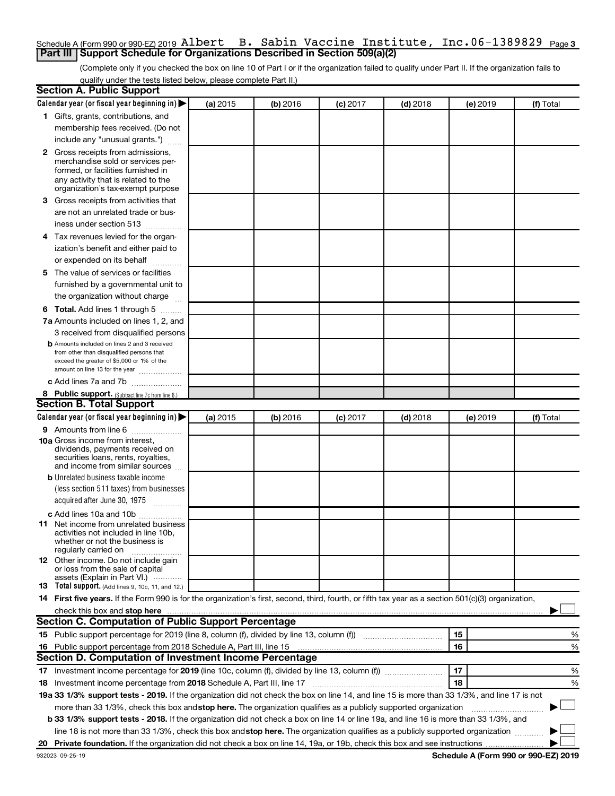## Schedule A (Form 990 or 990-EZ) 2019 <code>Albert B.</code> Sabin Vaccine Institute, Inc.06-1389829 <code>page</code>3 **Part III Support Schedule for Organizations Described in Section 509(a)(2)**

(Complete only if you checked the box on line 10 of Part I or if the organization failed to qualify under Part II. If the organization fails to qualify under the tests listed below, please complete Part II.)

|    | <b>Section A. Public Support</b>                                                                                                                    |          |          |            |            |          |           |
|----|-----------------------------------------------------------------------------------------------------------------------------------------------------|----------|----------|------------|------------|----------|-----------|
|    | Calendar year (or fiscal year beginning in)                                                                                                         | (a) 2015 | (b) 2016 | $(c)$ 2017 | $(d)$ 2018 | (e) 2019 | (f) Total |
|    | 1 Gifts, grants, contributions, and                                                                                                                 |          |          |            |            |          |           |
|    | membership fees received. (Do not                                                                                                                   |          |          |            |            |          |           |
|    | include any "unusual grants.")                                                                                                                      |          |          |            |            |          |           |
|    | 2 Gross receipts from admissions,                                                                                                                   |          |          |            |            |          |           |
|    | merchandise sold or services per-                                                                                                                   |          |          |            |            |          |           |
|    | formed, or facilities furnished in<br>any activity that is related to the                                                                           |          |          |            |            |          |           |
|    | organization's tax-exempt purpose                                                                                                                   |          |          |            |            |          |           |
| 3  | Gross receipts from activities that                                                                                                                 |          |          |            |            |          |           |
|    | are not an unrelated trade or bus-                                                                                                                  |          |          |            |            |          |           |
|    | iness under section 513                                                                                                                             |          |          |            |            |          |           |
|    | 4 Tax revenues levied for the organ-                                                                                                                |          |          |            |            |          |           |
|    | ization's benefit and either paid to                                                                                                                |          |          |            |            |          |           |
|    | or expended on its behalf                                                                                                                           |          |          |            |            |          |           |
| 5. | The value of services or facilities                                                                                                                 |          |          |            |            |          |           |
|    | furnished by a governmental unit to                                                                                                                 |          |          |            |            |          |           |
|    | the organization without charge                                                                                                                     |          |          |            |            |          |           |
|    | 6 Total. Add lines 1 through 5                                                                                                                      |          |          |            |            |          |           |
|    | 7a Amounts included on lines 1, 2, and                                                                                                              |          |          |            |            |          |           |
|    | 3 received from disqualified persons                                                                                                                |          |          |            |            |          |           |
|    | <b>b</b> Amounts included on lines 2 and 3 received                                                                                                 |          |          |            |            |          |           |
|    | from other than disqualified persons that                                                                                                           |          |          |            |            |          |           |
|    | exceed the greater of \$5,000 or 1% of the<br>amount on line 13 for the year                                                                        |          |          |            |            |          |           |
|    | c Add lines 7a and 7b                                                                                                                               |          |          |            |            |          |           |
|    | 8 Public support. (Subtract line 7c from line 6.)                                                                                                   |          |          |            |            |          |           |
|    | <b>Section B. Total Support</b>                                                                                                                     |          |          |            |            |          |           |
|    | Calendar year (or fiscal year beginning in)                                                                                                         | (a) 2015 | (b) 2016 | $(c)$ 2017 | $(d)$ 2018 | (e) 2019 | (f) Total |
|    | 9 Amounts from line 6                                                                                                                               |          |          |            |            |          |           |
|    | <b>10a</b> Gross income from interest,                                                                                                              |          |          |            |            |          |           |
|    | dividends, payments received on                                                                                                                     |          |          |            |            |          |           |
|    | securities loans, rents, royalties,<br>and income from similar sources                                                                              |          |          |            |            |          |           |
|    | <b>b</b> Unrelated business taxable income                                                                                                          |          |          |            |            |          |           |
|    | (less section 511 taxes) from businesses                                                                                                            |          |          |            |            |          |           |
|    | acquired after June 30, 1975                                                                                                                        |          |          |            |            |          |           |
|    | c Add lines 10a and 10b                                                                                                                             |          |          |            |            |          |           |
|    | <b>11</b> Net income from unrelated business                                                                                                        |          |          |            |            |          |           |
|    | activities not included in line 10b.                                                                                                                |          |          |            |            |          |           |
|    | whether or not the business is<br>regularly carried on                                                                                              |          |          |            |            |          |           |
|    | <b>12</b> Other income. Do not include gain                                                                                                         |          |          |            |            |          |           |
|    | or loss from the sale of capital                                                                                                                    |          |          |            |            |          |           |
|    | assets (Explain in Part VI.)<br>13 Total support. (Add lines 9, 10c, 11, and 12.)                                                                   |          |          |            |            |          |           |
|    | 14 First five years. If the Form 990 is for the organization's first, second, third, fourth, or fifth tax year as a section 501(c)(3) organization, |          |          |            |            |          |           |
|    | check this box and stop here                                                                                                                        |          |          |            |            |          |           |
|    | <b>Section C. Computation of Public Support Percentage</b>                                                                                          |          |          |            |            |          |           |
|    |                                                                                                                                                     |          |          |            |            | 15       | %         |
|    | 16 Public support percentage from 2018 Schedule A, Part III, line 15                                                                                |          |          |            |            | 16       | %         |
|    | Section D. Computation of Investment Income Percentage                                                                                              |          |          |            |            |          |           |
|    |                                                                                                                                                     |          |          |            |            | 17       | %         |
|    | 18 Investment income percentage from 2018 Schedule A, Part III, line 17                                                                             |          |          |            |            | 18       | %         |
|    | 19a 33 1/3% support tests - 2019. If the organization did not check the box on line 14, and line 15 is more than 33 1/3%, and line 17 is not        |          |          |            |            |          |           |
|    | more than 33 1/3%, check this box and stop here. The organization qualifies as a publicly supported organization                                    |          |          |            |            |          |           |
|    |                                                                                                                                                     |          |          |            |            |          |           |
|    | b 33 1/3% support tests - 2018. If the organization did not check a box on line 14 or line 19a, and line 16 is more than 33 1/3%, and               |          |          |            |            |          |           |
|    | line 18 is not more than 33 1/3%, check this box and stop here. The organization qualifies as a publicly supported organization                     |          |          |            |            |          |           |
|    |                                                                                                                                                     |          |          |            |            |          |           |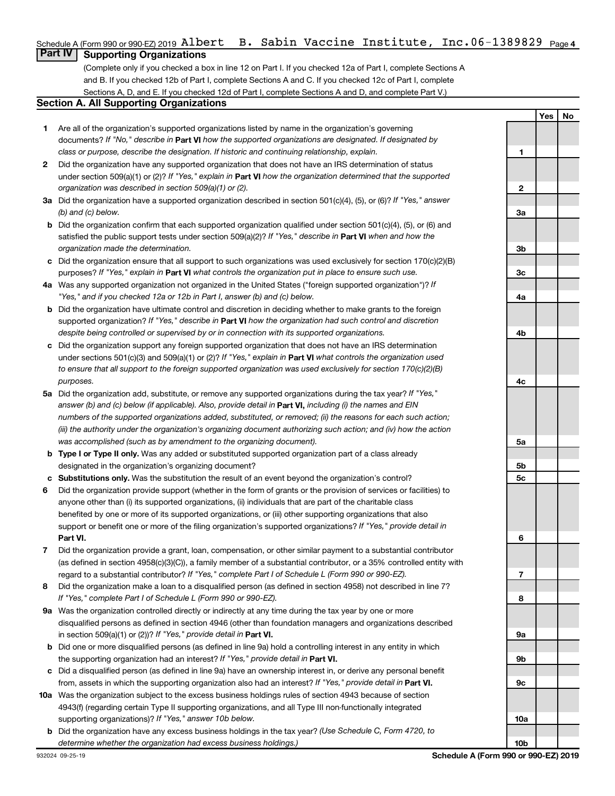## Schedule A (Form 990 or 990-EZ) 2019 <code>Albert B.</code> Sabin Vaccine Institute, Inc.06-1389829 <code>page4</code>

## **Part IV Supporting Organizations**

(Complete only if you checked a box in line 12 on Part I. If you checked 12a of Part I, complete Sections A and B. If you checked 12b of Part I, complete Sections A and C. If you checked 12c of Part I, complete Sections A, D, and E. If you checked 12d of Part I, complete Sections A and D, and complete Part V.)

### **Section A. All Supporting Organizations**

- **1** Are all of the organization's supported organizations listed by name in the organization's governing documents? If "No," describe in Part VI how the supported organizations are designated. If designated by *class or purpose, describe the designation. If historic and continuing relationship, explain.*
- **2** Did the organization have any supported organization that does not have an IRS determination of status under section 509(a)(1) or (2)? If "Yes," explain in Part **VI** how the organization determined that the supported *organization was described in section 509(a)(1) or (2).*
- **3a** Did the organization have a supported organization described in section 501(c)(4), (5), or (6)? If "Yes," answer *(b) and (c) below.*
- **b** Did the organization confirm that each supported organization qualified under section 501(c)(4), (5), or (6) and satisfied the public support tests under section 509(a)(2)? If "Yes," describe in Part VI when and how the *organization made the determination.*
- **c** Did the organization ensure that all support to such organizations was used exclusively for section 170(c)(2)(B) purposes? If "Yes," explain in Part VI what controls the organization put in place to ensure such use.
- **4 a** *If* Was any supported organization not organized in the United States ("foreign supported organization")? *"Yes," and if you checked 12a or 12b in Part I, answer (b) and (c) below.*
- **b** Did the organization have ultimate control and discretion in deciding whether to make grants to the foreign supported organization? If "Yes," describe in Part VI how the organization had such control and discretion *despite being controlled or supervised by or in connection with its supported organizations.*
- **c** Did the organization support any foreign supported organization that does not have an IRS determination under sections 501(c)(3) and 509(a)(1) or (2)? If "Yes," explain in Part VI what controls the organization used *to ensure that all support to the foreign supported organization was used exclusively for section 170(c)(2)(B) purposes.*
- **5a** Did the organization add, substitute, or remove any supported organizations during the tax year? If "Yes," answer (b) and (c) below (if applicable). Also, provide detail in **Part VI,** including (i) the names and EIN *numbers of the supported organizations added, substituted, or removed; (ii) the reasons for each such action; (iii) the authority under the organization's organizing document authorizing such action; and (iv) how the action was accomplished (such as by amendment to the organizing document).*
- **b** Type I or Type II only. Was any added or substituted supported organization part of a class already designated in the organization's organizing document?
- **c Substitutions only.**  Was the substitution the result of an event beyond the organization's control?
- **6** Did the organization provide support (whether in the form of grants or the provision of services or facilities) to **Part VI.** support or benefit one or more of the filing organization's supported organizations? If "Yes," provide detail in anyone other than (i) its supported organizations, (ii) individuals that are part of the charitable class benefited by one or more of its supported organizations, or (iii) other supporting organizations that also
- **7** Did the organization provide a grant, loan, compensation, or other similar payment to a substantial contributor regard to a substantial contributor? If "Yes," complete Part I of Schedule L (Form 990 or 990-EZ). (as defined in section 4958(c)(3)(C)), a family member of a substantial contributor, or a 35% controlled entity with
- **8** Did the organization make a loan to a disqualified person (as defined in section 4958) not described in line 7? *If "Yes," complete Part I of Schedule L (Form 990 or 990-EZ).*
- **9 a** Was the organization controlled directly or indirectly at any time during the tax year by one or more in section 509(a)(1) or (2))? If "Yes," provide detail in **Part VI.** disqualified persons as defined in section 4946 (other than foundation managers and organizations described
- **b** Did one or more disqualified persons (as defined in line 9a) hold a controlling interest in any entity in which the supporting organization had an interest? If "Yes," provide detail in Part VI.
- **c** Did a disqualified person (as defined in line 9a) have an ownership interest in, or derive any personal benefit from, assets in which the supporting organization also had an interest? If "Yes," provide detail in Part VI.
- **10 a** Was the organization subject to the excess business holdings rules of section 4943 because of section supporting organizations)? If "Yes," answer 10b below. 4943(f) (regarding certain Type II supporting organizations, and all Type III non-functionally integrated
	- **b** Did the organization have any excess business holdings in the tax year? (Use Schedule C, Form 4720, to *determine whether the organization had excess business holdings.)*

**Yes No**

**10b**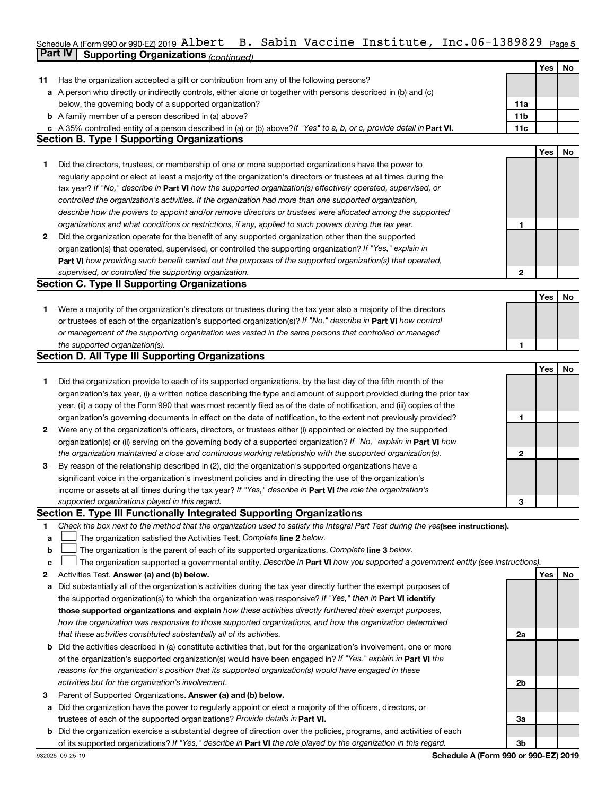### Schedule A (Form 990 or 990-EZ) 2019 <code>AlDert B.</code> Sabin Vaccine Institute, Inc.06-1389829  $\,$  Page 5  $\,$ **Part IV Supporting Organizations** *(continued)* Albert B. Sabin Vaccine Institute, Inc.06-1389829

|              |                                                                                                                                 |              | <b>Yes</b> | No |
|--------------|---------------------------------------------------------------------------------------------------------------------------------|--------------|------------|----|
| 11           | Has the organization accepted a gift or contribution from any of the following persons?                                         |              |            |    |
| а            | A person who directly or indirectly controls, either alone or together with persons described in (b) and (c)                    |              |            |    |
|              | below, the governing body of a supported organization?                                                                          | 11a          |            |    |
|              | <b>b</b> A family member of a person described in (a) above?                                                                    | 11b          |            |    |
|              | c A 35% controlled entity of a person described in (a) or (b) above? If "Yes" to a, b, or c, provide detail in Part VI.         | 11c          |            |    |
|              | <b>Section B. Type I Supporting Organizations</b>                                                                               |              |            |    |
|              |                                                                                                                                 |              | Yes        | No |
| 1            | Did the directors, trustees, or membership of one or more supported organizations have the power to                             |              |            |    |
|              | regularly appoint or elect at least a majority of the organization's directors or trustees at all times during the              |              |            |    |
|              | tax year? If "No," describe in Part VI how the supported organization(s) effectively operated, supervised, or                   |              |            |    |
|              | controlled the organization's activities. If the organization had more than one supported organization,                         |              |            |    |
|              | describe how the powers to appoint and/or remove directors or trustees were allocated among the supported                       |              |            |    |
|              | organizations and what conditions or restrictions, if any, applied to such powers during the tax year.                          | 1            |            |    |
| $\mathbf{2}$ | Did the organization operate for the benefit of any supported organization other than the supported                             |              |            |    |
|              | organization(s) that operated, supervised, or controlled the supporting organization? If "Yes," explain in                      |              |            |    |
|              | Part VI how providing such benefit carried out the purposes of the supported organization(s) that operated,                     |              |            |    |
|              | supervised, or controlled the supporting organization.                                                                          | $\mathbf{2}$ |            |    |
|              | <b>Section C. Type II Supporting Organizations</b>                                                                              |              |            |    |
|              |                                                                                                                                 |              | Yes        | No |
| 1.           | Were a majority of the organization's directors or trustees during the tax year also a majority of the directors                |              |            |    |
|              | or trustees of each of the organization's supported organization(s)? If "No," describe in Part VI how control                   |              |            |    |
|              | or management of the supporting organization was vested in the same persons that controlled or managed                          |              |            |    |
|              | the supported organization(s).                                                                                                  | 1            |            |    |
|              | <b>Section D. All Type III Supporting Organizations</b>                                                                         |              |            |    |
|              |                                                                                                                                 |              | Yes        | No |
| 1            | Did the organization provide to each of its supported organizations, by the last day of the fifth month of the                  |              |            |    |
|              | organization's tax year, (i) a written notice describing the type and amount of support provided during the prior tax           |              |            |    |
|              | year, (ii) a copy of the Form 990 that was most recently filed as of the date of notification, and (iii) copies of the          |              |            |    |
|              | organization's governing documents in effect on the date of notification, to the extent not previously provided?                | 1            |            |    |
| 2            | Were any of the organization's officers, directors, or trustees either (i) appointed or elected by the supported                |              |            |    |
|              | organization(s) or (ii) serving on the governing body of a supported organization? If "No," explain in <b>Part VI</b> how       |              |            |    |
|              | the organization maintained a close and continuous working relationship with the supported organization(s).                     | $\mathbf{2}$ |            |    |
| 3            | By reason of the relationship described in (2), did the organization's supported organizations have a                           |              |            |    |
|              | significant voice in the organization's investment policies and in directing the use of the organization's                      |              |            |    |
|              | income or assets at all times during the tax year? If "Yes," describe in Part VI the role the organization's                    |              |            |    |
|              | supported organizations played in this regard.                                                                                  | 3            |            |    |
|              | <b>Section E. Type III Functionally Integrated Supporting Organizations</b>                                                     |              |            |    |
| 1            | Check the box next to the method that the organization used to satisfy the Integral Part Test during the yealsee instructions). |              |            |    |
| a            | The organization satisfied the Activities Test. Complete line 2 below.                                                          |              |            |    |
| $\mathbf b$  | The organization is the parent of each of its supported organizations. Complete line 3 below.                                   |              |            |    |
| с            | The organization supported a governmental entity. Describe in Part VI how you supported a government entity (see instructions). |              |            |    |
| 2            | Activities Test. Answer (a) and (b) below.                                                                                      |              | Yes        | No |
| а            | Did substantially all of the organization's activities during the tax year directly further the exempt purposes of              |              |            |    |
|              | the supported organization(s) to which the organization was responsive? If "Yes," then in Part VI identify                      |              |            |    |
|              | those supported organizations and explain how these activities directly furthered their exempt purposes,                        |              |            |    |
|              | how the organization was responsive to those supported organizations, and how the organization determined                       |              |            |    |
|              | that these activities constituted substantially all of its activities.                                                          | 2a           |            |    |
|              | <b>b</b> Did the activities described in (a) constitute activities that, but for the organization's involvement, one or more    |              |            |    |
|              | of the organization's supported organization(s) would have been engaged in? If "Yes," explain in Part VI the                    |              |            |    |
|              | reasons for the organization's position that its supported organization(s) would have engaged in these                          |              |            |    |
|              | activities but for the organization's involvement.                                                                              | 2b           |            |    |
| 3            | Parent of Supported Organizations. Answer (a) and (b) below.                                                                    |              |            |    |
| а            | Did the organization have the power to regularly appoint or elect a majority of the officers, directors, or                     |              |            |    |
|              | trustees of each of the supported organizations? Provide details in Part VI.                                                    | За           |            |    |
| b            | Did the organization exercise a substantial degree of direction over the policies, programs, and activities of each             |              |            |    |
|              | of its supported organizations? If "Yes," describe in Part VI the role played by the organization in this regard.               | 3b           |            |    |
|              |                                                                                                                                 |              |            |    |

**Schedule A (Form 990 or 990-EZ) 2019**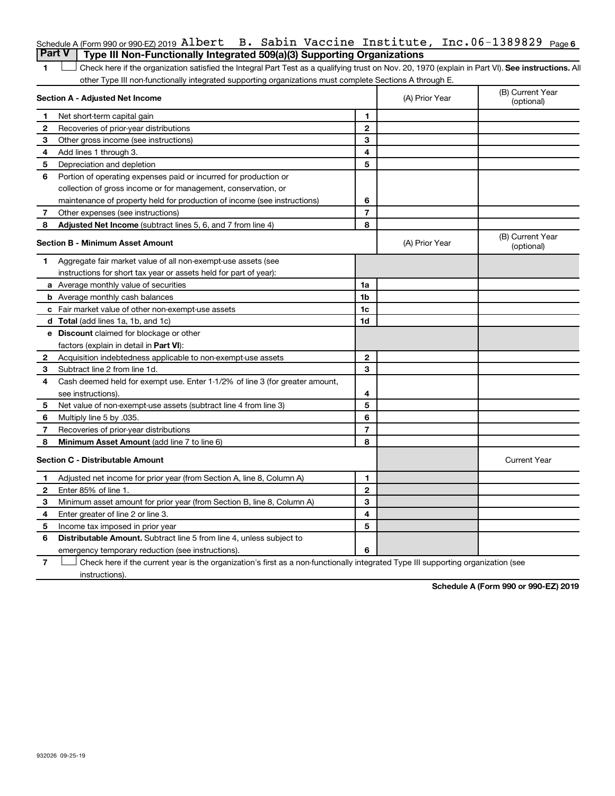|                                                                                         |  |  | Schedule A (Form 990 or 990-EZ) 2019 Albert B. Sabin Vaccine Institute, Inc. $06-1389829$ Page 6 |  |
|-----------------------------------------------------------------------------------------|--|--|--------------------------------------------------------------------------------------------------|--|
| <b>Part V</b>   Type III Non-Functionally Integrated 509(a)(3) Supporting Organizations |  |  |                                                                                                  |  |

1 **Letter See instructions.** All Check here if the organization satisfied the Integral Part Test as a qualifying trust on Nov. 20, 1970 (explain in Part VI). See instructions. All other Type III non-functionally integrated supporting organizations must complete Sections A through E.

|    | Section A - Adjusted Net Income                                              | (A) Prior Year | (B) Current Year<br>(optional) |                                |
|----|------------------------------------------------------------------------------|----------------|--------------------------------|--------------------------------|
| 1  | Net short-term capital gain                                                  | 1              |                                |                                |
| 2  | Recoveries of prior-year distributions                                       | $\mathbf{2}$   |                                |                                |
| 3  | Other gross income (see instructions)                                        | 3              |                                |                                |
| 4  | Add lines 1 through 3.                                                       | 4              |                                |                                |
| 5  | Depreciation and depletion                                                   | 5              |                                |                                |
| 6  | Portion of operating expenses paid or incurred for production or             |                |                                |                                |
|    | collection of gross income or for management, conservation, or               |                |                                |                                |
|    | maintenance of property held for production of income (see instructions)     | 6              |                                |                                |
| 7  | Other expenses (see instructions)                                            | $\overline{7}$ |                                |                                |
| 8  | Adjusted Net Income (subtract lines 5, 6, and 7 from line 4)                 | 8              |                                |                                |
|    | <b>Section B - Minimum Asset Amount</b>                                      |                | (A) Prior Year                 | (B) Current Year<br>(optional) |
| 1. | Aggregate fair market value of all non-exempt-use assets (see                |                |                                |                                |
|    | instructions for short tax year or assets held for part of year):            |                |                                |                                |
|    | a Average monthly value of securities                                        | 1a             |                                |                                |
|    | <b>b</b> Average monthly cash balances                                       | 1 <sub>b</sub> |                                |                                |
|    | c Fair market value of other non-exempt-use assets                           | 1c             |                                |                                |
|    | <b>d</b> Total (add lines 1a, 1b, and 1c)                                    | 1 <sub>d</sub> |                                |                                |
|    | e Discount claimed for blockage or other                                     |                |                                |                                |
|    | factors (explain in detail in Part VI):                                      |                |                                |                                |
| 2  | Acquisition indebtedness applicable to non-exempt-use assets                 | $\mathbf{2}$   |                                |                                |
| З  | Subtract line 2 from line 1d.                                                | 3              |                                |                                |
| 4  | Cash deemed held for exempt use. Enter 1-1/2% of line 3 (for greater amount, |                |                                |                                |
|    | see instructions).                                                           | 4              |                                |                                |
| 5  | Net value of non-exempt-use assets (subtract line 4 from line 3)             | 5              |                                |                                |
| 6  | Multiply line 5 by .035.                                                     | 6              |                                |                                |
| 7  | Recoveries of prior-year distributions                                       | $\overline{7}$ |                                |                                |
| 8  | Minimum Asset Amount (add line 7 to line 6)                                  | 8              |                                |                                |
|    | <b>Section C - Distributable Amount</b>                                      |                |                                | <b>Current Year</b>            |
| 1  | Adjusted net income for prior year (from Section A, line 8, Column A)        | 1              |                                |                                |
| 2  | Enter 85% of line 1.                                                         | $\overline{2}$ |                                |                                |
| З  | Minimum asset amount for prior year (from Section B, line 8, Column A)       | 3              |                                |                                |
| 4  | Enter greater of line 2 or line 3.                                           | 4              |                                |                                |
| 5  | Income tax imposed in prior year                                             | 5              |                                |                                |
| 6  | <b>Distributable Amount.</b> Subtract line 5 from line 4, unless subject to  |                |                                |                                |
|    | emergency temporary reduction (see instructions).                            | 6              |                                |                                |
|    |                                                                              |                |                                |                                |

**7** Let Check here if the current year is the organization's first as a non-functionally integrated Type III supporting organization (see instructions).

**Schedule A (Form 990 or 990-EZ) 2019**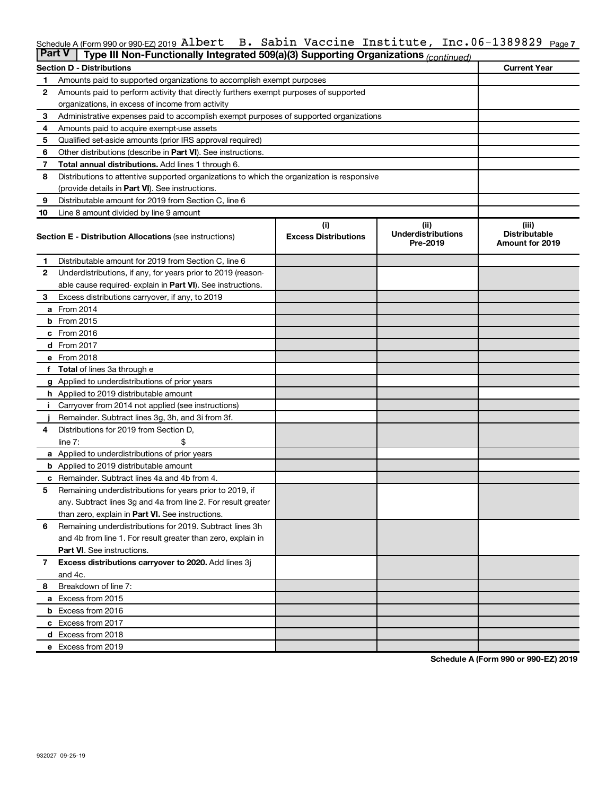#### Schedule A (Form 990 or 990-EZ) 2019 <code>AlDert B.</code> Sabin Vaccine Institute, Inc.06-1389829 <code>page7</code> Albert B. Sabin Vaccine Institute, Inc.06-1389829

| <b>Part V</b> | Type III Non-Functionally Integrated 509(a)(3) Supporting Organizations (continued)        |                             |                                       |                                                |  |  |  |  |  |  |
|---------------|--------------------------------------------------------------------------------------------|-----------------------------|---------------------------------------|------------------------------------------------|--|--|--|--|--|--|
|               | <b>Section D - Distributions</b>                                                           |                             |                                       | <b>Current Year</b>                            |  |  |  |  |  |  |
| 1             | Amounts paid to supported organizations to accomplish exempt purposes                      |                             |                                       |                                                |  |  |  |  |  |  |
| 2             | Amounts paid to perform activity that directly furthers exempt purposes of supported       |                             |                                       |                                                |  |  |  |  |  |  |
|               | organizations, in excess of income from activity                                           |                             |                                       |                                                |  |  |  |  |  |  |
| 3             | Administrative expenses paid to accomplish exempt purposes of supported organizations      |                             |                                       |                                                |  |  |  |  |  |  |
| 4             | Amounts paid to acquire exempt-use assets                                                  |                             |                                       |                                                |  |  |  |  |  |  |
| 5             | Qualified set-aside amounts (prior IRS approval required)                                  |                             |                                       |                                                |  |  |  |  |  |  |
| 6             | Other distributions (describe in <b>Part VI</b> ). See instructions.                       |                             |                                       |                                                |  |  |  |  |  |  |
| 7             | Total annual distributions. Add lines 1 through 6.                                         |                             |                                       |                                                |  |  |  |  |  |  |
| 8             | Distributions to attentive supported organizations to which the organization is responsive |                             |                                       |                                                |  |  |  |  |  |  |
|               | (provide details in Part VI). See instructions.                                            |                             |                                       |                                                |  |  |  |  |  |  |
| 9             | Distributable amount for 2019 from Section C, line 6                                       |                             |                                       |                                                |  |  |  |  |  |  |
| 10            | Line 8 amount divided by line 9 amount                                                     |                             |                                       |                                                |  |  |  |  |  |  |
|               |                                                                                            | (i)                         | (ii)                                  | (iii)                                          |  |  |  |  |  |  |
|               | <b>Section E - Distribution Allocations (see instructions)</b>                             | <b>Excess Distributions</b> | <b>Underdistributions</b><br>Pre-2019 | <b>Distributable</b><br><b>Amount for 2019</b> |  |  |  |  |  |  |
| 1             | Distributable amount for 2019 from Section C, line 6                                       |                             |                                       |                                                |  |  |  |  |  |  |
| $\mathbf{2}$  | Underdistributions, if any, for years prior to 2019 (reason-                               |                             |                                       |                                                |  |  |  |  |  |  |
|               | able cause required-explain in Part VI). See instructions.                                 |                             |                                       |                                                |  |  |  |  |  |  |
| 3             | Excess distributions carryover, if any, to 2019                                            |                             |                                       |                                                |  |  |  |  |  |  |
|               | a From 2014                                                                                |                             |                                       |                                                |  |  |  |  |  |  |
|               | $b$ From 2015                                                                              |                             |                                       |                                                |  |  |  |  |  |  |
|               | c From 2016                                                                                |                             |                                       |                                                |  |  |  |  |  |  |
|               | d From 2017                                                                                |                             |                                       |                                                |  |  |  |  |  |  |
|               | e From 2018                                                                                |                             |                                       |                                                |  |  |  |  |  |  |
|               | <b>Total</b> of lines 3a through e                                                         |                             |                                       |                                                |  |  |  |  |  |  |
|               | <b>g</b> Applied to underdistributions of prior years                                      |                             |                                       |                                                |  |  |  |  |  |  |
|               | <b>h</b> Applied to 2019 distributable amount                                              |                             |                                       |                                                |  |  |  |  |  |  |
|               | Carryover from 2014 not applied (see instructions)                                         |                             |                                       |                                                |  |  |  |  |  |  |
|               | Remainder. Subtract lines 3g, 3h, and 3i from 3f.                                          |                             |                                       |                                                |  |  |  |  |  |  |
| 4             | Distributions for 2019 from Section D,                                                     |                             |                                       |                                                |  |  |  |  |  |  |
|               | line $7:$                                                                                  |                             |                                       |                                                |  |  |  |  |  |  |
|               | <b>a</b> Applied to underdistributions of prior years                                      |                             |                                       |                                                |  |  |  |  |  |  |
|               | <b>b</b> Applied to 2019 distributable amount                                              |                             |                                       |                                                |  |  |  |  |  |  |
| с             | Remainder. Subtract lines 4a and 4b from 4.                                                |                             |                                       |                                                |  |  |  |  |  |  |
| 5             | Remaining underdistributions for years prior to 2019, if                                   |                             |                                       |                                                |  |  |  |  |  |  |
|               | any. Subtract lines 3g and 4a from line 2. For result greater                              |                             |                                       |                                                |  |  |  |  |  |  |
|               | than zero, explain in Part VI. See instructions.                                           |                             |                                       |                                                |  |  |  |  |  |  |
| 6             | Remaining underdistributions for 2019. Subtract lines 3h                                   |                             |                                       |                                                |  |  |  |  |  |  |
|               | and 4b from line 1. For result greater than zero, explain in                               |                             |                                       |                                                |  |  |  |  |  |  |
|               | <b>Part VI.</b> See instructions.                                                          |                             |                                       |                                                |  |  |  |  |  |  |
| $\mathbf{7}$  | Excess distributions carryover to 2020. Add lines 3j                                       |                             |                                       |                                                |  |  |  |  |  |  |
|               | and 4c.                                                                                    |                             |                                       |                                                |  |  |  |  |  |  |
| 8             | Breakdown of line 7:                                                                       |                             |                                       |                                                |  |  |  |  |  |  |
|               | a Excess from 2015                                                                         |                             |                                       |                                                |  |  |  |  |  |  |
|               | <b>b</b> Excess from 2016                                                                  |                             |                                       |                                                |  |  |  |  |  |  |
|               | c Excess from 2017                                                                         |                             |                                       |                                                |  |  |  |  |  |  |
|               | d Excess from 2018                                                                         |                             |                                       |                                                |  |  |  |  |  |  |
|               | e Excess from 2019                                                                         |                             |                                       |                                                |  |  |  |  |  |  |

**Schedule A (Form 990 or 990-EZ) 2019**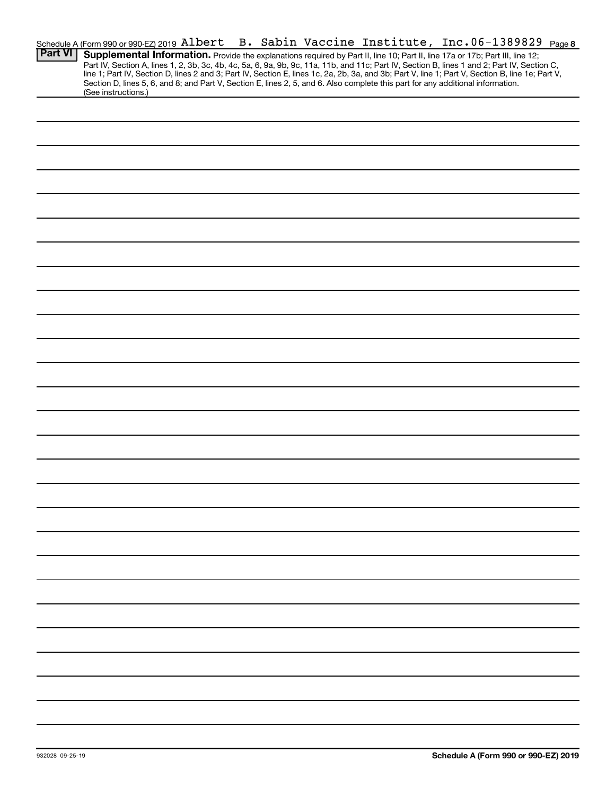|                | Schedule A (Form 990 or 990-EZ) 2019 Albert |  |  |  | B. Sabin Vaccine Institute, Inc.06-1389829 Page8                                                                                                                                                                                                                                                 |  |
|----------------|---------------------------------------------|--|--|--|--------------------------------------------------------------------------------------------------------------------------------------------------------------------------------------------------------------------------------------------------------------------------------------------------|--|
| <b>Part VI</b> |                                             |  |  |  | Supplemental Information. Provide the explanations required by Part II, line 10; Part II, line 17a or 17b; Part III, line 12;                                                                                                                                                                    |  |
|                |                                             |  |  |  | Part IV, Section A, lines 1, 2, 3b, 3c, 4b, 4c, 5a, 6, 9a, 9b, 9c, 11a, 11b, and 11c; Part IV, Section B, lines 1 and 2; Part IV, Section C,<br>line 1; Part IV, Section D, lines 2 and 3; Part IV, Section E, lines 1c, 2a, 2b, 3a, and 3b; Part V, line 1; Part V, Section B, line 1e; Part V, |  |
|                |                                             |  |  |  | Section D, lines 5, 6, and 8; and Part V, Section E, lines 2, 5, and 6. Also complete this part for any additional information.                                                                                                                                                                  |  |
|                | (See instructions.)                         |  |  |  |                                                                                                                                                                                                                                                                                                  |  |
|                |                                             |  |  |  |                                                                                                                                                                                                                                                                                                  |  |
|                |                                             |  |  |  |                                                                                                                                                                                                                                                                                                  |  |
|                |                                             |  |  |  |                                                                                                                                                                                                                                                                                                  |  |
|                |                                             |  |  |  |                                                                                                                                                                                                                                                                                                  |  |
|                |                                             |  |  |  |                                                                                                                                                                                                                                                                                                  |  |
|                |                                             |  |  |  |                                                                                                                                                                                                                                                                                                  |  |
|                |                                             |  |  |  |                                                                                                                                                                                                                                                                                                  |  |
|                |                                             |  |  |  |                                                                                                                                                                                                                                                                                                  |  |
|                |                                             |  |  |  |                                                                                                                                                                                                                                                                                                  |  |
|                |                                             |  |  |  |                                                                                                                                                                                                                                                                                                  |  |
|                |                                             |  |  |  |                                                                                                                                                                                                                                                                                                  |  |
|                |                                             |  |  |  |                                                                                                                                                                                                                                                                                                  |  |
|                |                                             |  |  |  |                                                                                                                                                                                                                                                                                                  |  |
|                |                                             |  |  |  |                                                                                                                                                                                                                                                                                                  |  |
|                |                                             |  |  |  |                                                                                                                                                                                                                                                                                                  |  |
|                |                                             |  |  |  |                                                                                                                                                                                                                                                                                                  |  |
|                |                                             |  |  |  |                                                                                                                                                                                                                                                                                                  |  |
|                |                                             |  |  |  |                                                                                                                                                                                                                                                                                                  |  |
|                |                                             |  |  |  |                                                                                                                                                                                                                                                                                                  |  |
|                |                                             |  |  |  |                                                                                                                                                                                                                                                                                                  |  |
|                |                                             |  |  |  |                                                                                                                                                                                                                                                                                                  |  |
|                |                                             |  |  |  |                                                                                                                                                                                                                                                                                                  |  |
|                |                                             |  |  |  |                                                                                                                                                                                                                                                                                                  |  |
|                |                                             |  |  |  |                                                                                                                                                                                                                                                                                                  |  |
|                |                                             |  |  |  |                                                                                                                                                                                                                                                                                                  |  |
|                |                                             |  |  |  |                                                                                                                                                                                                                                                                                                  |  |
|                |                                             |  |  |  |                                                                                                                                                                                                                                                                                                  |  |
|                |                                             |  |  |  |                                                                                                                                                                                                                                                                                                  |  |
|                |                                             |  |  |  |                                                                                                                                                                                                                                                                                                  |  |
|                |                                             |  |  |  |                                                                                                                                                                                                                                                                                                  |  |
|                |                                             |  |  |  |                                                                                                                                                                                                                                                                                                  |  |
|                |                                             |  |  |  |                                                                                                                                                                                                                                                                                                  |  |
|                |                                             |  |  |  |                                                                                                                                                                                                                                                                                                  |  |
|                |                                             |  |  |  |                                                                                                                                                                                                                                                                                                  |  |
|                |                                             |  |  |  |                                                                                                                                                                                                                                                                                                  |  |
|                |                                             |  |  |  |                                                                                                                                                                                                                                                                                                  |  |
|                |                                             |  |  |  |                                                                                                                                                                                                                                                                                                  |  |
|                |                                             |  |  |  |                                                                                                                                                                                                                                                                                                  |  |
|                |                                             |  |  |  |                                                                                                                                                                                                                                                                                                  |  |
|                |                                             |  |  |  |                                                                                                                                                                                                                                                                                                  |  |
|                |                                             |  |  |  |                                                                                                                                                                                                                                                                                                  |  |
|                |                                             |  |  |  |                                                                                                                                                                                                                                                                                                  |  |
|                |                                             |  |  |  |                                                                                                                                                                                                                                                                                                  |  |
|                |                                             |  |  |  |                                                                                                                                                                                                                                                                                                  |  |
|                |                                             |  |  |  |                                                                                                                                                                                                                                                                                                  |  |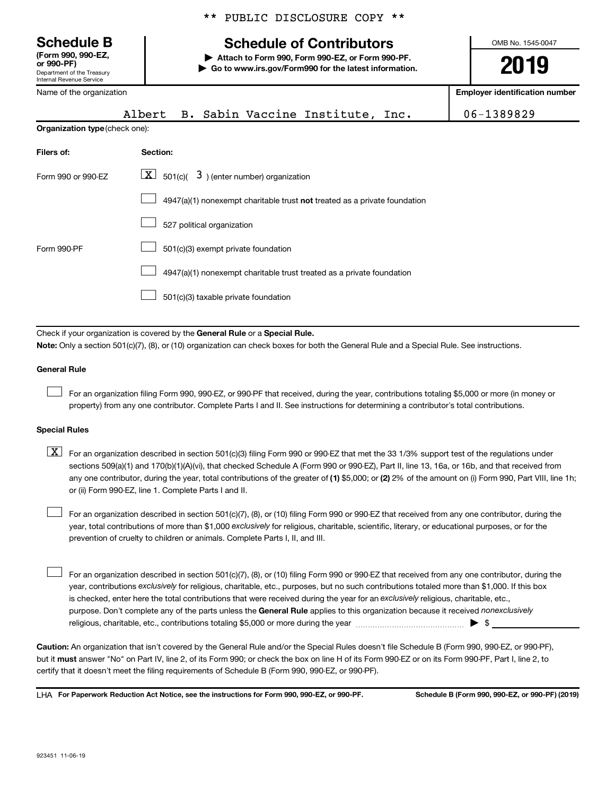Department of the Treasury Internal Revenue Service **(Form 990, 990-EZ,**

Name of the organization

|  |  | ** PUBLIC DISCLOSURE COPY ** |  |  |
|--|--|------------------------------|--|--|
|--|--|------------------------------|--|--|

## **Schedule B Schedule of Contributors**

**or 990-PF) | Attach to Form 990, Form 990-EZ, or Form 990-PF. | Go to www.irs.gov/Form990 for the latest information.** OMB No. 1545-0047

**2019**

**Employer identification number**

|                                | B. Sabin Vaccine Institute, Inc.<br>Albert                                                                                                                                                                                                                                              | 06-1389829 |  |  |  |
|--------------------------------|-----------------------------------------------------------------------------------------------------------------------------------------------------------------------------------------------------------------------------------------------------------------------------------------|------------|--|--|--|
| Organization type (check one): |                                                                                                                                                                                                                                                                                         |            |  |  |  |
| Filers of:                     | Section:                                                                                                                                                                                                                                                                                |            |  |  |  |
| Form 990 or 990-EZ             | $\lfloor x \rfloor$ 501(c)( 3) (enter number) organization                                                                                                                                                                                                                              |            |  |  |  |
|                                | 4947(a)(1) nonexempt charitable trust not treated as a private foundation                                                                                                                                                                                                               |            |  |  |  |
|                                | 527 political organization                                                                                                                                                                                                                                                              |            |  |  |  |
| Form 990-PF                    | 501(c)(3) exempt private foundation                                                                                                                                                                                                                                                     |            |  |  |  |
|                                | 4947(a)(1) nonexempt charitable trust treated as a private foundation                                                                                                                                                                                                                   |            |  |  |  |
|                                | 501(c)(3) taxable private foundation                                                                                                                                                                                                                                                    |            |  |  |  |
|                                | Check if your organization is covered by the General Rule or a Special Rule.<br>Note: Only a section 501(c)(7), (8), or (10) organization can check boxes for both the General Rule and a Special Rule. See instructions.                                                               |            |  |  |  |
| <b>General Rule</b>            |                                                                                                                                                                                                                                                                                         |            |  |  |  |
|                                | For an organization filing Form 990, 990-EZ, or 990-PF that received, during the year, contributions totaling \$5,000 or more (in money or<br>property) from any one contributor. Complete Parts I and II. See instructions for determining a contributor's total contributions.        |            |  |  |  |
| <b>Special Rules</b>           |                                                                                                                                                                                                                                                                                         |            |  |  |  |
| X                              | For an organization described in section 501(c)(3) filing Form 990 or 990-EZ that met the 33 1/3% support test of the regulations under<br>sections 509(a)(1) and 170(b)(1)(A)(vi), that checked Schedule A (Form 990 or 990-EZ), Part II, line 13, 16a, or 16b, and that received from |            |  |  |  |

any one contributor, during the year, total contributions of the greater of (1) \$5,000; or (2) 2% of the amount on (i) Form 990, Part VIII, line 1h; or (ii) Form 990-EZ, line 1. Complete Parts I and II. For an organization described in section 501(c)(7), (8), or (10) filing Form 990 or 990-EZ that received from any one contributor, during the  $\Box$ 

year, total contributions of more than \$1,000 *exclusively* for religious, charitable, scientific, literary, or educational purposes, or for the prevention of cruelty to children or animals. Complete Parts I, II, and III.

purpose. Don't complete any of the parts unless the General Rule applies to this organization because it received nonexclusively year, contributions exclusively for religious, charitable, etc., purposes, but no such contributions totaled more than \$1,000. If this box is checked, enter here the total contributions that were received during the year for an exclusively religious, charitable, etc., For an organization described in section 501(c)(7), (8), or (10) filing Form 990 or 990-EZ that received from any one contributor, during the religious, charitable, etc., contributions totaling \$5,000 or more during the year  $~$   $~$   $~$   $~$   $~$   $~$   $\sim$   $~$   $\bullet$   $~$   $\sim$   $~$   $\bullet$   $~$  $\Box$ 

**Caution:**  An organization that isn't covered by the General Rule and/or the Special Rules doesn't file Schedule B (Form 990, 990-EZ, or 990-PF),  **must** but it answer "No" on Part IV, line 2, of its Form 990; or check the box on line H of its Form 990-EZ or on its Form 990-PF, Part I, line 2, to certify that it doesn't meet the filing requirements of Schedule B (Form 990, 990-EZ, or 990-PF).

**For Paperwork Reduction Act Notice, see the instructions for Form 990, 990-EZ, or 990-PF. Schedule B (Form 990, 990-EZ, or 990-PF) (2019)** LHA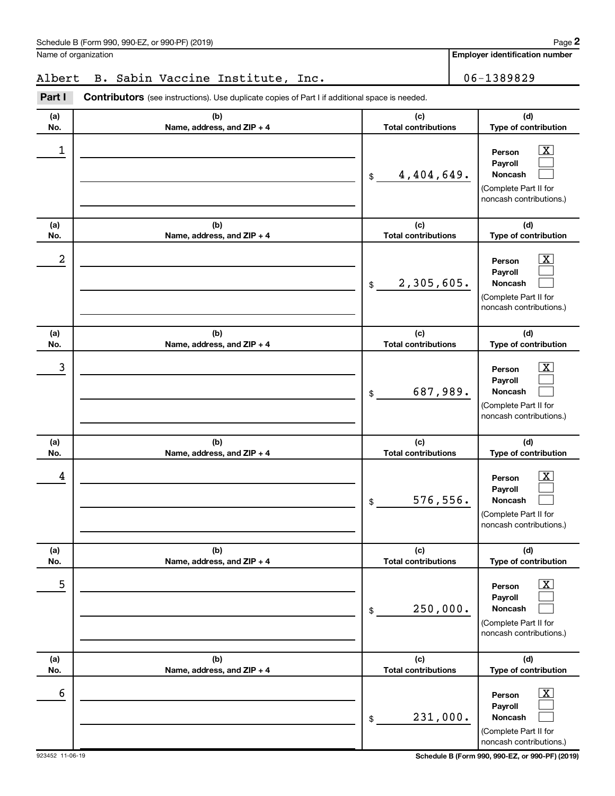Name of organization

**Employer identification number**

## Albert B. Sabin Vaccine Institute, Inc. 1989829

**Part I** Contributors (see instructions). Use duplicate copies of Part I if additional space is needed.

| (a) | (b)                        | (c)                         | (d)                                                                                                                |
|-----|----------------------------|-----------------------------|--------------------------------------------------------------------------------------------------------------------|
| No. | Name, address, and ZIP + 4 | <b>Total contributions</b>  | Type of contribution                                                                                               |
| 1   |                            | 4,404,649.<br>\$            | $\overline{\mathbf{X}}$<br>Person<br>Payroll<br><b>Noncash</b><br>(Complete Part II for<br>noncash contributions.) |
| (a) | (b)                        | (c)                         | (d)                                                                                                                |
| No. | Name, address, and ZIP + 4 | <b>Total contributions</b>  | Type of contribution                                                                                               |
| 2   |                            | 2,305,605.<br>$\frac{1}{2}$ | $\overline{\mathbf{X}}$<br>Person<br>Payroll<br><b>Noncash</b><br>(Complete Part II for<br>noncash contributions.) |
| (a) | (b)                        | (c)                         | (d)                                                                                                                |
| No. | Name, address, and ZIP + 4 | <b>Total contributions</b>  | Type of contribution                                                                                               |
| 3   |                            | 687,989.<br>\$              | $\overline{\text{X}}$<br>Person<br>Payroll<br><b>Noncash</b><br>(Complete Part II for<br>noncash contributions.)   |
| (a) | (b)                        | (c)                         | (d)                                                                                                                |
| No. | Name, address, and ZIP + 4 | <b>Total contributions</b>  | Type of contribution                                                                                               |
| 4   |                            | 576,556.<br>\$              | <u>x</u><br>Person<br>Payroll<br><b>Noncash</b><br>(Complete Part II for<br>noncash contributions.)                |
| (a) | (b)                        | (c)                         | (d)                                                                                                                |
| No. | Name, address, and ZIP + 4 | <b>Total contributions</b>  | Type of contribution                                                                                               |
| 5   |                            | 250,000.<br>\$              | $\boxed{\textbf{X}}$<br>Person<br>Payroll<br>Noncash<br>(Complete Part II for<br>noncash contributions.)           |
| (a) | (b)                        | (c)                         | (d)                                                                                                                |
| No. | Name, address, and ZIP + 4 | <b>Total contributions</b>  | Type of contribution                                                                                               |
| 6   |                            | 231,000.<br>$\,$            | $\boxed{\textbf{X}}$<br>Person<br>Payroll<br>Noncash<br>(Complete Part II for<br>noncash contributions.)           |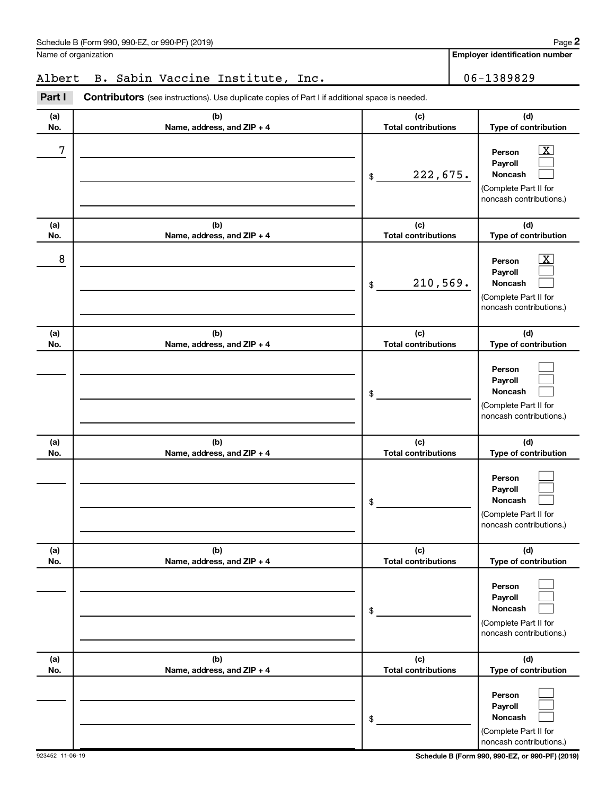Name of organization

**Employer identification number**

## Albert B. Sabin Vaccine Institute, Inc. 1989829

**Part I** Contributors (see instructions). Use duplicate copies of Part I if additional space is needed.

| (a)<br>No. | (b)<br>Name, address, and ZIP + 4 | (c)<br><b>Total contributions</b> | (d)<br>Type of contribution                                                                                      |
|------------|-----------------------------------|-----------------------------------|------------------------------------------------------------------------------------------------------------------|
| 7          |                                   | 222,675.<br>\$                    | $\overline{\text{X}}$<br>Person<br>Payroll<br><b>Noncash</b><br>(Complete Part II for<br>noncash contributions.) |
| (a)<br>No. | (b)<br>Name, address, and ZIP + 4 | (c)<br><b>Total contributions</b> | (d)<br>Type of contribution                                                                                      |
| 8          |                                   | 210,569.<br>\$                    | $\overline{\text{X}}$<br>Person<br>Payroll<br>Noncash<br>(Complete Part II for<br>noncash contributions.)        |
| (a)<br>No. | (b)<br>Name, address, and ZIP + 4 | (c)<br><b>Total contributions</b> | (d)<br>Type of contribution                                                                                      |
|            |                                   | \$                                | Person<br>Payroll<br>Noncash<br>(Complete Part II for<br>noncash contributions.)                                 |
| (a)<br>No. | (b)<br>Name, address, and ZIP + 4 | (c)<br><b>Total contributions</b> | (d)<br>Type of contribution                                                                                      |
|            |                                   | \$                                | Person<br>Payroll<br>Noncash<br>(Complete Part II for<br>noncash contributions.)                                 |
| (a)<br>No. | (b)<br>Name, address, and ZIP + 4 | (c)<br><b>Total contributions</b> | (d)<br>Type of contribution                                                                                      |
|            |                                   | \$                                | Person<br>Payroll<br>Noncash<br>(Complete Part II for<br>noncash contributions.)                                 |
| (a)<br>No. | (b)<br>Name, address, and ZIP + 4 | (c)<br><b>Total contributions</b> | (d)<br>Type of contribution                                                                                      |
|            |                                   | \$                                | Person<br>Payroll<br>Noncash<br>(Complete Part II for<br>noncash contributions.)                                 |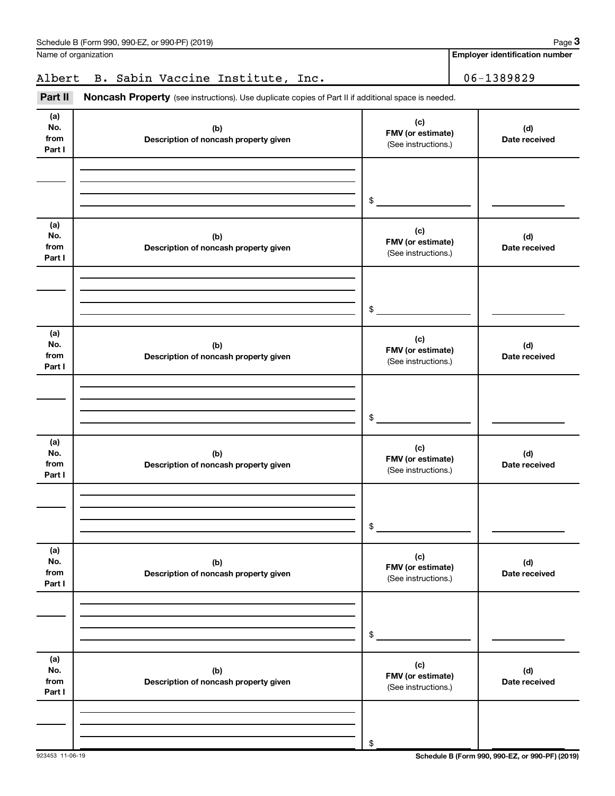| No.<br>from<br>Part I        | (b)<br>Description of noncash property given | (C)<br>FMV (or estimate)<br>(See instructions.) | (d)<br>Date received                            |
|------------------------------|----------------------------------------------|-------------------------------------------------|-------------------------------------------------|
|                              |                                              | \$                                              |                                                 |
| (a)<br>No.<br>from<br>Part I | (b)<br>Description of noncash property given | (c)<br>FMV (or estimate)<br>(See instructions.) | (d)<br>Date received                            |
|                              |                                              | \$                                              |                                                 |
| (a)<br>No.<br>from<br>Part I | (b)<br>Description of noncash property given | (c)<br>FMV (or estimate)<br>(See instructions.) | (d)<br>Date received                            |
|                              |                                              | \$                                              |                                                 |
| (a)<br>No.<br>from<br>Part I | (b)<br>Description of noncash property given | (c)<br>FMV (or estimate)<br>(See instructions.) | (d)<br>Date received                            |
|                              |                                              | \$                                              |                                                 |
| (a)<br>No.<br>from<br>Part I | (b)<br>Description of noncash property given | (c)<br>FMV (or estimate)<br>(See instructions.) | (d)<br>Date received                            |
|                              |                                              | \$                                              |                                                 |
| (a)<br>No.<br>from<br>Part I | (b)<br>Description of noncash property given | (c)<br>FMV (or estimate)<br>(See instructions.) | (d)<br>Date received                            |
| 923453 11-06-19              |                                              | \$                                              | Schedule B (Form 990, 990-EZ, or 990-PF) (2019) |

Part II Noncash Property (see instructions). Use duplicate copies of Part II if additional space is needed.

## Schedule B (Form 990, 990-EZ, or 990-PF) (2019)

Name of organization

**(a)**

**Employer identification number**

Albert B. Sabin Vaccine Institute, Inc. 1989829

**(c)**

**3**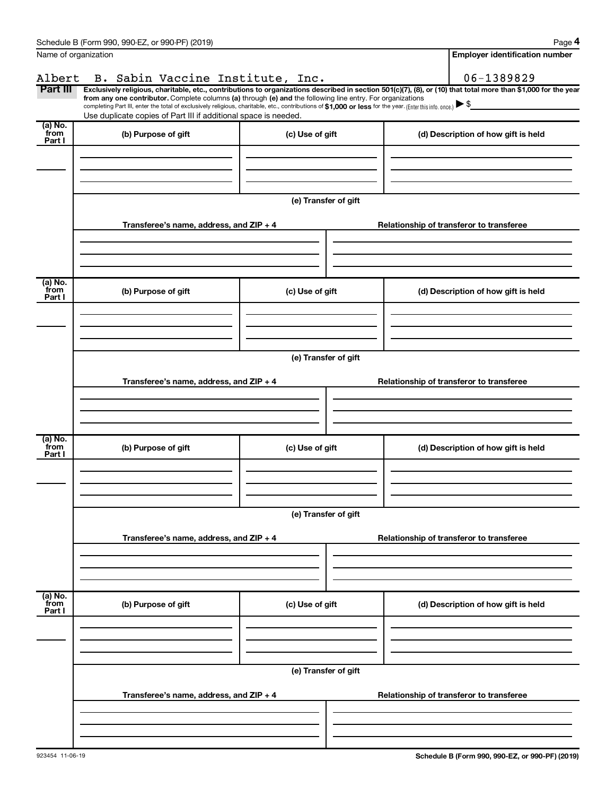|                           | Schedule B (Form 990, 990-EZ, or 990-PF) (2019)                                                                                                                                                                                                                                                                                                                    |                      | Page 4                                                                                                                                                         |  |  |  |  |
|---------------------------|--------------------------------------------------------------------------------------------------------------------------------------------------------------------------------------------------------------------------------------------------------------------------------------------------------------------------------------------------------------------|----------------------|----------------------------------------------------------------------------------------------------------------------------------------------------------------|--|--|--|--|
| Name of organization      |                                                                                                                                                                                                                                                                                                                                                                    |                      | <b>Employer identification number</b>                                                                                                                          |  |  |  |  |
| Albert                    | B. Sabin Vaccine Institute, Inc.                                                                                                                                                                                                                                                                                                                                   |                      | 06-1389829                                                                                                                                                     |  |  |  |  |
| Part III                  | from any one contributor. Complete columns (a) through (e) and the following line entry. For organizations<br>completing Part III, enter the total of exclusively religious, charitable, etc., contributions of \$1,000 or less for the year. (Enter this info. once.) $\blacktriangleright$ \$<br>Use duplicate copies of Part III if additional space is needed. |                      | Exclusively religious, charitable, etc., contributions to organizations described in section 501(c)(7), (8), or (10) that total more than \$1,000 for the year |  |  |  |  |
| (a) No.<br>from<br>Part I | (b) Purpose of gift                                                                                                                                                                                                                                                                                                                                                | (c) Use of gift      | (d) Description of how gift is held                                                                                                                            |  |  |  |  |
|                           |                                                                                                                                                                                                                                                                                                                                                                    |                      |                                                                                                                                                                |  |  |  |  |
|                           |                                                                                                                                                                                                                                                                                                                                                                    | (e) Transfer of gift |                                                                                                                                                                |  |  |  |  |
|                           | Transferee's name, address, and ZIP + 4                                                                                                                                                                                                                                                                                                                            |                      | Relationship of transferor to transferee                                                                                                                       |  |  |  |  |
|                           |                                                                                                                                                                                                                                                                                                                                                                    |                      |                                                                                                                                                                |  |  |  |  |
| (a) No.<br>from<br>Part I | (b) Purpose of gift                                                                                                                                                                                                                                                                                                                                                | (c) Use of gift      | (d) Description of how gift is held                                                                                                                            |  |  |  |  |
|                           |                                                                                                                                                                                                                                                                                                                                                                    |                      |                                                                                                                                                                |  |  |  |  |
|                           | (e) Transfer of gift                                                                                                                                                                                                                                                                                                                                               |                      |                                                                                                                                                                |  |  |  |  |
|                           | Transferee's name, address, and ZIP + 4                                                                                                                                                                                                                                                                                                                            |                      | Relationship of transferor to transferee                                                                                                                       |  |  |  |  |
|                           |                                                                                                                                                                                                                                                                                                                                                                    |                      |                                                                                                                                                                |  |  |  |  |
| (a) No.<br>from<br>Part I | (b) Purpose of gift                                                                                                                                                                                                                                                                                                                                                | (c) Use of gift      | (d) Description of how gift is held                                                                                                                            |  |  |  |  |
|                           |                                                                                                                                                                                                                                                                                                                                                                    |                      |                                                                                                                                                                |  |  |  |  |
|                           | (e) Transfer of gift                                                                                                                                                                                                                                                                                                                                               |                      |                                                                                                                                                                |  |  |  |  |
|                           | Transferee's name, address, and ZIP + 4                                                                                                                                                                                                                                                                                                                            |                      | Relationship of transferor to transferee                                                                                                                       |  |  |  |  |
|                           |                                                                                                                                                                                                                                                                                                                                                                    |                      |                                                                                                                                                                |  |  |  |  |
| (a) No.<br>from<br>Part I | (b) Purpose of gift                                                                                                                                                                                                                                                                                                                                                | (c) Use of gift      | (d) Description of how gift is held                                                                                                                            |  |  |  |  |
|                           |                                                                                                                                                                                                                                                                                                                                                                    |                      |                                                                                                                                                                |  |  |  |  |
|                           | (e) Transfer of gift                                                                                                                                                                                                                                                                                                                                               |                      |                                                                                                                                                                |  |  |  |  |
|                           | Transferee's name, address, and ZIP + 4                                                                                                                                                                                                                                                                                                                            |                      | Relationship of transferor to transferee                                                                                                                       |  |  |  |  |
|                           |                                                                                                                                                                                                                                                                                                                                                                    |                      |                                                                                                                                                                |  |  |  |  |
|                           |                                                                                                                                                                                                                                                                                                                                                                    |                      |                                                                                                                                                                |  |  |  |  |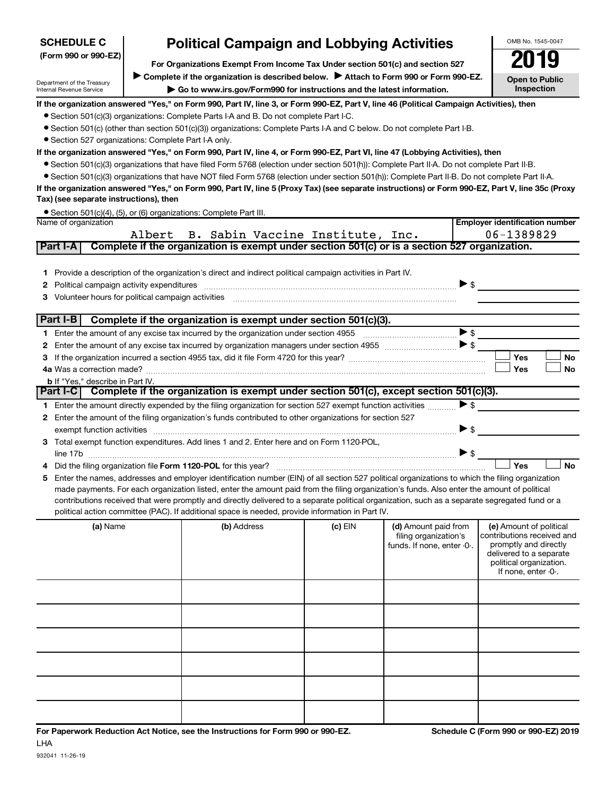| <b>SCHEDULE C</b>                                      | <b>Political Campaign and Lobbying Activities</b>                                                                                                                                                                                                                                                   |         |                            | OMB No. 1545-0047                                |
|--------------------------------------------------------|-----------------------------------------------------------------------------------------------------------------------------------------------------------------------------------------------------------------------------------------------------------------------------------------------------|---------|----------------------------|--------------------------------------------------|
| (Form 990 or 990-EZ)                                   | For Organizations Exempt From Income Tax Under section 501(c) and section 527                                                                                                                                                                                                                       |         |                            | ITY                                              |
|                                                        | Complete if the organization is described below. > Attach to Form 990 or Form 990-EZ.                                                                                                                                                                                                               |         |                            |                                                  |
| Department of the Treasury<br>Internal Revenue Service | $\triangleright$ Go to www.irs.gov/Form990 for instructions and the latest information.                                                                                                                                                                                                             |         |                            | <b>Open to Public</b><br><b>Inspection</b>       |
|                                                        | If the organization answered "Yes," on Form 990, Part IV, line 3, or Form 990-EZ, Part V, line 46 (Political Campaign Activities), then                                                                                                                                                             |         |                            |                                                  |
|                                                        | • Section 501(c)(3) organizations: Complete Parts I-A and B. Do not complete Part I-C.                                                                                                                                                                                                              |         |                            |                                                  |
|                                                        | • Section 501(c) (other than section 501(c)(3)) organizations: Complete Parts I-A and C below. Do not complete Part I-B.                                                                                                                                                                            |         |                            |                                                  |
| • Section 527 organizations: Complete Part I-A only.   |                                                                                                                                                                                                                                                                                                     |         |                            |                                                  |
|                                                        | If the organization answered "Yes," on Form 990, Part IV, line 4, or Form 990-EZ, Part VI, line 47 (Lobbying Activities), then                                                                                                                                                                      |         |                            |                                                  |
|                                                        | • Section 501(c)(3) organizations that have filed Form 5768 (election under section 501(h)): Complete Part II-A. Do not complete Part II-B.                                                                                                                                                         |         |                            |                                                  |
|                                                        | • Section 501(c)(3) organizations that have NOT filed Form 5768 (election under section 501(h)): Complete Part II-B. Do not complete Part II-A.<br>If the organization answered "Yes," on Form 990, Part IV, line 5 (Proxy Tax) (see separate instructions) or Form 990-EZ, Part V, line 35c (Proxy |         |                            |                                                  |
| Tax) (see separate instructions), then                 |                                                                                                                                                                                                                                                                                                     |         |                            |                                                  |
|                                                        | • Section 501(c)(4), (5), or (6) organizations: Complete Part III.                                                                                                                                                                                                                                  |         |                            |                                                  |
| Name of organization                                   |                                                                                                                                                                                                                                                                                                     |         |                            | <b>Employer identification number</b>            |
|                                                        | Albert B. Sabin Vaccine Institute, Inc.                                                                                                                                                                                                                                                             |         |                            | 06-1389829                                       |
| Part I-A                                               | Complete if the organization is exempt under section 501(c) or is a section 527 organization.                                                                                                                                                                                                       |         |                            |                                                  |
|                                                        |                                                                                                                                                                                                                                                                                                     |         |                            |                                                  |
|                                                        | 1 Provide a description of the organization's direct and indirect political campaign activities in Part IV.                                                                                                                                                                                         |         |                            |                                                  |
| Political campaign activity expenditures<br>2          |                                                                                                                                                                                                                                                                                                     |         | $\triangleright$ \$        |                                                  |
| Volunteer hours for political campaign activities<br>З |                                                                                                                                                                                                                                                                                                     |         |                            |                                                  |
| Part I-B                                               | Complete if the organization is exempt under section 501(c)(3).                                                                                                                                                                                                                                     |         |                            |                                                  |
|                                                        |                                                                                                                                                                                                                                                                                                     |         | $\triangleright$ \$        |                                                  |
| 2                                                      |                                                                                                                                                                                                                                                                                                     |         |                            |                                                  |
| 3                                                      |                                                                                                                                                                                                                                                                                                     |         |                            | Yes<br>No                                        |
|                                                        |                                                                                                                                                                                                                                                                                                     |         |                            | Yes<br>No                                        |
| <b>b</b> If "Yes," describe in Part IV.                |                                                                                                                                                                                                                                                                                                     |         |                            |                                                  |
|                                                        | Part I-C Complete if the organization is exempt under section 501(c), except section 501(c)(3).                                                                                                                                                                                                     |         |                            |                                                  |
|                                                        | 1 Enter the amount directly expended by the filing organization for section 527 exempt function activities                                                                                                                                                                                          |         | $\blacktriangleright$ \$   |                                                  |
| 2                                                      | Enter the amount of the filing organization's funds contributed to other organizations for section 527                                                                                                                                                                                              |         |                            |                                                  |
|                                                        | exempt function activities [111] www.communications.com/www.communications.com/www.communications.com                                                                                                                                                                                               |         | ▶ \$                       |                                                  |
| 3.                                                     | Total exempt function expenditures. Add lines 1 and 2. Enter here and on Form 1120-POL,                                                                                                                                                                                                             |         |                            |                                                  |
|                                                        |                                                                                                                                                                                                                                                                                                     |         | $\triangleright$ \$        | <b>No</b>                                        |
| 4                                                      | Did the filing organization file Form 1120-POL for this year?                                                                                                                                                                                                                                       |         |                            | Yes                                              |
| 5                                                      | Enter the names, addresses and employer identification number (EIN) of all section 527 political organizations to which the filing organization<br>made payments. For each organization listed, enter the amount paid from the filing organization's funds. Also enter the amount of political      |         |                            |                                                  |
|                                                        | contributions received that were promptly and directly delivered to a separate political organization, such as a separate segregated fund or a                                                                                                                                                      |         |                            |                                                  |
|                                                        | political action committee (PAC). If additional space is needed, provide information in Part IV.                                                                                                                                                                                                    |         |                            |                                                  |
| (a) Name                                               | (b) Address                                                                                                                                                                                                                                                                                         | (c) EIN | (d) Amount paid from       | (e) Amount of political                          |
|                                                        |                                                                                                                                                                                                                                                                                                     |         | filing organization's      | contributions received and                       |
|                                                        |                                                                                                                                                                                                                                                                                                     |         | funds. If none, enter -0-. | promptly and directly<br>delivered to a separate |
|                                                        |                                                                                                                                                                                                                                                                                                     |         |                            | political organization.                          |
|                                                        |                                                                                                                                                                                                                                                                                                     |         |                            | If none, enter -0-.                              |
|                                                        |                                                                                                                                                                                                                                                                                                     |         |                            |                                                  |
|                                                        |                                                                                                                                                                                                                                                                                                     |         |                            |                                                  |
|                                                        |                                                                                                                                                                                                                                                                                                     |         |                            |                                                  |
|                                                        |                                                                                                                                                                                                                                                                                                     |         |                            |                                                  |
|                                                        |                                                                                                                                                                                                                                                                                                     |         |                            |                                                  |
|                                                        |                                                                                                                                                                                                                                                                                                     |         |                            |                                                  |
|                                                        |                                                                                                                                                                                                                                                                                                     |         |                            |                                                  |
|                                                        |                                                                                                                                                                                                                                                                                                     |         |                            |                                                  |
|                                                        |                                                                                                                                                                                                                                                                                                     |         |                            |                                                  |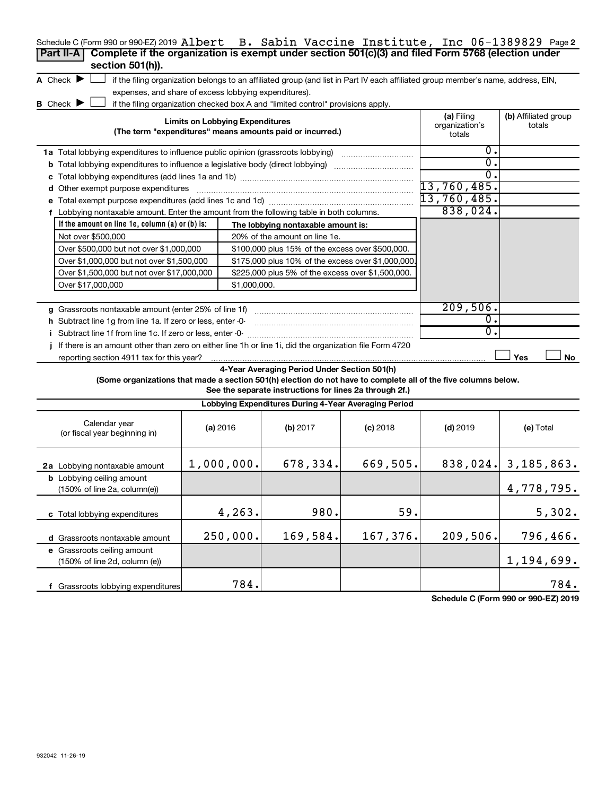| Schedule C (Form 990 or 990-EZ) 2019 Albert B. Sabin Vaccine Institute, Inc 06-1389829 Page2                                                                             |                                        |              |                                                                                  |            |                                                                                                                                   |                                |
|--------------------------------------------------------------------------------------------------------------------------------------------------------------------------|----------------------------------------|--------------|----------------------------------------------------------------------------------|------------|-----------------------------------------------------------------------------------------------------------------------------------|--------------------------------|
| Complete if the organization is exempt under section 501(c)(3) and filed Form 5768 (election under<br>Part II-A                                                          |                                        |              |                                                                                  |            |                                                                                                                                   |                                |
| section 501(h)).                                                                                                                                                         |                                        |              |                                                                                  |            |                                                                                                                                   |                                |
| A Check $\blacktriangleright$                                                                                                                                            |                                        |              |                                                                                  |            | if the filing organization belongs to an affiliated group (and list in Part IV each affiliated group member's name, address, EIN, |                                |
| expenses, and share of excess lobbying expenditures).                                                                                                                    |                                        |              |                                                                                  |            |                                                                                                                                   |                                |
| <b>B</b> Check $\blacktriangleright$                                                                                                                                     |                                        |              | if the filing organization checked box A and "limited control" provisions apply. |            |                                                                                                                                   |                                |
|                                                                                                                                                                          | <b>Limits on Lobbying Expenditures</b> |              | (The term "expenditures" means amounts paid or incurred.)                        |            | (a) Filing<br>organization's<br>totals                                                                                            | (b) Affiliated group<br>totals |
| 1a Total lobbying expenditures to influence public opinion (grassroots lobbying) [11] [12] Total lobbying expenditures to influence public opinion (grassroots lobbying) |                                        |              |                                                                                  |            | о.                                                                                                                                |                                |
| <b>b</b> Total lobbying expenditures to influence a legislative body (direct lobbying) <i>manumumumum</i>                                                                |                                        |              |                                                                                  |            | σ.                                                                                                                                |                                |
|                                                                                                                                                                          |                                        |              |                                                                                  |            | σ.                                                                                                                                |                                |
| d Other exempt purpose expenditures                                                                                                                                      |                                        |              |                                                                                  |            | 13,760,485.                                                                                                                       |                                |
|                                                                                                                                                                          |                                        |              |                                                                                  |            | 13,760,485 <b>.</b>                                                                                                               |                                |
| f Lobbying nontaxable amount. Enter the amount from the following table in both columns.                                                                                 |                                        |              |                                                                                  |            | 838,024.                                                                                                                          |                                |
| If the amount on line $1e$ , column $(a)$ or $(b)$ is:                                                                                                                   |                                        |              | The lobbying nontaxable amount is:                                               |            |                                                                                                                                   |                                |
| Not over \$500,000                                                                                                                                                       |                                        |              | 20% of the amount on line 1e.                                                    |            |                                                                                                                                   |                                |
| Over \$500,000 but not over \$1,000,000                                                                                                                                  |                                        |              | \$100,000 plus 15% of the excess over \$500,000.                                 |            |                                                                                                                                   |                                |
| Over \$1,000,000 but not over \$1,500,000                                                                                                                                |                                        |              | \$175,000 plus 10% of the excess over \$1,000,000                                |            |                                                                                                                                   |                                |
| Over \$1,500,000 but not over \$17,000,000                                                                                                                               |                                        |              | \$225,000 plus 5% of the excess over \$1,500,000.                                |            |                                                                                                                                   |                                |
| Over \$17,000,000                                                                                                                                                        |                                        | \$1,000,000. |                                                                                  |            |                                                                                                                                   |                                |
|                                                                                                                                                                          |                                        |              |                                                                                  |            |                                                                                                                                   |                                |
| g Grassroots nontaxable amount (enter 25% of line 1f)                                                                                                                    |                                        |              |                                                                                  |            | 209,506.                                                                                                                          |                                |
| h Subtract line 1g from line 1a. If zero or less, enter -0-                                                                                                              |                                        |              |                                                                                  |            | 0.                                                                                                                                |                                |
| i Subtract line 1f from line 1c. If zero or less, enter -0-                                                                                                              |                                        |              |                                                                                  |            | $\Omega$ .                                                                                                                        |                                |
| If there is an amount other than zero on either line 1h or line 1i, did the organization file Form 4720                                                                  |                                        |              |                                                                                  |            |                                                                                                                                   |                                |
| reporting section 4911 tax for this year?                                                                                                                                |                                        |              |                                                                                  |            |                                                                                                                                   | Yes<br>No                      |
|                                                                                                                                                                          |                                        |              | 4-Year Averaging Period Under Section 501(h)                                     |            |                                                                                                                                   |                                |
| (Some organizations that made a section 501(h) election do not have to complete all of the five columns below.                                                           |                                        |              | See the separate instructions for lines 2a through 2f.)                          |            |                                                                                                                                   |                                |
|                                                                                                                                                                          |                                        |              | Lobbying Expenditures During 4-Year Averaging Period                             |            |                                                                                                                                   |                                |
| Calendar year<br>(or fiscal year beginning in)                                                                                                                           | (a) 2016                               |              | (b) 2017                                                                         | $(c)$ 2018 | $(d)$ 2019                                                                                                                        | (e) Total                      |
| 2a Lobbying nontaxable amount                                                                                                                                            | 1,000,000.                             |              | 678,334.                                                                         | 669,505.   |                                                                                                                                   | $838,024.$ 3, 185, 863.        |
| <b>b</b> Lobbying ceiling amount<br>$(150\% \text{ of line } 2a, \text{column}(e))$                                                                                      |                                        |              |                                                                                  |            |                                                                                                                                   | 4,778,795.                     |
| c Total lobbying expenditures                                                                                                                                            |                                        | 4,263.       | 980.                                                                             | 59.        |                                                                                                                                   | 5,302.                         |
| d Grassroots nontaxable amount                                                                                                                                           |                                        | 250,000.     | 169,584.                                                                         | 167,376.   | 209,506.                                                                                                                          | 796,466.                       |
| e Grassroots ceiling amount                                                                                                                                              |                                        |              |                                                                                  |            |                                                                                                                                   |                                |
| (150% of line 2d, column (e))                                                                                                                                            |                                        |              |                                                                                  |            |                                                                                                                                   | 1,194,699.                     |
| f Grassroots lobbying expenditures                                                                                                                                       |                                        | 784.         |                                                                                  |            |                                                                                                                                   | 784.                           |

**Schedule C (Form 990 or 990-EZ) 2019**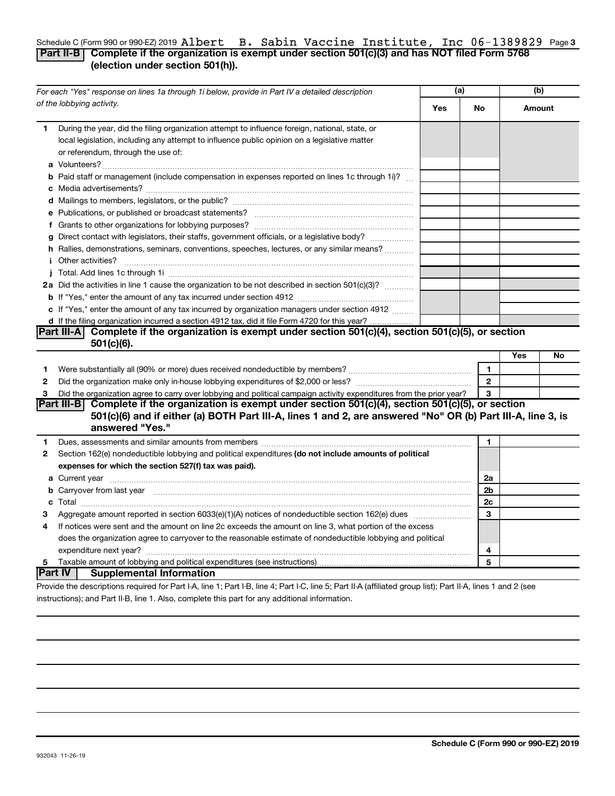### Schedule C (Form 990 or 990-EZ) 2019  ${\bf A}$   ${\bf D}$  **B.** Sabin Vaccine Institute, Inc  $0$ 6-1389829 Page 3 **Part II-B Complete if the organization is exempt under section 501(c)(3) and has NOT filed Form 5768 (election under section 501(h)).** Albert B. Sabin Vaccine Institute, Inc 06-1389829

|              | For each "Yes" response on lines 1a through 1i below, provide in Part IV a detailed description                                                                                                                                                  | (a) |                |     | (b)    |
|--------------|--------------------------------------------------------------------------------------------------------------------------------------------------------------------------------------------------------------------------------------------------|-----|----------------|-----|--------|
|              | of the lobbying activity.                                                                                                                                                                                                                        | Yes | No             |     | Amount |
| 1.           | During the year, did the filing organization attempt to influence foreign, national, state, or<br>local legislation, including any attempt to influence public opinion on a legislative matter<br>or referendum, through the use of:             |     |                |     |        |
|              | <b>b</b> Paid staff or management (include compensation in expenses reported on lines 1c through 1i)?                                                                                                                                            |     |                |     |        |
|              |                                                                                                                                                                                                                                                  |     |                |     |        |
|              |                                                                                                                                                                                                                                                  |     |                |     |        |
|              |                                                                                                                                                                                                                                                  |     |                |     |        |
|              | g Direct contact with legislators, their staffs, government officials, or a legislative body?                                                                                                                                                    |     |                |     |        |
|              | h Rallies, demonstrations, seminars, conventions, speeches, lectures, or any similar means?                                                                                                                                                      |     |                |     |        |
|              | <i>i</i> Other activities?                                                                                                                                                                                                                       |     |                |     |        |
|              |                                                                                                                                                                                                                                                  |     |                |     |        |
|              | 2a Did the activities in line 1 cause the organization to be not described in section 501(c)(3)?                                                                                                                                                 |     |                |     |        |
|              |                                                                                                                                                                                                                                                  |     |                |     |        |
|              | c If "Yes," enter the amount of any tax incurred by organization managers under section 4912                                                                                                                                                     |     |                |     |        |
|              | d If the filing organization incurred a section 4912 tax, did it file Form 4720 for this year? .                                                                                                                                                 |     |                |     |        |
|              | Part III-A Complete if the organization is exempt under section 501(c)(4), section 501(c)(5), or section                                                                                                                                         |     |                |     |        |
|              | $501(c)(6)$ .                                                                                                                                                                                                                                    |     |                |     |        |
|              |                                                                                                                                                                                                                                                  |     |                | Yes | No     |
| 1            |                                                                                                                                                                                                                                                  |     | $\mathbf{1}$   |     |        |
| 2            |                                                                                                                                                                                                                                                  |     | $\overline{2}$ |     |        |
| З            | Did the organization agree to carry over lobbying and political campaign activity expenditures from the prior year?                                                                                                                              |     | 3              |     |        |
|              | Part III-B Complete if the organization is exempt under section $501(c)(4)$ , section $501(c)(5)$ , or section<br>501(c)(6) and if either (a) BOTH Part III-A, lines 1 and 2, are answered "No" OR (b) Part III-A, line 3, is<br>answered "Yes." |     |                |     |        |
| 1            | Dues, assessments and similar amounts from members [111] Dues, assessments and similar amounts and similar amounts from members [111] Dues, assessments and similar amounts from members [11] Dues and the set of the set of t                   |     | 1              |     |        |
| $\mathbf{2}$ | Section 162(e) nondeductible lobbying and political expenditures (do not include amounts of political                                                                                                                                            |     |                |     |        |
|              | expenses for which the section 527(f) tax was paid).                                                                                                                                                                                             |     |                |     |        |
|              |                                                                                                                                                                                                                                                  |     | 2a             |     |        |
|              | b Carryover from last year manufactured and continuum contract to contact the contract of the contract of the contract of the contract of the contract of the contract of the contract of the contract of the contract of the                    |     | 2 <sub>b</sub> |     |        |
|              |                                                                                                                                                                                                                                                  |     | 2c             |     |        |
| З            |                                                                                                                                                                                                                                                  |     | 3              |     |        |
| 4            | If notices were sent and the amount on line 2c exceeds the amount on line 3, what portion of the excess                                                                                                                                          |     |                |     |        |
|              | does the organization agree to carryover to the reasonable estimate of nondeductible lobbying and political                                                                                                                                      |     |                |     |        |
|              | expenditure next year?                                                                                                                                                                                                                           |     | 4              |     |        |
| 5            |                                                                                                                                                                                                                                                  |     | 5              |     |        |
|              | Part IV  <br><b>Supplemental Information</b>                                                                                                                                                                                                     |     |                |     |        |
|              | Provide the descriptions required for Part I-A line 1: Part I-B line 4: Part I-C line 5: Part II-A (affiliated group list): Part II-A lines 1 and 2 (see                                                                                         |     |                |     |        |

quired for Part I-A, line 1; Part I-B, line 4; Part I-C, line 5; Part II-A (affiliated group list); instructions); and Part II-B, line 1. Also, complete this part for any additional information.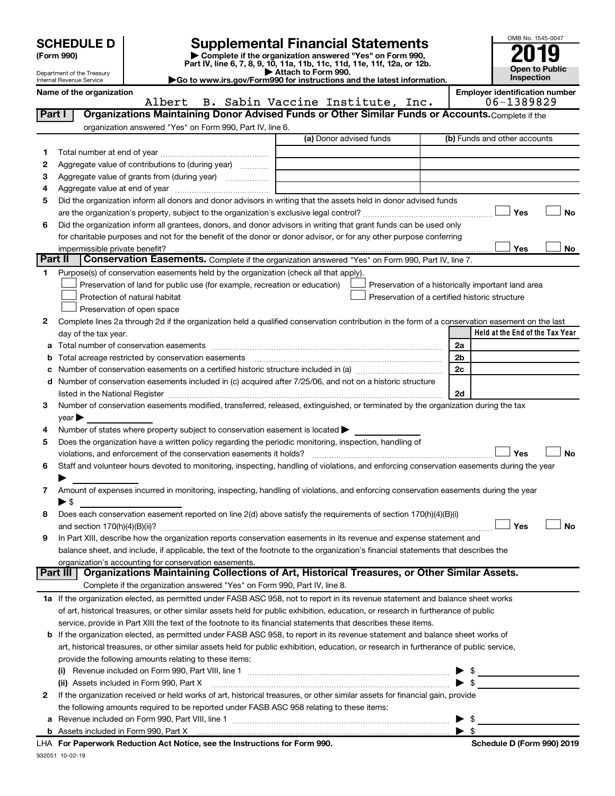|              |                                                               |                                                        |                                                                                                   |                                                                                                                                                                                                                               |                | OMB No. 1545-0047                                                                                    |                       |
|--------------|---------------------------------------------------------------|--------------------------------------------------------|---------------------------------------------------------------------------------------------------|-------------------------------------------------------------------------------------------------------------------------------------------------------------------------------------------------------------------------------|----------------|------------------------------------------------------------------------------------------------------|-----------------------|
|              | <b>SCHEDULE D</b>                                             |                                                        |                                                                                                   | <b>Supplemental Financial Statements</b>                                                                                                                                                                                      |                |                                                                                                      |                       |
|              | (Form 990)                                                    |                                                        |                                                                                                   | Complete if the organization answered "Yes" on Form 990,<br>Part IV, line 6, 7, 8, 9, 10, 11a, 11b, 11c, 11d, 11e, 11f, 12a, or 12b.                                                                                          |                |                                                                                                      |                       |
|              | Department of the Treasury<br><b>Internal Revenue Service</b> |                                                        |                                                                                                   | Attach to Form 990.                                                                                                                                                                                                           |                | <b>Inspection</b>                                                                                    | <b>Open to Public</b> |
|              | Name of the organization                                      |                                                        |                                                                                                   | Go to www.irs.gov/Form990 for instructions and the latest information.                                                                                                                                                        |                | <b>Employer identification number</b>                                                                |                       |
|              |                                                               | Albert                                                 |                                                                                                   | B. Sabin Vaccine Institute, Inc.                                                                                                                                                                                              |                | 06-1389829                                                                                           |                       |
|              | Part I                                                        |                                                        |                                                                                                   | Organizations Maintaining Donor Advised Funds or Other Similar Funds or Accounts. Complete if the                                                                                                                             |                |                                                                                                      |                       |
|              |                                                               |                                                        | organization answered "Yes" on Form 990, Part IV, line 6.                                         |                                                                                                                                                                                                                               |                |                                                                                                      |                       |
|              |                                                               |                                                        |                                                                                                   | (a) Donor advised funds                                                                                                                                                                                                       |                | (b) Funds and other accounts                                                                         |                       |
| 1.           |                                                               |                                                        |                                                                                                   |                                                                                                                                                                                                                               |                |                                                                                                      |                       |
| 2            |                                                               |                                                        | Aggregate value of contributions to (during year)                                                 |                                                                                                                                                                                                                               |                |                                                                                                      |                       |
| З            |                                                               |                                                        |                                                                                                   |                                                                                                                                                                                                                               |                |                                                                                                      |                       |
| 4            |                                                               |                                                        |                                                                                                   |                                                                                                                                                                                                                               |                |                                                                                                      |                       |
| 5            |                                                               |                                                        |                                                                                                   | Did the organization inform all donors and donor advisors in writing that the assets held in donor advised funds                                                                                                              |                |                                                                                                      |                       |
|              |                                                               |                                                        |                                                                                                   |                                                                                                                                                                                                                               |                | Yes                                                                                                  | No                    |
| 6            |                                                               |                                                        |                                                                                                   | Did the organization inform all grantees, donors, and donor advisors in writing that grant funds can be used only                                                                                                             |                |                                                                                                      |                       |
|              |                                                               |                                                        |                                                                                                   | for charitable purposes and not for the benefit of the donor or donor advisor, or for any other purpose conferring                                                                                                            |                |                                                                                                      |                       |
|              | impermissible private benefit?<br>Part II                     |                                                        |                                                                                                   |                                                                                                                                                                                                                               |                | <b>Yes</b>                                                                                           | No                    |
|              |                                                               |                                                        |                                                                                                   | Conservation Easements. Complete if the organization answered "Yes" on Form 990, Part IV, line 7.                                                                                                                             |                |                                                                                                      |                       |
| 1.           |                                                               |                                                        |                                                                                                   | Purpose(s) of conservation easements held by the organization (check all that apply).                                                                                                                                         |                |                                                                                                      |                       |
|              |                                                               | Protection of natural habitat                          | Preservation of land for public use (for example, recreation or education)                        |                                                                                                                                                                                                                               |                | Preservation of a historically important land area<br>Preservation of a certified historic structure |                       |
|              |                                                               | Preservation of open space                             |                                                                                                   |                                                                                                                                                                                                                               |                |                                                                                                      |                       |
| $\mathbf{2}$ |                                                               |                                                        |                                                                                                   | Complete lines 2a through 2d if the organization held a qualified conservation contribution in the form of a conservation easement on the last                                                                                |                |                                                                                                      |                       |
|              | day of the tax year.                                          |                                                        |                                                                                                   |                                                                                                                                                                                                                               |                | Held at the End of the Tax Year                                                                      |                       |
| а            |                                                               |                                                        |                                                                                                   |                                                                                                                                                                                                                               | 2a             |                                                                                                      |                       |
| b            |                                                               | Total acreage restricted by conservation easements     |                                                                                                   |                                                                                                                                                                                                                               | 2 <sub>b</sub> |                                                                                                      |                       |
| с            |                                                               |                                                        |                                                                                                   |                                                                                                                                                                                                                               | 2c             |                                                                                                      |                       |
| d            |                                                               |                                                        |                                                                                                   | Number of conservation easements included in (c) acquired after 7/25/06, and not on a historic structure                                                                                                                      |                |                                                                                                      |                       |
|              |                                                               |                                                        |                                                                                                   | listed in the National Register [111] Marshall Register [11] Marshall Register [11] Marshall Register [11] Marshall Register [11] Marshall Register [11] Marshall Register [11] Marshall Register [11] Marshall Register [11] | 2d             |                                                                                                      |                       |
| 3            |                                                               |                                                        |                                                                                                   | Number of conservation easements modified, transferred, released, extinguished, or terminated by the organization during the tax                                                                                              |                |                                                                                                      |                       |
|              | $year \blacktriangleright$                                    |                                                        |                                                                                                   |                                                                                                                                                                                                                               |                |                                                                                                      |                       |
| 4            |                                                               |                                                        | Number of states where property subject to conservation easement is located $\blacktriangleright$ |                                                                                                                                                                                                                               |                |                                                                                                      |                       |
| 5            |                                                               |                                                        |                                                                                                   | Does the organization have a written policy regarding the periodic monitoring, inspection, handling of                                                                                                                        |                |                                                                                                      |                       |
|              |                                                               |                                                        | violations, and enforcement of the conservation easements it holds?                               |                                                                                                                                                                                                                               |                | Yes                                                                                                  | No                    |
| 6            |                                                               |                                                        |                                                                                                   | Staff and volunteer hours devoted to monitoring, inspecting, handling of violations, and enforcing conservation easements during the year                                                                                     |                |                                                                                                      |                       |
|              |                                                               |                                                        |                                                                                                   |                                                                                                                                                                                                                               |                |                                                                                                      |                       |
| 7            | $\blacktriangleright$ \$                                      |                                                        |                                                                                                   | Amount of expenses incurred in monitoring, inspecting, handling of violations, and enforcing conservation easements during the year                                                                                           |                |                                                                                                      |                       |
| 8            |                                                               |                                                        |                                                                                                   | Does each conservation easement reported on line $2(d)$ above satisfy the requirements of section 170(h)(4)(B)(i)                                                                                                             |                |                                                                                                      |                       |
|              |                                                               |                                                        |                                                                                                   |                                                                                                                                                                                                                               |                | Yes                                                                                                  | No                    |
| 9            |                                                               |                                                        |                                                                                                   | In Part XIII, describe how the organization reports conservation easements in its revenue and expense statement and                                                                                                           |                |                                                                                                      |                       |
|              |                                                               |                                                        |                                                                                                   | balance sheet, and include, if applicable, the text of the footnote to the organization's financial statements that describes the                                                                                             |                |                                                                                                      |                       |
|              |                                                               | organization's accounting for conservation easements.  |                                                                                                   |                                                                                                                                                                                                                               |                |                                                                                                      |                       |
|              | Part III                                                      |                                                        |                                                                                                   | Organizations Maintaining Collections of Art, Historical Treasures, or Other Similar Assets.                                                                                                                                  |                |                                                                                                      |                       |
|              |                                                               |                                                        | Complete if the organization answered "Yes" on Form 990, Part IV, line 8.                         |                                                                                                                                                                                                                               |                |                                                                                                      |                       |
|              |                                                               |                                                        |                                                                                                   | 1a If the organization elected, as permitted under FASB ASC 958, not to report in its revenue statement and balance sheet works                                                                                               |                |                                                                                                      |                       |
|              |                                                               |                                                        |                                                                                                   | of art, historical treasures, or other similar assets held for public exhibition, education, or research in furtherance of public                                                                                             |                |                                                                                                      |                       |
|              |                                                               |                                                        |                                                                                                   | service, provide in Part XIII the text of the footnote to its financial statements that describes these items.                                                                                                                |                |                                                                                                      |                       |
| b            |                                                               |                                                        |                                                                                                   | If the organization elected, as permitted under FASB ASC 958, to report in its revenue statement and balance sheet works of                                                                                                   |                |                                                                                                      |                       |
|              |                                                               |                                                        |                                                                                                   | art, historical treasures, or other similar assets held for public exhibition, education, or research in furtherance of public service,                                                                                       |                |                                                                                                      |                       |
|              |                                                               | provide the following amounts relating to these items: |                                                                                                   |                                                                                                                                                                                                                               |                |                                                                                                      |                       |
|              |                                                               | (ii) Assets included in Form 990, Part X               |                                                                                                   |                                                                                                                                                                                                                               |                | - \$                                                                                                 |                       |
| 2            |                                                               |                                                        |                                                                                                   | If the organization received or held works of art, historical treasures, or other similar assets for financial gain, provide                                                                                                  |                |                                                                                                      |                       |
|              |                                                               |                                                        |                                                                                                   | the following amounts required to be reported under FASB ASC 958 relating to these items:                                                                                                                                     |                |                                                                                                      |                       |
|              |                                                               |                                                        |                                                                                                   |                                                                                                                                                                                                                               |                | -\$                                                                                                  |                       |
|              |                                                               |                                                        |                                                                                                   |                                                                                                                                                                                                                               |                |                                                                                                      |                       |

| \$

932051 10-02-19 **For Paperwork Reduction Act Notice, see the Instructions for Form 990. Schedule D (Form 990) 2019** LHA

**b** Assets included in Form 990, Part X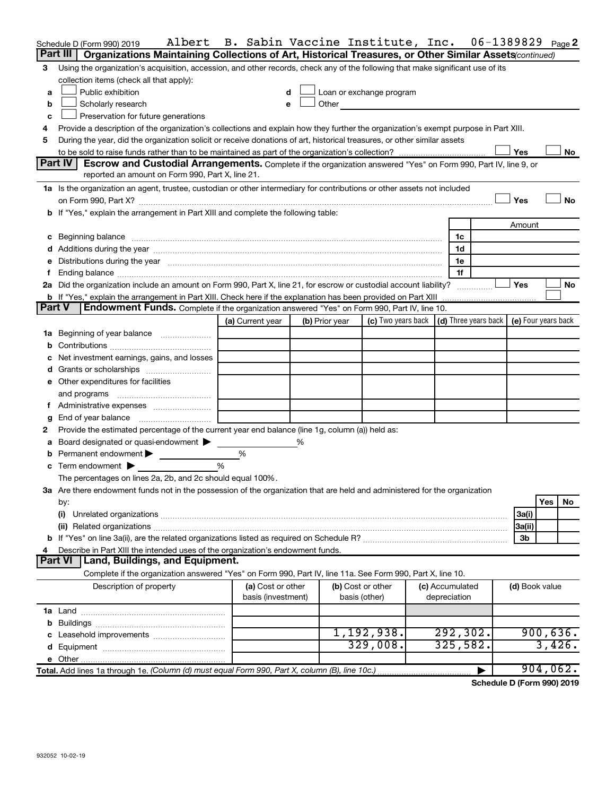|               | Albert<br>Schedule D (Form 990) 2019                                                                                                 | B. Sabin Vaccine Institute, Inc. |   |                |                                                                                                                                                                                                                                |                 | 06-1389829 |                | Page $\bm{2}$ |
|---------------|--------------------------------------------------------------------------------------------------------------------------------------|----------------------------------|---|----------------|--------------------------------------------------------------------------------------------------------------------------------------------------------------------------------------------------------------------------------|-----------------|------------|----------------|---------------|
|               | Part III<br>Organizations Maintaining Collections of Art, Historical Treasures, or Other Similar Assets (continued)                  |                                  |   |                |                                                                                                                                                                                                                                |                 |            |                |               |
| 3             | Using the organization's acquisition, accession, and other records, check any of the following that make significant use of its      |                                  |   |                |                                                                                                                                                                                                                                |                 |            |                |               |
|               | collection items (check all that apply):                                                                                             |                                  |   |                |                                                                                                                                                                                                                                |                 |            |                |               |
| a             | Public exhibition                                                                                                                    | d                                |   |                | Loan or exchange program                                                                                                                                                                                                       |                 |            |                |               |
| b             | Scholarly research                                                                                                                   | е                                |   |                | Other the contract of the contract of the contract of the contract of the contract of the contract of the contract of the contract of the contract of the contract of the contract of the contract of the contract of the cont |                 |            |                |               |
| c             | Preservation for future generations                                                                                                  |                                  |   |                |                                                                                                                                                                                                                                |                 |            |                |               |
| 4             | Provide a description of the organization's collections and explain how they further the organization's exempt purpose in Part XIII. |                                  |   |                |                                                                                                                                                                                                                                |                 |            |                |               |
| 5             | During the year, did the organization solicit or receive donations of art, historical treasures, or other similar assets             |                                  |   |                |                                                                                                                                                                                                                                |                 |            |                |               |
|               |                                                                                                                                      |                                  |   |                |                                                                                                                                                                                                                                |                 |            | Yes            | No            |
|               | Part IV<br>Escrow and Custodial Arrangements. Complete if the organization answered "Yes" on Form 990, Part IV, line 9, or           |                                  |   |                |                                                                                                                                                                                                                                |                 |            |                |               |
|               | reported an amount on Form 990, Part X, line 21.                                                                                     |                                  |   |                |                                                                                                                                                                                                                                |                 |            |                |               |
|               | 1a Is the organization an agent, trustee, custodian or other intermediary for contributions or other assets not included             |                                  |   |                |                                                                                                                                                                                                                                |                 |            |                |               |
|               |                                                                                                                                      |                                  |   |                |                                                                                                                                                                                                                                |                 |            | Yes            | No            |
|               | b If "Yes," explain the arrangement in Part XIII and complete the following table:                                                   |                                  |   |                |                                                                                                                                                                                                                                |                 |            |                |               |
|               |                                                                                                                                      |                                  |   |                |                                                                                                                                                                                                                                |                 |            | Amount         |               |
|               |                                                                                                                                      |                                  |   |                |                                                                                                                                                                                                                                | 1c              |            |                |               |
|               |                                                                                                                                      |                                  |   |                |                                                                                                                                                                                                                                | 1d              |            |                |               |
|               | Distributions during the year measurement contains and all the year measurement of the state of the state of t                       |                                  |   |                |                                                                                                                                                                                                                                | 1e              |            |                |               |
| f             |                                                                                                                                      |                                  |   |                |                                                                                                                                                                                                                                | 1f              |            |                |               |
|               | 2a Did the organization include an amount on Form 990, Part X, line 21, for escrow or custodial account liability?                   |                                  |   |                |                                                                                                                                                                                                                                |                 |            | Yes            | No            |
|               | <b>b</b> If "Yes," explain the arrangement in Part XIII. Check here if the explanation has been provided on Part XIII                |                                  |   |                |                                                                                                                                                                                                                                |                 |            |                |               |
| <b>Part V</b> | Endowment Funds. Complete if the organization answered "Yes" on Form 990, Part IV, line 10.                                          |                                  |   |                |                                                                                                                                                                                                                                |                 |            |                |               |
|               |                                                                                                                                      | (a) Current year                 |   | (b) Prior year | (c) Two years back $\vert$ (d) Three years back $\vert$ (e) Four years back                                                                                                                                                    |                 |            |                |               |
|               |                                                                                                                                      |                                  |   |                |                                                                                                                                                                                                                                |                 |            |                |               |
| b             |                                                                                                                                      |                                  |   |                |                                                                                                                                                                                                                                |                 |            |                |               |
|               | Net investment earnings, gains, and losses                                                                                           |                                  |   |                |                                                                                                                                                                                                                                |                 |            |                |               |
|               |                                                                                                                                      |                                  |   |                |                                                                                                                                                                                                                                |                 |            |                |               |
|               | e Other expenditures for facilities                                                                                                  |                                  |   |                |                                                                                                                                                                                                                                |                 |            |                |               |
|               | and programs                                                                                                                         |                                  |   |                |                                                                                                                                                                                                                                |                 |            |                |               |
| f             |                                                                                                                                      |                                  |   |                |                                                                                                                                                                                                                                |                 |            |                |               |
|               | End of year balance                                                                                                                  |                                  |   |                |                                                                                                                                                                                                                                |                 |            |                |               |
| 2             | Provide the estimated percentage of the current year end balance (line 1g, column (a)) held as:                                      |                                  |   |                |                                                                                                                                                                                                                                |                 |            |                |               |
| а             | Board designated or quasi-endowment >                                                                                                |                                  | ℅ |                |                                                                                                                                                                                                                                |                 |            |                |               |
| b             | Permanent endowment $\blacktriangleright$                                                                                            | %                                |   |                |                                                                                                                                                                                                                                |                 |            |                |               |
|               | $\mathbf c$ Term endowment $\blacktriangleright$                                                                                     | %                                |   |                |                                                                                                                                                                                                                                |                 |            |                |               |
|               | The percentages on lines 2a, 2b, and 2c should equal 100%.                                                                           |                                  |   |                |                                                                                                                                                                                                                                |                 |            |                |               |
|               | 3a Are there endowment funds not in the possession of the organization that are held and administered for the organization           |                                  |   |                |                                                                                                                                                                                                                                |                 |            |                |               |
|               | by:                                                                                                                                  |                                  |   |                |                                                                                                                                                                                                                                |                 |            |                | Yes<br>No     |
|               | (i)                                                                                                                                  |                                  |   |                |                                                                                                                                                                                                                                |                 |            | 3a(i)          |               |
|               |                                                                                                                                      |                                  |   |                |                                                                                                                                                                                                                                |                 |            | 3a(ii)         |               |
|               |                                                                                                                                      |                                  |   |                |                                                                                                                                                                                                                                |                 |            | 3b             |               |
|               | Describe in Part XIII the intended uses of the organization's endowment funds.                                                       |                                  |   |                |                                                                                                                                                                                                                                |                 |            |                |               |
|               | Part VI<br>Land, Buildings, and Equipment.                                                                                           |                                  |   |                |                                                                                                                                                                                                                                |                 |            |                |               |
|               | Complete if the organization answered "Yes" on Form 990, Part IV, line 11a. See Form 990, Part X, line 10.                           |                                  |   |                |                                                                                                                                                                                                                                |                 |            |                |               |
|               | Description of property                                                                                                              | (a) Cost or other                |   |                | (b) Cost or other                                                                                                                                                                                                              | (c) Accumulated |            | (d) Book value |               |
|               |                                                                                                                                      | basis (investment)               |   |                | basis (other)                                                                                                                                                                                                                  | depreciation    |            |                |               |
|               |                                                                                                                                      |                                  |   |                |                                                                                                                                                                                                                                |                 |            |                |               |
|               |                                                                                                                                      |                                  |   |                |                                                                                                                                                                                                                                |                 |            |                |               |
|               |                                                                                                                                      |                                  |   |                | 1,192,938.                                                                                                                                                                                                                     | 292,302.        |            |                | 900,636.      |
|               |                                                                                                                                      |                                  |   |                | 329,008.                                                                                                                                                                                                                       | 325,582.        |            |                | 3,426.        |
|               |                                                                                                                                      |                                  |   |                |                                                                                                                                                                                                                                |                 |            |                |               |
|               |                                                                                                                                      |                                  |   |                |                                                                                                                                                                                                                                |                 |            |                | 904,062.      |

**Schedule D (Form 990) 2019**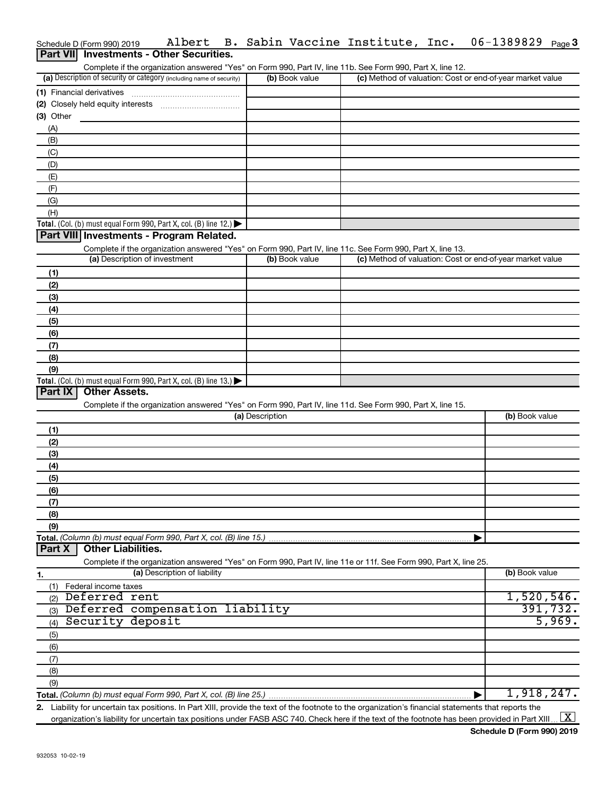|             | Schedule D (Form 990) 2019 | Albert                                                               |                 |                | B. Sabin Vaccine Institute, Inc.                                                                                                                     | 06-1389829                                                | Page $3$ |
|-------------|----------------------------|----------------------------------------------------------------------|-----------------|----------------|------------------------------------------------------------------------------------------------------------------------------------------------------|-----------------------------------------------------------|----------|
|             |                            | Part VII Investments - Other Securities.                             |                 |                |                                                                                                                                                      |                                                           |          |
|             |                            |                                                                      |                 |                | Complete if the organization answered "Yes" on Form 990, Part IV, line 11b. See Form 990, Part X, line 12.                                           |                                                           |          |
|             |                            | (a) Description of security or category (including name of security) |                 | (b) Book value |                                                                                                                                                      | (c) Method of valuation: Cost or end-of-year market value |          |
|             | (1) Financial derivatives  |                                                                      |                 |                |                                                                                                                                                      |                                                           |          |
|             |                            |                                                                      |                 |                |                                                                                                                                                      |                                                           |          |
| $(3)$ Other |                            |                                                                      |                 |                |                                                                                                                                                      |                                                           |          |
|             |                            |                                                                      |                 |                |                                                                                                                                                      |                                                           |          |
| (A)         |                            |                                                                      |                 |                |                                                                                                                                                      |                                                           |          |
| (B)         |                            |                                                                      |                 |                |                                                                                                                                                      |                                                           |          |
| (C)         |                            |                                                                      |                 |                |                                                                                                                                                      |                                                           |          |
| (D)         |                            |                                                                      |                 |                |                                                                                                                                                      |                                                           |          |
| (E)         |                            |                                                                      |                 |                |                                                                                                                                                      |                                                           |          |
| (F)         |                            |                                                                      |                 |                |                                                                                                                                                      |                                                           |          |
| (G)         |                            |                                                                      |                 |                |                                                                                                                                                      |                                                           |          |
| (H)         |                            |                                                                      |                 |                |                                                                                                                                                      |                                                           |          |
|             |                            | Total. (Col. (b) must equal Form 990, Part X, col. (B) line 12.)     |                 |                |                                                                                                                                                      |                                                           |          |
|             |                            | Part VIII Investments - Program Related.                             |                 |                |                                                                                                                                                      |                                                           |          |
|             |                            |                                                                      |                 |                | Complete if the organization answered "Yes" on Form 990, Part IV, line 11c. See Form 990, Part X, line 13.                                           |                                                           |          |
|             |                            | (a) Description of investment                                        |                 | (b) Book value |                                                                                                                                                      | (c) Method of valuation: Cost or end-of-year market value |          |
| (1)         |                            |                                                                      |                 |                |                                                                                                                                                      |                                                           |          |
| (2)         |                            |                                                                      |                 |                |                                                                                                                                                      |                                                           |          |
|             |                            |                                                                      |                 |                |                                                                                                                                                      |                                                           |          |
| (3)         |                            |                                                                      |                 |                |                                                                                                                                                      |                                                           |          |
| (4)         |                            |                                                                      |                 |                |                                                                                                                                                      |                                                           |          |
| (5)         |                            |                                                                      |                 |                |                                                                                                                                                      |                                                           |          |
| (6)         |                            |                                                                      |                 |                |                                                                                                                                                      |                                                           |          |
| (7)         |                            |                                                                      |                 |                |                                                                                                                                                      |                                                           |          |
| (8)         |                            |                                                                      |                 |                |                                                                                                                                                      |                                                           |          |
| (9)         |                            |                                                                      |                 |                |                                                                                                                                                      |                                                           |          |
|             |                            | Total. (Col. (b) must equal Form 990, Part X, col. (B) line 13.)     |                 |                |                                                                                                                                                      |                                                           |          |
| Part IX     | <b>Other Assets.</b>       |                                                                      |                 |                |                                                                                                                                                      |                                                           |          |
|             |                            |                                                                      |                 |                | Complete if the organization answered "Yes" on Form 990, Part IV, line 11d. See Form 990, Part X, line 15.                                           |                                                           |          |
|             |                            |                                                                      | (a) Description |                |                                                                                                                                                      | (b) Book value                                            |          |
| (1)         |                            |                                                                      |                 |                |                                                                                                                                                      |                                                           |          |
| (2)         |                            |                                                                      |                 |                |                                                                                                                                                      |                                                           |          |
| (3)         |                            |                                                                      |                 |                |                                                                                                                                                      |                                                           |          |
|             |                            |                                                                      |                 |                |                                                                                                                                                      |                                                           |          |
| (4)         |                            |                                                                      |                 |                |                                                                                                                                                      |                                                           |          |
| (5)         |                            |                                                                      |                 |                |                                                                                                                                                      |                                                           |          |
| (6)         |                            |                                                                      |                 |                |                                                                                                                                                      |                                                           |          |
| (7)         |                            |                                                                      |                 |                |                                                                                                                                                      |                                                           |          |
| (8)         |                            |                                                                      |                 |                |                                                                                                                                                      |                                                           |          |
| (9)         |                            |                                                                      |                 |                |                                                                                                                                                      |                                                           |          |
|             |                            | Total. (Column (b) must equal Form 990, Part X, col. (B) line 15.)   |                 |                |                                                                                                                                                      |                                                           |          |
| Part X      | <b>Other Liabilities.</b>  |                                                                      |                 |                |                                                                                                                                                      |                                                           |          |
|             |                            |                                                                      |                 |                | Complete if the organization answered "Yes" on Form 990, Part IV, line 11e or 11f. See Form 990, Part X, line 25.                                    |                                                           |          |
| 1.          |                            | (a) Description of liability                                         |                 |                |                                                                                                                                                      | (b) Book value                                            |          |
| (1)         | Federal income taxes       |                                                                      |                 |                |                                                                                                                                                      |                                                           |          |
| (2)         | Deferred rent              |                                                                      |                 |                |                                                                                                                                                      | 1,520,546.                                                |          |
| (3)         |                            | Deferred compensation liability                                      |                 |                |                                                                                                                                                      |                                                           | 391,732. |
| (4)         | Security deposit           |                                                                      |                 |                |                                                                                                                                                      |                                                           | 5,969.   |
|             |                            |                                                                      |                 |                |                                                                                                                                                      |                                                           |          |
| (5)         |                            |                                                                      |                 |                |                                                                                                                                                      |                                                           |          |
| (6)         |                            |                                                                      |                 |                |                                                                                                                                                      |                                                           |          |
| (7)         |                            |                                                                      |                 |                |                                                                                                                                                      |                                                           |          |
| (8)         |                            |                                                                      |                 |                |                                                                                                                                                      |                                                           |          |
| (9)         |                            |                                                                      |                 |                |                                                                                                                                                      |                                                           |          |
|             |                            | Total. (Column (b) must equal Form 990, Part X, col. (B) line 25.).  |                 |                |                                                                                                                                                      | 1,918,247.                                                |          |
|             |                            |                                                                      |                 |                | 2. Liability for uncertain tax positions. In Part XIII, provide the text of the footnote to the organization's financial statements that reports the |                                                           |          |

organization's liability for uncertain tax positions under FASB ASC 740. Check here if the text of the footnote has been provided in Part XIII ...  $\fbox{\bf X}$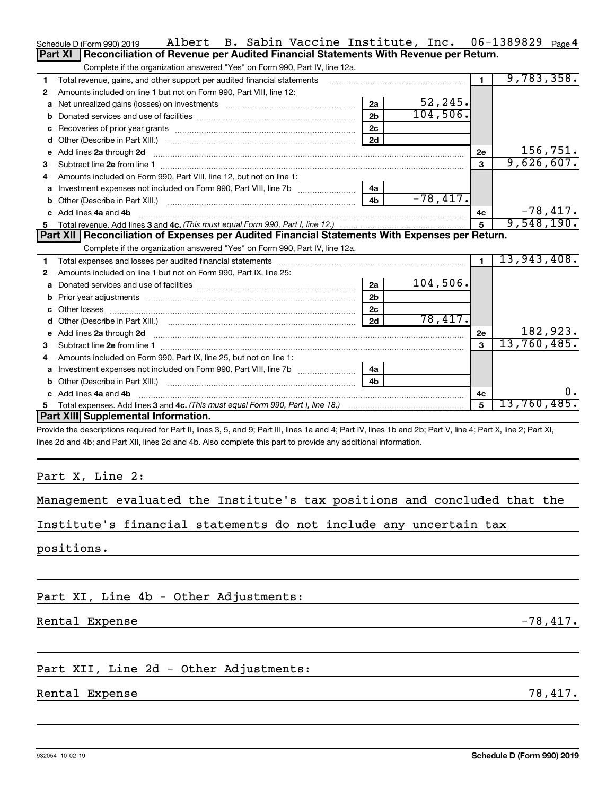| Schedule D (Form 990) 2019 |  |
|----------------------------|--|
|                            |  |

|                                                                   |  |  | Management evaluated the Institute's tax positions and concluded that the |  |
|-------------------------------------------------------------------|--|--|---------------------------------------------------------------------------|--|
| Institute's financial statements do not include any uncertain tax |  |  |                                                                           |  |
| positions.                                                        |  |  |                                                                           |  |

Part XI, Line 4b - Other Adjustments:

**2** Amounts included on line 1 but not on Form 990, Part VIII, line 12:

**a** Net unrealized gains (losses) on investments ~~~~~~~~~~~~~~~~~~ **b** Donated services and use of facilities ~~~~~~~~~~~~~~~~~~~~~~ **c** Recoveries of prior year grants ~~~~~~~~~~~~~~~~~~~~~~~~~ **d** Other (Describe in Part XIII.) ~~~~~~~~~~~~~~~~~~~~~~~~~~

Complete if the organization answered "Yes" on Form 990, Part IV, line 12a.

Rental Expense -78,417.

## Part XII, Line 2d - Other Adjustments:

## Rental Expense 78,417.

**1**

**5 c 4a 4b 3** and **4c. 4c 5** *(This must equal Form 990, Part I, line 18.)* Add lines 4a and Total expenses. Add lines 3 and ~~~~~~~~~~~~~~~~~~~~~~~~~~~~~~~~~~~~~~~~~~~~~ **Part XIII Supplemental Information.**

Provide the descriptions required for Part II, lines 3, 5, and 9; Part III, lines 1a and 4; Part IV, lines 1b and 2b; Part V, line 4; Part X, line 2; Part XI, lines 2d and 4b; and Part XII, lines 2d and 4b. Also complete this part to provide any additional information.

# Complete if the organization answered "Yes" on Form 990, Part IV, line 12a.

**e 2a 2d 2e** Add lines through ~~~~~~~~~~~~~~~~~~~~~~~~~~~~~~~~~~~~~~~~~~~

Total revenue, gains, and other support per audited financial statements ~~~~~~~~~~~~~~~~~~~

**Part XI** Reconciliation of Revenue per Audited Financial Statements With Revenue per Return.

| З.           | Subtract line 2e from line 1                                                                                                                                                                                                                       |                |            | 3  | 9,626,607.  |
|--------------|----------------------------------------------------------------------------------------------------------------------------------------------------------------------------------------------------------------------------------------------------|----------------|------------|----|-------------|
| 4            | Amounts included on Form 990, Part VIII, line 12, but not on line 1:                                                                                                                                                                               |                |            |    |             |
|              |                                                                                                                                                                                                                                                    | 4a             |            |    |             |
|              |                                                                                                                                                                                                                                                    | 4b             | $-78,417.$ |    |             |
|              | c Add lines 4a and 4b                                                                                                                                                                                                                              |                |            | 4c | $-78,417.$  |
|              |                                                                                                                                                                                                                                                    |                |            | 5  | 9,548,190.  |
|              | Part XII Reconciliation of Expenses per Audited Financial Statements With Expenses per Return.                                                                                                                                                     |                |            |    |             |
|              | Complete if the organization answered "Yes" on Form 990, Part IV, line 12a.                                                                                                                                                                        |                |            |    |             |
| 1.           |                                                                                                                                                                                                                                                    |                |            | 1. | 13,943,408. |
| $\mathbf{2}$ | Amounts included on line 1 but not on Form 990, Part IX, line 25:                                                                                                                                                                                  |                |            |    |             |
|              | a Donated services and use of facilities <i>manual content content of the content of the content of a</i>                                                                                                                                          | 2a             | 104,506.   |    |             |
|              |                                                                                                                                                                                                                                                    | 2 <sub>b</sub> |            |    |             |
|              |                                                                                                                                                                                                                                                    | 2c             |            |    |             |
| d            |                                                                                                                                                                                                                                                    | 2d             | 78,417.    |    |             |
|              | e Add lines 2a through 2d <b>[16]</b> Manuscription and the Add lines 2a through 2d <b>[16]</b> Manuscription and the Add lines 2a through 2d <b>[16]</b> Manuscription and the Add lines 2a through 2d <b>[16]</b> Manuscription and the Add line |                |            | 2e | 182,923.    |
| 3            | Subtract line 2e from line 1                                                                                                                                                                                                                       |                |            | 3  | 13,760,485. |
| 4            | Amounts included on Form 990, Part IX, line 25, but not on line 1:                                                                                                                                                                                 |                |            |    |             |
|              |                                                                                                                                                                                                                                                    | 4a             |            |    |             |
|              | <b>b</b> Other (Describe in Part XIII.)                                                                                                                                                                                                            | 4b             |            |    |             |
|              | c Add lines 4a and 4b                                                                                                                                                                                                                              |                |            | 4c | $0$ .       |
| 5.           |                                                                                                                                                                                                                                                    |                |            | 5  | 13,760,485. |
|              | Dout VIII Curricus entel Information                                                                                                                                                                                                               |                |            |    |             |

Schedule D (Form 990) 2019 Page Albert B. Sabin Vaccine Institute, Inc. 06-1389829

**2a 2b 2c 2d**

## 932054 10-02-19

**1**

52,245. 104,506. 06-1389829 <sub>Page</sub> 4

9,783,358.

156,751.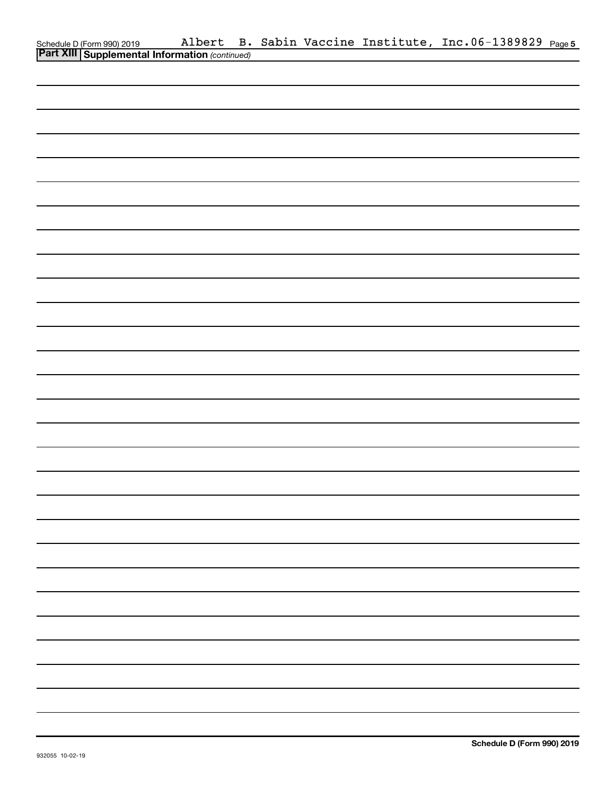| Schedule D (Form 990) 2019 Albert B.<br><b>Part XIII Supplemental Information</b> (continued) | Albert |  |  | B. Sabin Vaccine Institute, Inc.06-1389829 Page5 |  |
|-----------------------------------------------------------------------------------------------|--------|--|--|--------------------------------------------------|--|
|                                                                                               |        |  |  |                                                  |  |
|                                                                                               |        |  |  |                                                  |  |
|                                                                                               |        |  |  |                                                  |  |
|                                                                                               |        |  |  |                                                  |  |
|                                                                                               |        |  |  |                                                  |  |
|                                                                                               |        |  |  |                                                  |  |
|                                                                                               |        |  |  |                                                  |  |
|                                                                                               |        |  |  |                                                  |  |
|                                                                                               |        |  |  |                                                  |  |
|                                                                                               |        |  |  |                                                  |  |
|                                                                                               |        |  |  |                                                  |  |
|                                                                                               |        |  |  |                                                  |  |
|                                                                                               |        |  |  |                                                  |  |
|                                                                                               |        |  |  |                                                  |  |
|                                                                                               |        |  |  |                                                  |  |
|                                                                                               |        |  |  |                                                  |  |
|                                                                                               |        |  |  |                                                  |  |
|                                                                                               |        |  |  |                                                  |  |
|                                                                                               |        |  |  |                                                  |  |
|                                                                                               |        |  |  |                                                  |  |
|                                                                                               |        |  |  |                                                  |  |
|                                                                                               |        |  |  |                                                  |  |
|                                                                                               |        |  |  |                                                  |  |
|                                                                                               |        |  |  |                                                  |  |
|                                                                                               |        |  |  |                                                  |  |
|                                                                                               |        |  |  |                                                  |  |
|                                                                                               |        |  |  |                                                  |  |
|                                                                                               |        |  |  |                                                  |  |
|                                                                                               |        |  |  |                                                  |  |
|                                                                                               |        |  |  |                                                  |  |
|                                                                                               |        |  |  |                                                  |  |
|                                                                                               |        |  |  |                                                  |  |
|                                                                                               |        |  |  |                                                  |  |
|                                                                                               |        |  |  |                                                  |  |
|                                                                                               |        |  |  |                                                  |  |
|                                                                                               |        |  |  |                                                  |  |
|                                                                                               |        |  |  |                                                  |  |
|                                                                                               |        |  |  |                                                  |  |
|                                                                                               |        |  |  |                                                  |  |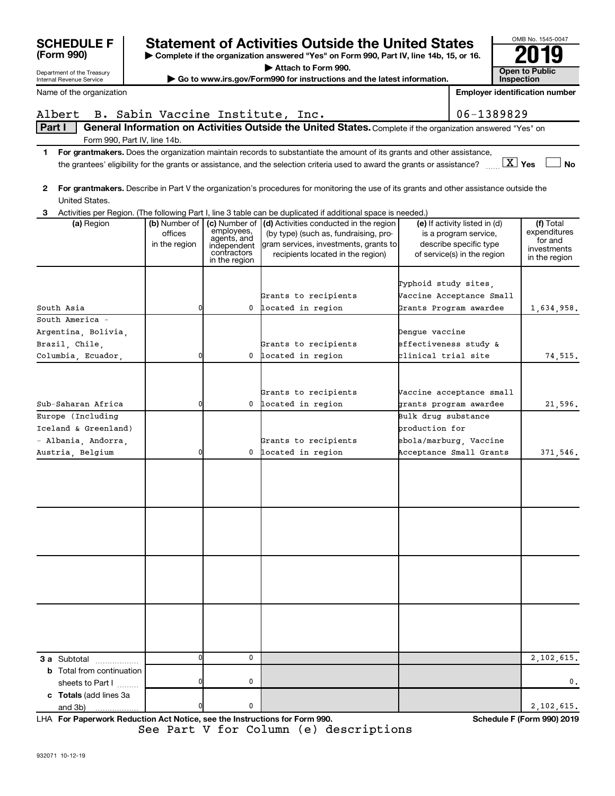| (Form 990)<br>▶ Complete if the organization answered "Yes" on Form 990, Part IV, line 14b, 15, or 16. |                          |                            |                                                                                                                                           |                      | ZU IY                                                  |                              |
|--------------------------------------------------------------------------------------------------------|--------------------------|----------------------------|-------------------------------------------------------------------------------------------------------------------------------------------|----------------------|--------------------------------------------------------|------------------------------|
| Department of the Treasury                                                                             |                          |                            | Attach to Form 990.                                                                                                                       |                      |                                                        | <b>Open to Public</b>        |
| Internal Revenue Service                                                                               |                          |                            | Go to www.irs.gov/Form990 for instructions and the latest information.                                                                    |                      |                                                        | Inspection                   |
| Name of the organization                                                                               |                          |                            |                                                                                                                                           |                      | <b>Employer identification number</b>                  |                              |
| Albert                                                                                                 |                          |                            | B. Sabin Vaccine Institute, Inc.                                                                                                          |                      | 06-1389829                                             |                              |
| Part I                                                                                                 |                          |                            | General Information on Activities Outside the United States. Complete if the organization answered "Yes" on                               |                      |                                                        |                              |
| Form 990, Part IV, line 14b.                                                                           |                          |                            |                                                                                                                                           |                      |                                                        |                              |
| 1.                                                                                                     |                          |                            | For grantmakers. Does the organization maintain records to substantiate the amount of its grants and other assistance,                    |                      |                                                        |                              |
|                                                                                                        |                          |                            | the grantees' eligibility for the grants or assistance, and the selection criteria used to award the grants or assistance?                |                      |                                                        | $X$ Yes<br><b>No</b>         |
|                                                                                                        |                          |                            |                                                                                                                                           |                      |                                                        |                              |
|                                                                                                        |                          |                            | 2 For grantmakers. Describe in Part V the organization's procedures for monitoring the use of its grants and other assistance outside the |                      |                                                        |                              |
| United States.                                                                                         |                          |                            |                                                                                                                                           |                      |                                                        |                              |
| 3                                                                                                      |                          |                            | Activities per Region. (The following Part I, line 3 table can be duplicated if additional space is needed.)                              |                      |                                                        |                              |
| (a) Region                                                                                             | (b) Number of<br>offices | employees,                 | (c) Number of (d) Activities conducted in the region<br>(by type) (such as, fundraising, pro-                                             |                      | (e) If activity listed in (d)<br>is a program service, | (f) Total<br>expenditures    |
|                                                                                                        | in the region            | agents, and<br>independent | gram services, investments, grants to                                                                                                     |                      | describe specific type                                 | for and                      |
|                                                                                                        |                          | contractors                | recipients located in the region)                                                                                                         |                      | of service(s) in the region                            | investments<br>in the region |
|                                                                                                        |                          | in the region              |                                                                                                                                           |                      |                                                        |                              |
|                                                                                                        |                          |                            |                                                                                                                                           | Typhoid study sites. |                                                        |                              |
|                                                                                                        |                          |                            | Grants to recipients                                                                                                                      |                      | Vaccine Acceptance Small                               |                              |
| South Asia                                                                                             | 0                        | 0                          | located in region                                                                                                                         |                      | Grants Program awardee                                 | 1,634,958.                   |
| South America -                                                                                        |                          |                            |                                                                                                                                           |                      |                                                        |                              |
| Argentina, Bolivia,                                                                                    |                          |                            |                                                                                                                                           | Dengue vaccine       |                                                        |                              |
| Brazil, Chile,                                                                                         |                          |                            | Grants to recipients                                                                                                                      |                      | effectiveness study &                                  |                              |
| Columbia, Ecuador,                                                                                     | 0                        | 0                          | located in region                                                                                                                         | clinical trial site  |                                                        | 74, 515.                     |
|                                                                                                        |                          |                            |                                                                                                                                           |                      |                                                        |                              |
|                                                                                                        |                          |                            |                                                                                                                                           |                      |                                                        |                              |
|                                                                                                        |                          |                            | Grants to recipients                                                                                                                      |                      | Vaccine acceptance small                               |                              |
| Sub-Saharan Africa                                                                                     | 0                        | 0                          | located in region                                                                                                                         |                      | grants program awardee                                 | 21,596.                      |
| Europe (Including                                                                                      |                          |                            |                                                                                                                                           | Bulk drug substance  |                                                        |                              |
| Iceland & Greenland)                                                                                   |                          |                            |                                                                                                                                           | production for       |                                                        |                              |
| - Albania, Andorra,                                                                                    |                          |                            | Grants to recipients                                                                                                                      |                      | ebola/marburg, Vaccine                                 |                              |
| Austria, Belgium                                                                                       | 0                        | 0                          | located in region                                                                                                                         |                      | Acceptance Small Grants                                | 371,546.                     |
|                                                                                                        |                          |                            |                                                                                                                                           |                      |                                                        |                              |
|                                                                                                        |                          |                            |                                                                                                                                           |                      |                                                        |                              |
|                                                                                                        |                          |                            |                                                                                                                                           |                      |                                                        |                              |
|                                                                                                        |                          |                            |                                                                                                                                           |                      |                                                        |                              |
|                                                                                                        |                          |                            |                                                                                                                                           |                      |                                                        |                              |
|                                                                                                        |                          |                            |                                                                                                                                           |                      |                                                        |                              |
|                                                                                                        |                          |                            |                                                                                                                                           |                      |                                                        |                              |
|                                                                                                        |                          |                            |                                                                                                                                           |                      |                                                        |                              |
|                                                                                                        |                          |                            |                                                                                                                                           |                      |                                                        |                              |
|                                                                                                        |                          |                            |                                                                                                                                           |                      |                                                        |                              |
|                                                                                                        |                          |                            |                                                                                                                                           |                      |                                                        |                              |
|                                                                                                        |                          |                            |                                                                                                                                           |                      |                                                        |                              |
|                                                                                                        |                          |                            |                                                                                                                                           |                      |                                                        |                              |
|                                                                                                        |                          |                            |                                                                                                                                           |                      |                                                        |                              |
|                                                                                                        |                          |                            |                                                                                                                                           |                      |                                                        |                              |
| <b>3 a</b> Subtotal                                                                                    | $\Omega$                 | 0                          |                                                                                                                                           |                      |                                                        | 2,102,615.                   |
| <b>b</b> Total from continuation                                                                       |                          |                            |                                                                                                                                           |                      |                                                        |                              |
| sheets to Part I                                                                                       |                          | 0                          |                                                                                                                                           |                      |                                                        | 0.                           |
| c Totals (add lines 3a                                                                                 |                          |                            |                                                                                                                                           |                      |                                                        |                              |
| and 3b)                                                                                                |                          | 0                          |                                                                                                                                           |                      |                                                        | 2,102,615.                   |

**Statement of Activities Outside the United States**  $\begin{array}{|c|c|c|c|c|c|}\n\hline\n\text{OM-MS} & \text{OM-MS} & \text{OM-MS} \\
\hline\n\text{OM-MS} & \text{OM-MS} & \text{OM-MS} & \text{OM-MS} \\
\hline\n\end{array}$ 

**For Paperwork Reduction Act Notice, see the Instructions for Form 990. Schedule F (Form 990) 2019** LHA See Part V for Column (e) descriptions

OMB No. 1545-0047

**SCHEDULE F**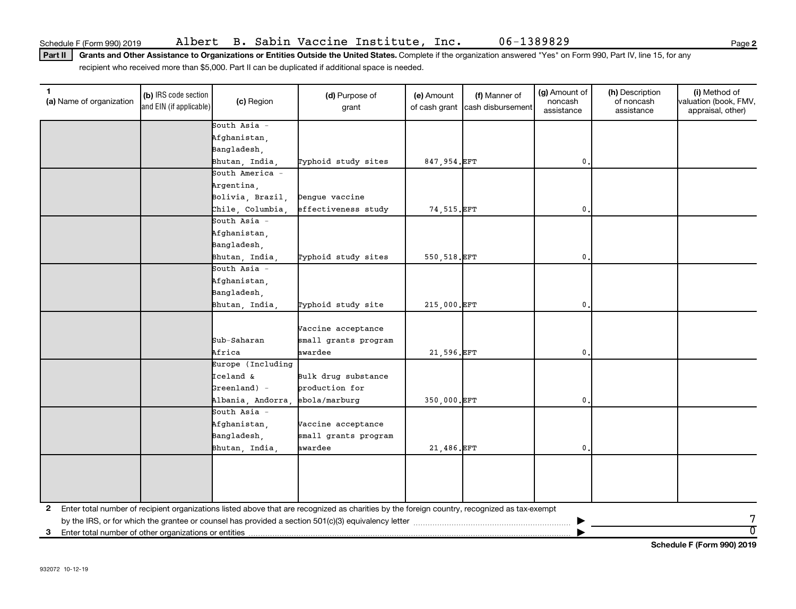Part II | Grants and Other Assistance to Organizations or Entities Outside the United States. Complete if the organization answered "Yes" on Form 990, Part IV, line 15, for any recipient who received more than \$5,000. Part II can be duplicated if additional space is needed.

| $\mathbf{1}$<br>(a) Name of organization                   | (b) IRS code section<br>and EIN (if applicable) | (c) Region            | (d) Purpose of<br>grant                                                                                                                      | (e) Amount    | (f) Manner of<br>of cash grant cash disbursement | (g) Amount of<br>noncash<br>assistance | (h) Description<br>of noncash<br>assistance | (i) Method of<br>valuation (book, FMV,<br>appraisal, other) |
|------------------------------------------------------------|-------------------------------------------------|-----------------------|----------------------------------------------------------------------------------------------------------------------------------------------|---------------|--------------------------------------------------|----------------------------------------|---------------------------------------------|-------------------------------------------------------------|
|                                                            |                                                 | South Asia -          |                                                                                                                                              |               |                                                  |                                        |                                             |                                                             |
|                                                            |                                                 | Afghanistan,          |                                                                                                                                              |               |                                                  |                                        |                                             |                                                             |
|                                                            |                                                 | Bangladesh,           |                                                                                                                                              |               |                                                  |                                        |                                             |                                                             |
|                                                            |                                                 | Bhutan, India,        | Typhoid study sites                                                                                                                          | 847,954.EFT   |                                                  | 0.                                     |                                             |                                                             |
|                                                            |                                                 | South America -       |                                                                                                                                              |               |                                                  |                                        |                                             |                                                             |
|                                                            |                                                 | Argentina,            |                                                                                                                                              |               |                                                  |                                        |                                             |                                                             |
|                                                            |                                                 | Bolivia, Brazil,      | Dengue vaccine                                                                                                                               |               |                                                  |                                        |                                             |                                                             |
|                                                            |                                                 | Chile, Columbia,      | effectiveness study                                                                                                                          | 74, 515. EFT  |                                                  | 0.                                     |                                             |                                                             |
|                                                            |                                                 | South Asia -          |                                                                                                                                              |               |                                                  |                                        |                                             |                                                             |
|                                                            |                                                 | Afghanistan,          |                                                                                                                                              |               |                                                  |                                        |                                             |                                                             |
|                                                            |                                                 | Bangladesh,           |                                                                                                                                              |               |                                                  |                                        |                                             |                                                             |
|                                                            |                                                 | Bhutan, India,        | Typhoid study sites                                                                                                                          | 550, 518. EFT |                                                  | 0                                      |                                             |                                                             |
|                                                            |                                                 | South Asia -          |                                                                                                                                              |               |                                                  |                                        |                                             |                                                             |
|                                                            |                                                 | Afghanistan,          |                                                                                                                                              |               |                                                  |                                        |                                             |                                                             |
|                                                            |                                                 | Bangladesh,           |                                                                                                                                              |               |                                                  |                                        |                                             |                                                             |
|                                                            |                                                 | Bhutan, India,        | Typhoid study site                                                                                                                           | 215,000.EFT   |                                                  | 0                                      |                                             |                                                             |
|                                                            |                                                 | Sub-Saharan<br>Africa | Vaccine acceptance<br>small grants program<br>awardee                                                                                        | 21,596.EFT    |                                                  | $\mathbf{0}$                           |                                             |                                                             |
|                                                            |                                                 | Europe (Including     |                                                                                                                                              |               |                                                  |                                        |                                             |                                                             |
|                                                            |                                                 | Iceland &             | Bulk drug substance                                                                                                                          |               |                                                  |                                        |                                             |                                                             |
|                                                            |                                                 | $\beta$ reenland) -   | production for                                                                                                                               |               |                                                  |                                        |                                             |                                                             |
|                                                            |                                                 | Albania, Andorra      | ebola/marburg                                                                                                                                | 350,000.EFT   |                                                  | 0                                      |                                             |                                                             |
|                                                            |                                                 | South Asia -          |                                                                                                                                              |               |                                                  |                                        |                                             |                                                             |
|                                                            |                                                 | Afghanistan,          | Vaccine acceptance                                                                                                                           |               |                                                  |                                        |                                             |                                                             |
|                                                            |                                                 | Bangladesh,           | small grants program                                                                                                                         |               |                                                  |                                        |                                             |                                                             |
|                                                            |                                                 | Bhutan, India,        | awardee                                                                                                                                      | 21,486.EFT    |                                                  | $\mathbf{0}$                           |                                             |                                                             |
|                                                            |                                                 |                       |                                                                                                                                              |               |                                                  |                                        |                                             |                                                             |
|                                                            |                                                 |                       |                                                                                                                                              |               |                                                  |                                        |                                             |                                                             |
|                                                            |                                                 |                       |                                                                                                                                              |               |                                                  |                                        |                                             |                                                             |
| 2                                                          |                                                 |                       | Enter total number of recipient organizations listed above that are recognized as charities by the foreign country, recognized as tax-exempt |               |                                                  |                                        |                                             |                                                             |
|                                                            |                                                 |                       |                                                                                                                                              |               |                                                  |                                        |                                             | 7                                                           |
| Enter total number of other organizations or entities<br>3 |                                                 |                       |                                                                                                                                              |               |                                                  |                                        |                                             | $\overline{0}$                                              |

**Schedule F (Form 990) 2019**

**2**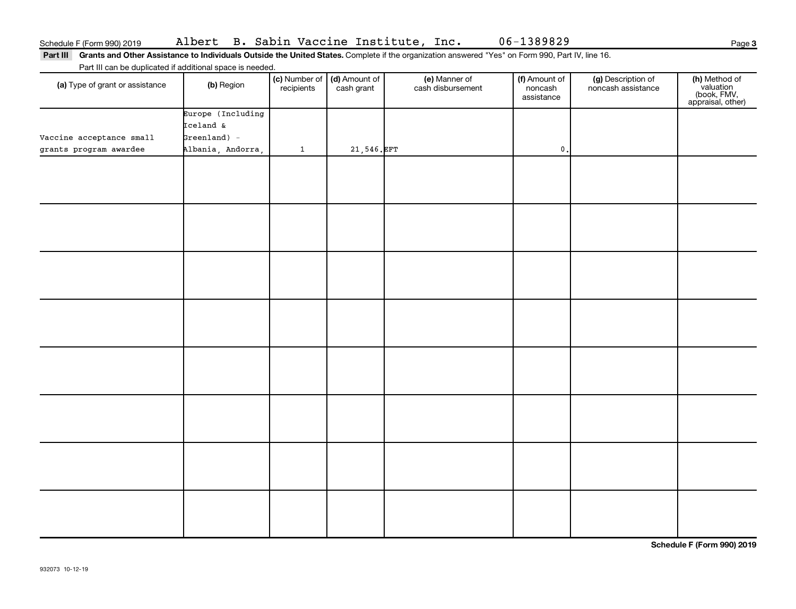Part III Grants and Other Assistance to Individuals Outside the United States. Complete if the organization answered "Yes" on Form 990, Part IV, line 16. Part III can be duplicated if additional space is needed.

| r are in barried depiloated in additional opabo io nobaba.<br>(a) Type of grant or assistance | (b) Region        | recipients   | (c) Number of (d) Amount of<br>cash grant | (e) Manner of<br>cash disbursement | (f) Amount of<br>noncash<br>assistance | (g) Description of<br>noncash assistance | (h) Method of<br>valuation<br>(book, FMV,<br>appraisal, other) |
|-----------------------------------------------------------------------------------------------|-------------------|--------------|-------------------------------------------|------------------------------------|----------------------------------------|------------------------------------------|----------------------------------------------------------------|
|                                                                                               | Europe (Including |              |                                           |                                    |                                        |                                          |                                                                |
|                                                                                               | Iceland &         |              |                                           |                                    |                                        |                                          |                                                                |
| Vaccine acceptance small                                                                      | $Greenland$ ) -   |              |                                           |                                    |                                        |                                          |                                                                |
| grants program awardee                                                                        | Albania, Andorra, | $\mathbf{1}$ | 21,546.EFT                                |                                    | $\mathbf 0$ .                          |                                          |                                                                |
|                                                                                               |                   |              |                                           |                                    |                                        |                                          |                                                                |
|                                                                                               |                   |              |                                           |                                    |                                        |                                          |                                                                |
|                                                                                               |                   |              |                                           |                                    |                                        |                                          |                                                                |
|                                                                                               |                   |              |                                           |                                    |                                        |                                          |                                                                |
|                                                                                               |                   |              |                                           |                                    |                                        |                                          |                                                                |
|                                                                                               |                   |              |                                           |                                    |                                        |                                          |                                                                |
|                                                                                               |                   |              |                                           |                                    |                                        |                                          |                                                                |
|                                                                                               |                   |              |                                           |                                    |                                        |                                          |                                                                |
|                                                                                               |                   |              |                                           |                                    |                                        |                                          |                                                                |
|                                                                                               |                   |              |                                           |                                    |                                        |                                          |                                                                |
|                                                                                               |                   |              |                                           |                                    |                                        |                                          |                                                                |
|                                                                                               |                   |              |                                           |                                    |                                        |                                          |                                                                |
|                                                                                               |                   |              |                                           |                                    |                                        |                                          |                                                                |
|                                                                                               |                   |              |                                           |                                    |                                        |                                          |                                                                |
|                                                                                               |                   |              |                                           |                                    |                                        |                                          |                                                                |
|                                                                                               |                   |              |                                           |                                    |                                        |                                          |                                                                |
|                                                                                               |                   |              |                                           |                                    |                                        |                                          |                                                                |
|                                                                                               |                   |              |                                           |                                    |                                        |                                          |                                                                |
|                                                                                               |                   |              |                                           |                                    |                                        |                                          |                                                                |
|                                                                                               |                   |              |                                           |                                    |                                        |                                          |                                                                |
|                                                                                               |                   |              |                                           |                                    |                                        |                                          |                                                                |
|                                                                                               |                   |              |                                           |                                    |                                        |                                          |                                                                |
|                                                                                               |                   |              |                                           |                                    |                                        |                                          |                                                                |
|                                                                                               |                   |              |                                           |                                    |                                        |                                          |                                                                |
|                                                                                               |                   |              |                                           |                                    |                                        |                                          |                                                                |
|                                                                                               |                   |              |                                           |                                    |                                        |                                          |                                                                |
|                                                                                               |                   |              |                                           |                                    |                                        |                                          |                                                                |
|                                                                                               |                   |              |                                           |                                    |                                        |                                          |                                                                |

**Schedule F (Form 990) 2019**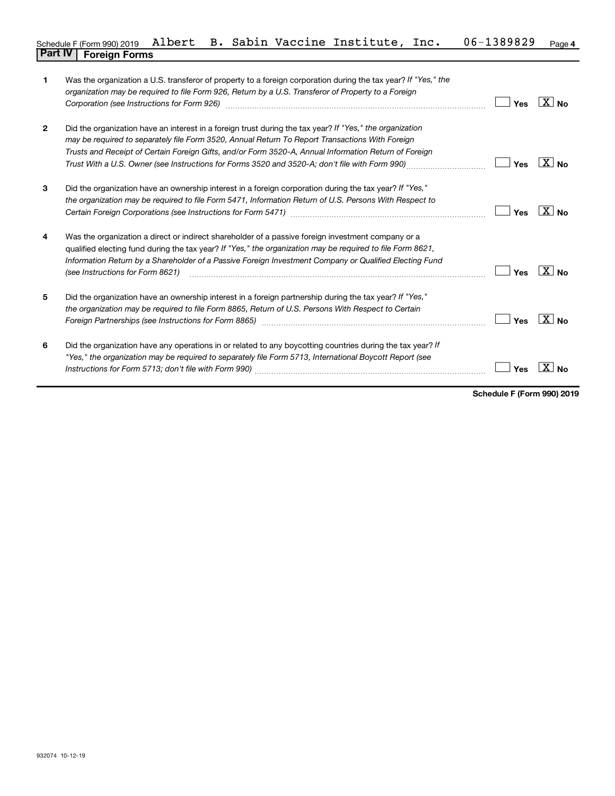#### **4** Schedule F (Form 990) 2019 Albert B. Sabin Vaccine Institute, Inc. 06-1389829 <sub>Page</sub> **Part IV F** (Form 990) 2019 **19**<br>**Part IV Foreign Forms**

| $\mathbf{1}$   | Was the organization a U.S. transferor of property to a foreign corporation during the tax year? If "Yes," the<br>organization may be required to file Form 926, Return by a U.S. Transferor of Property to a Foreign<br>Corporation (see Instructions for Form 926) manufactured controller controller to the control of the control of                       | Yes | $X _{\mathsf{No}}$ |
|----------------|----------------------------------------------------------------------------------------------------------------------------------------------------------------------------------------------------------------------------------------------------------------------------------------------------------------------------------------------------------------|-----|--------------------|
| $\overline{2}$ | Did the organization have an interest in a foreign trust during the tax year? If "Yes," the organization<br>may be required to separately file Form 3520, Annual Return To Report Transactions With Foreign<br>Trusts and Receipt of Certain Foreign Gifts, and/or Form 3520-A, Annual Information Return of Foreign                                           | Yes | $X _{\text{No}}$   |
| 3              | Did the organization have an ownership interest in a foreign corporation during the tax year? If "Yes,"<br>the organization may be required to file Form 5471, Information Return of U.S. Persons With Respect to                                                                                                                                              | Yes | $ X $ No.          |
| 4              | Was the organization a direct or indirect shareholder of a passive foreign investment company or a<br>qualified electing fund during the tax year? If "Yes," the organization may be required to file Form 8621,<br>Information Return by a Shareholder of a Passive Foreign Investment Company or Qualified Electing Fund<br>(see Instructions for Form 8621) | Yes | $X_{\text{No}}$    |
| 5              | Did the organization have an ownership interest in a foreign partnership during the tax year? If "Yes,"<br>the organization may be required to file Form 8865, Return of U.S. Persons With Respect to Certain                                                                                                                                                  | Yes | $X _{\mathsf{No}}$ |
| 6              | Did the organization have any operations in or related to any boycotting countries during the tax year? If<br>"Yes," the organization may be required to separately file Form 5713, International Boycott Report (see                                                                                                                                          | Yes |                    |

**Schedule F (Form 990) 2019**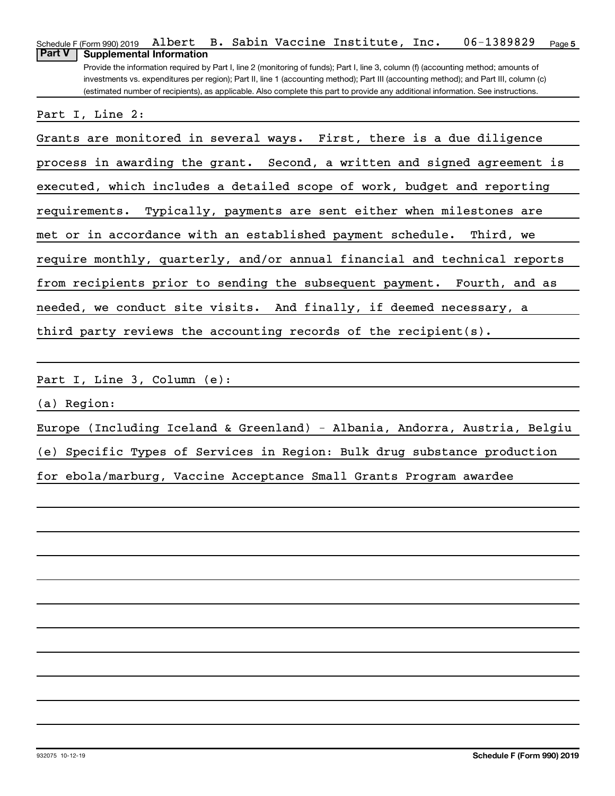| 06-1389829<br>Albert B. Sabin Vaccine Institute, Inc.<br>Schedule F (Form 990) 2019<br>Page 5                                         |
|---------------------------------------------------------------------------------------------------------------------------------------|
| <b>Part V</b><br><b>Supplemental Information</b>                                                                                      |
| Provide the information required by Part I, line 2 (monitoring of funds); Part I, line 3, column (f) (accounting method; amounts of   |
| investments vs. expenditures per region); Part II, line 1 (accounting method); Part III (accounting method); and Part III, column (c) |
| (estimated number of recipients), as applicable. Also complete this part to provide any additional information. See instructions.     |
|                                                                                                                                       |
| Part I, Line 2:                                                                                                                       |
|                                                                                                                                       |
| Grants are monitored in several ways. First, there is a due diligence                                                                 |
|                                                                                                                                       |
| process in awarding the grant. Second, a written and signed agreement is                                                              |
| executed, which includes a detailed scope of work, budget and reporting                                                               |
|                                                                                                                                       |
| requirements. Typically, payments are sent either when milestones are                                                                 |
| met or in accordance with an established payment schedule.<br>Third, we                                                               |
|                                                                                                                                       |
| require monthly, quarterly, and/or annual financial and technical reports                                                             |
|                                                                                                                                       |
| from recipients prior to sending the subsequent payment. Fourth, and as                                                               |
| needed, we conduct site visits. And finally, if deemed necessary, a                                                                   |
|                                                                                                                                       |

third party reviews the accounting records of the recipient(s).

Part I, Line 3, Column (e):

(a) Region:

Europe (Including Iceland & Greenland) - Albania, Andorra, Austria, Belgiu

(e) Specific Types of Services in Region: Bulk drug substance production

for ebola/marburg, Vaccine Acceptance Small Grants Program awardee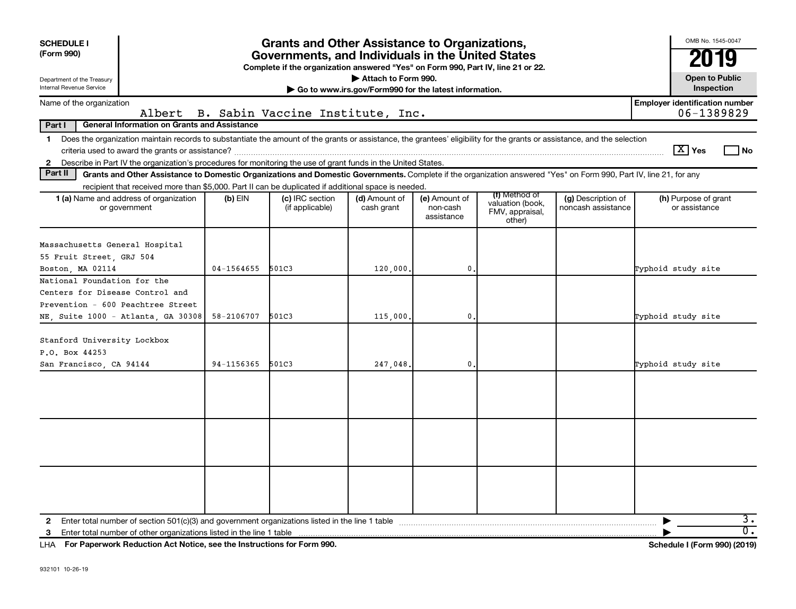| <b>Grants and Other Assistance to Organizations,</b><br><b>SCHEDULE I</b><br>(Form 990)<br>Governments, and Individuals in the United States<br>Complete if the organization answered "Yes" on Form 990, Part IV, line 21 or 22.<br>Attach to Form 990.<br>Department of the Treasury<br>Internal Revenue Service<br>Go to www.irs.gov/Form990 for the latest information. |            |                                    |                             |                                         |                                                                |                                          | OMB No. 1545-0047<br>IJ<br><b>Open to Public</b><br>Inspection |
|----------------------------------------------------------------------------------------------------------------------------------------------------------------------------------------------------------------------------------------------------------------------------------------------------------------------------------------------------------------------------|------------|------------------------------------|-----------------------------|-----------------------------------------|----------------------------------------------------------------|------------------------------------------|----------------------------------------------------------------|
| Name of the organization                                                                                                                                                                                                                                                                                                                                                   |            |                                    |                             |                                         |                                                                |                                          | <b>Employer identification number</b>                          |
| Albert                                                                                                                                                                                                                                                                                                                                                                     |            | B. Sabin Vaccine Institute, Inc.   |                             |                                         |                                                                |                                          | 06-1389829                                                     |
| Part I<br><b>General Information on Grants and Assistance</b>                                                                                                                                                                                                                                                                                                              |            |                                    |                             |                                         |                                                                |                                          |                                                                |
| Does the organization maintain records to substantiate the amount of the grants or assistance, the grantees' eligibility for the grants or assistance, and the selection<br>$\mathbf 1$<br>Describe in Part IV the organization's procedures for monitoring the use of grant funds in the United States.<br>$\mathbf{2}$                                                   |            |                                    |                             |                                         |                                                                |                                          | $\lceil \text{X} \rceil$ Yes<br>l No                           |
| Part II<br>Grants and Other Assistance to Domestic Organizations and Domestic Governments. Complete if the organization answered "Yes" on Form 990, Part IV, line 21, for any                                                                                                                                                                                              |            |                                    |                             |                                         |                                                                |                                          |                                                                |
| recipient that received more than \$5,000. Part II can be duplicated if additional space is needed.                                                                                                                                                                                                                                                                        |            |                                    |                             |                                         |                                                                |                                          |                                                                |
| 1 (a) Name and address of organization<br>or government                                                                                                                                                                                                                                                                                                                    | $(b)$ EIN  | (c) IRC section<br>(if applicable) | (d) Amount of<br>cash grant | (e) Amount of<br>non-cash<br>assistance | (f) Method of<br>valuation (book,<br>FMV, appraisal,<br>other) | (g) Description of<br>noncash assistance | (h) Purpose of grant<br>or assistance                          |
| Massachusetts General Hospital                                                                                                                                                                                                                                                                                                                                             |            |                                    |                             |                                         |                                                                |                                          |                                                                |
| 55 Fruit Street, GRJ 504                                                                                                                                                                                                                                                                                                                                                   | 04-1564655 | 501C3                              |                             | $\mathbf{0}$                            |                                                                |                                          | Typhoid study site                                             |
| Boston, MA 02114<br>National Foundation for the                                                                                                                                                                                                                                                                                                                            |            |                                    | 120,000.                    |                                         |                                                                |                                          |                                                                |
| Centers for Disease Control and                                                                                                                                                                                                                                                                                                                                            |            |                                    |                             |                                         |                                                                |                                          |                                                                |
| Prevention - 600 Peachtree Street                                                                                                                                                                                                                                                                                                                                          |            |                                    |                             |                                         |                                                                |                                          |                                                                |
| NE, Suite 1000 - Atlanta, GA 30308                                                                                                                                                                                                                                                                                                                                         | 58-2106707 | 501C3                              | 115,000.                    | $\mathbf{0}$                            |                                                                |                                          | Typhoid study site                                             |
| Stanford University Lockbox<br>P.O. Box 44253                                                                                                                                                                                                                                                                                                                              |            |                                    |                             |                                         |                                                                |                                          |                                                                |
| San Francisco, CA 94144                                                                                                                                                                                                                                                                                                                                                    | 94-1156365 | 501C3                              | 247,048.                    | $\mathbf{0}$                            |                                                                |                                          | Typhoid study site                                             |
|                                                                                                                                                                                                                                                                                                                                                                            |            |                                    |                             |                                         |                                                                |                                          |                                                                |
| Enter total number of other organizations listed in the line 1 table<br>3                                                                                                                                                                                                                                                                                                  |            |                                    |                             |                                         |                                                                |                                          | $\overline{3}$ .<br>σ.                                         |

**For Paperwork Reduction Act Notice, see the Instructions for Form 990. Schedule I (Form 990) (2019)** LHA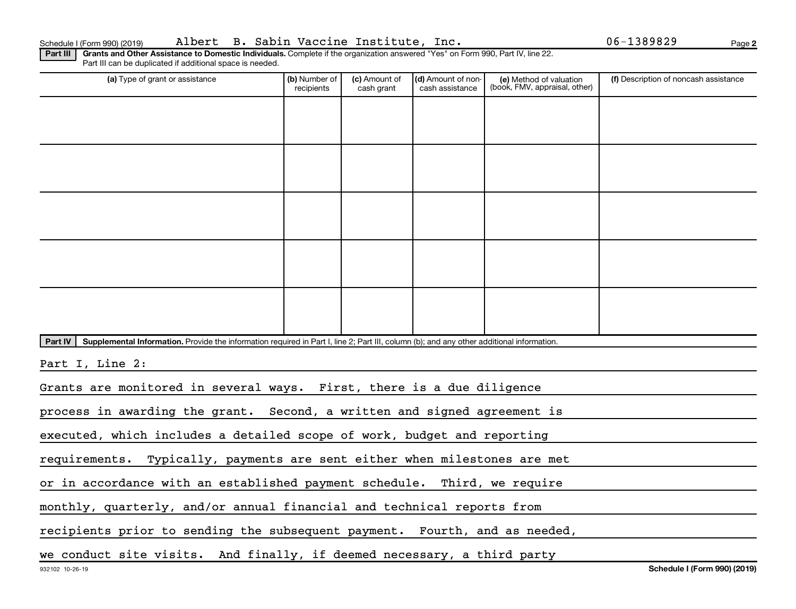**2**

Part III | Grants and Other Assistance to Domestic Individuals. Complete if the organization answered "Yes" on Form 990, Part IV, line 22. Part III can be duplicated if additional space is needed.

| (a) Type of grant or assistance                                                                                                                      | (b) Number of<br>recipients | (c) Amount of<br>cash grant | (d) Amount of non-<br>cash assistance | (e) Method of valuation<br>(book, FMV, appraisal, other) | (f) Description of noncash assistance |  |  |
|------------------------------------------------------------------------------------------------------------------------------------------------------|-----------------------------|-----------------------------|---------------------------------------|----------------------------------------------------------|---------------------------------------|--|--|
|                                                                                                                                                      |                             |                             |                                       |                                                          |                                       |  |  |
|                                                                                                                                                      |                             |                             |                                       |                                                          |                                       |  |  |
|                                                                                                                                                      |                             |                             |                                       |                                                          |                                       |  |  |
|                                                                                                                                                      |                             |                             |                                       |                                                          |                                       |  |  |
|                                                                                                                                                      |                             |                             |                                       |                                                          |                                       |  |  |
|                                                                                                                                                      |                             |                             |                                       |                                                          |                                       |  |  |
|                                                                                                                                                      |                             |                             |                                       |                                                          |                                       |  |  |
|                                                                                                                                                      |                             |                             |                                       |                                                          |                                       |  |  |
|                                                                                                                                                      |                             |                             |                                       |                                                          |                                       |  |  |
|                                                                                                                                                      |                             |                             |                                       |                                                          |                                       |  |  |
|                                                                                                                                                      |                             |                             |                                       |                                                          |                                       |  |  |
|                                                                                                                                                      |                             |                             |                                       |                                                          |                                       |  |  |
|                                                                                                                                                      |                             |                             |                                       |                                                          |                                       |  |  |
| Part IV<br>Supplemental Information. Provide the information required in Part I, line 2; Part III, column (b); and any other additional information. |                             |                             |                                       |                                                          |                                       |  |  |
| Part I, Line 2:                                                                                                                                      |                             |                             |                                       |                                                          |                                       |  |  |
| Grants are monitored in several ways. First, there is a due diligence                                                                                |                             |                             |                                       |                                                          |                                       |  |  |
| process in awarding the grant. Second, a written and signed agreement is                                                                             |                             |                             |                                       |                                                          |                                       |  |  |
|                                                                                                                                                      |                             |                             |                                       |                                                          |                                       |  |  |
| executed, which includes a detailed scope of work, budget and reporting                                                                              |                             |                             |                                       |                                                          |                                       |  |  |
| requirements. Typically, payments are sent either when milestones are met                                                                            |                             |                             |                                       |                                                          |                                       |  |  |
| or in accordance with an established payment schedule. Third, we require                                                                             |                             |                             |                                       |                                                          |                                       |  |  |
| monthly, quarterly, and/or annual financial and technical reports from                                                                               |                             |                             |                                       |                                                          |                                       |  |  |
| recipients prior to sending the subsequent payment. Fourth, and as needed,                                                                           |                             |                             |                                       |                                                          |                                       |  |  |
|                                                                                                                                                      |                             |                             |                                       |                                                          |                                       |  |  |
| we conduct site visits. And finally, if deemed necessary, a third party                                                                              |                             |                             |                                       |                                                          |                                       |  |  |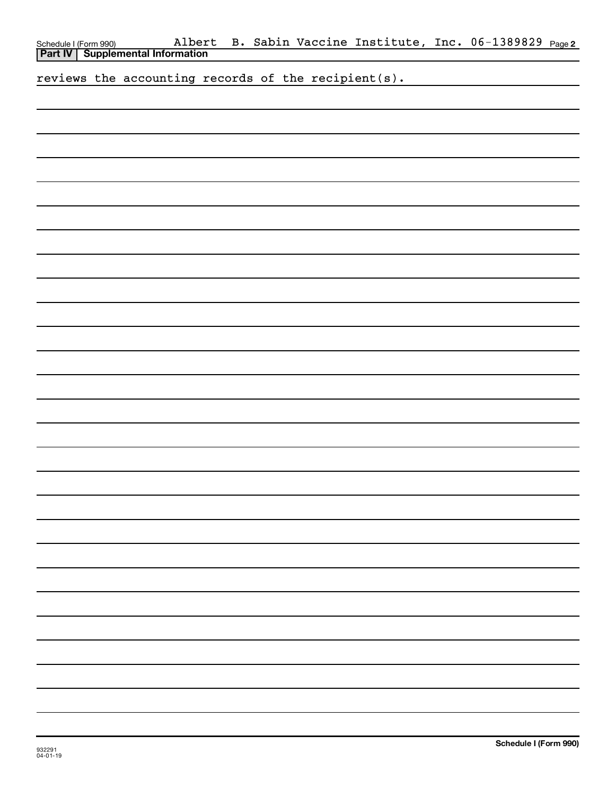| Schedule I (Form 990) Albert<br><b>Part IV   Supplemental Information</b><br>reviews the accounting records of the recipient(s). |  |
|----------------------------------------------------------------------------------------------------------------------------------|--|
|                                                                                                                                  |  |
|                                                                                                                                  |  |
|                                                                                                                                  |  |
|                                                                                                                                  |  |
|                                                                                                                                  |  |
|                                                                                                                                  |  |
|                                                                                                                                  |  |
|                                                                                                                                  |  |
|                                                                                                                                  |  |
|                                                                                                                                  |  |
|                                                                                                                                  |  |
|                                                                                                                                  |  |
|                                                                                                                                  |  |
|                                                                                                                                  |  |
|                                                                                                                                  |  |
|                                                                                                                                  |  |
|                                                                                                                                  |  |
|                                                                                                                                  |  |
|                                                                                                                                  |  |
|                                                                                                                                  |  |
|                                                                                                                                  |  |
|                                                                                                                                  |  |
|                                                                                                                                  |  |
|                                                                                                                                  |  |
|                                                                                                                                  |  |
|                                                                                                                                  |  |
|                                                                                                                                  |  |
|                                                                                                                                  |  |
|                                                                                                                                  |  |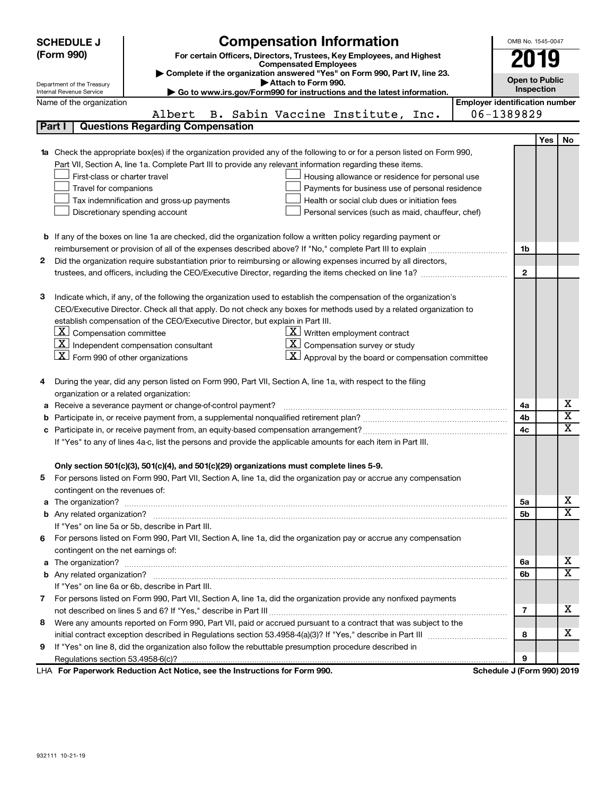|                                                                                                               | <b>SCHEDULE J</b>                                      | <b>Compensation Information</b>                                                                                                                                                                                                     |                                       | OMB No. 1545-0047          |     |                         |
|---------------------------------------------------------------------------------------------------------------|--------------------------------------------------------|-------------------------------------------------------------------------------------------------------------------------------------------------------------------------------------------------------------------------------------|---------------------------------------|----------------------------|-----|-------------------------|
|                                                                                                               | (Form 990)                                             | For certain Officers, Directors, Trustees, Key Employees, and Highest                                                                                                                                                               |                                       | 2019                       |     |                         |
|                                                                                                               |                                                        | <b>Compensated Employees</b>                                                                                                                                                                                                        |                                       |                            |     |                         |
|                                                                                                               |                                                        | Complete if the organization answered "Yes" on Form 990, Part IV, line 23.<br>Attach to Form 990.                                                                                                                                   |                                       | <b>Open to Public</b>      |     |                         |
|                                                                                                               | Department of the Treasury<br>Internal Revenue Service | Go to www.irs.gov/Form990 for instructions and the latest information.                                                                                                                                                              |                                       | Inspection                 |     |                         |
|                                                                                                               | Name of the organization                               |                                                                                                                                                                                                                                     | <b>Employer identification number</b> |                            |     |                         |
|                                                                                                               |                                                        | B. Sabin Vaccine Institute,<br>Albert<br>Inc.                                                                                                                                                                                       |                                       | 06-1389829                 |     |                         |
|                                                                                                               | Part I                                                 | <b>Questions Regarding Compensation</b>                                                                                                                                                                                             |                                       |                            |     |                         |
|                                                                                                               |                                                        |                                                                                                                                                                                                                                     |                                       |                            | Yes | No                      |
|                                                                                                               |                                                        | <b>1a</b> Check the appropriate box(es) if the organization provided any of the following to or for a person listed on Form 990,                                                                                                    |                                       |                            |     |                         |
|                                                                                                               |                                                        | Part VII, Section A, line 1a. Complete Part III to provide any relevant information regarding these items.                                                                                                                          |                                       |                            |     |                         |
|                                                                                                               | First-class or charter travel                          | Housing allowance or residence for personal use                                                                                                                                                                                     |                                       |                            |     |                         |
|                                                                                                               | Travel for companions                                  | Payments for business use of personal residence                                                                                                                                                                                     |                                       |                            |     |                         |
|                                                                                                               |                                                        | Health or social club dues or initiation fees<br>Tax indemnification and gross-up payments                                                                                                                                          |                                       |                            |     |                         |
|                                                                                                               |                                                        | Discretionary spending account<br>Personal services (such as maid, chauffeur, chef)                                                                                                                                                 |                                       |                            |     |                         |
|                                                                                                               |                                                        |                                                                                                                                                                                                                                     |                                       |                            |     |                         |
|                                                                                                               |                                                        | <b>b</b> If any of the boxes on line 1a are checked, did the organization follow a written policy regarding payment or                                                                                                              |                                       |                            |     |                         |
|                                                                                                               |                                                        |                                                                                                                                                                                                                                     |                                       | 1b                         |     |                         |
| 2                                                                                                             |                                                        | Did the organization require substantiation prior to reimbursing or allowing expenses incurred by all directors,                                                                                                                    |                                       |                            |     |                         |
|                                                                                                               |                                                        |                                                                                                                                                                                                                                     |                                       | $\mathbf{2}$               |     |                         |
|                                                                                                               |                                                        |                                                                                                                                                                                                                                     |                                       |                            |     |                         |
| 3                                                                                                             |                                                        | Indicate which, if any, of the following the organization used to establish the compensation of the organization's                                                                                                                  |                                       |                            |     |                         |
|                                                                                                               |                                                        | CEO/Executive Director. Check all that apply. Do not check any boxes for methods used by a related organization to                                                                                                                  |                                       |                            |     |                         |
|                                                                                                               |                                                        | establish compensation of the CEO/Executive Director, but explain in Part III.                                                                                                                                                      |                                       |                            |     |                         |
|                                                                                                               | $\boxed{\textbf{X}}$ Compensation committee            | $\underline{\mathbf{X}}$ Written employment contract                                                                                                                                                                                |                                       |                            |     |                         |
|                                                                                                               | $\mathbf{X}$                                           | $\underline{\textbf{X}}$ Compensation survey or study<br>Independent compensation consultant                                                                                                                                        |                                       |                            |     |                         |
|                                                                                                               | $\boxed{\textbf{X}}$ Form 990 of other organizations   | $\mathbf{X}$ Approval by the board or compensation committee                                                                                                                                                                        |                                       |                            |     |                         |
|                                                                                                               |                                                        |                                                                                                                                                                                                                                     |                                       |                            |     |                         |
| 4                                                                                                             |                                                        | During the year, did any person listed on Form 990, Part VII, Section A, line 1a, with respect to the filing                                                                                                                        |                                       |                            |     |                         |
|                                                                                                               | organization or a related organization:                |                                                                                                                                                                                                                                     |                                       |                            |     | х                       |
| а                                                                                                             |                                                        | Receive a severance payment or change-of-control payment?                                                                                                                                                                           |                                       | 4a<br>4b                   |     | $\overline{\text{x}}$   |
|                                                                                                               | b                                                      |                                                                                                                                                                                                                                     |                                       |                            |     | $\overline{\text{x}}$   |
| c                                                                                                             |                                                        |                                                                                                                                                                                                                                     |                                       |                            |     |                         |
| If "Yes" to any of lines 4a-c, list the persons and provide the applicable amounts for each item in Part III. |                                                        |                                                                                                                                                                                                                                     |                                       |                            |     |                         |
|                                                                                                               |                                                        |                                                                                                                                                                                                                                     |                                       |                            |     |                         |
|                                                                                                               |                                                        | Only section 501(c)(3), 501(c)(4), and 501(c)(29) organizations must complete lines 5-9.<br>For persons listed on Form 990, Part VII, Section A, line 1a, did the organization pay or accrue any compensation                       |                                       |                            |     |                         |
|                                                                                                               | contingent on the revenues of:                         |                                                                                                                                                                                                                                     |                                       |                            |     |                         |
|                                                                                                               |                                                        | a The organization? <b>contracts</b> and contracts are contracted and contract and contract and contract and contract and contract and contract and contract and contract and contract and contract and contract and contract and c |                                       | 5a                         |     | х                       |
|                                                                                                               |                                                        |                                                                                                                                                                                                                                     |                                       | 5b                         |     | $\overline{\mathbf{X}}$ |
|                                                                                                               |                                                        | If "Yes" on line 5a or 5b, describe in Part III.                                                                                                                                                                                    |                                       |                            |     |                         |
|                                                                                                               |                                                        | 6 For persons listed on Form 990, Part VII, Section A, line 1a, did the organization pay or accrue any compensation                                                                                                                 |                                       |                            |     |                         |
|                                                                                                               | contingent on the net earnings of:                     |                                                                                                                                                                                                                                     |                                       |                            |     |                         |
|                                                                                                               |                                                        |                                                                                                                                                                                                                                     |                                       | 6a                         |     | х                       |
|                                                                                                               |                                                        |                                                                                                                                                                                                                                     |                                       | 6b                         |     | $\overline{\mathbf{X}}$ |
|                                                                                                               |                                                        | If "Yes" on line 6a or 6b, describe in Part III.                                                                                                                                                                                    |                                       |                            |     |                         |
|                                                                                                               |                                                        | 7 For persons listed on Form 990, Part VII, Section A, line 1a, did the organization provide any nonfixed payments                                                                                                                  |                                       |                            |     |                         |
|                                                                                                               |                                                        |                                                                                                                                                                                                                                     |                                       | 7                          |     | х                       |
| 8                                                                                                             |                                                        | Were any amounts reported on Form 990, Part VII, paid or accrued pursuant to a contract that was subject to the                                                                                                                     |                                       |                            |     |                         |
|                                                                                                               |                                                        |                                                                                                                                                                                                                                     |                                       | 8                          |     | х                       |
| 9                                                                                                             |                                                        | If "Yes" on line 8, did the organization also follow the rebuttable presumption procedure described in                                                                                                                              |                                       |                            |     |                         |
|                                                                                                               |                                                        |                                                                                                                                                                                                                                     |                                       | 9                          |     |                         |
|                                                                                                               |                                                        | LHA For Paperwork Reduction Act Notice, see the Instructions for Form 990.                                                                                                                                                          |                                       | Schedule J (Form 990) 2019 |     |                         |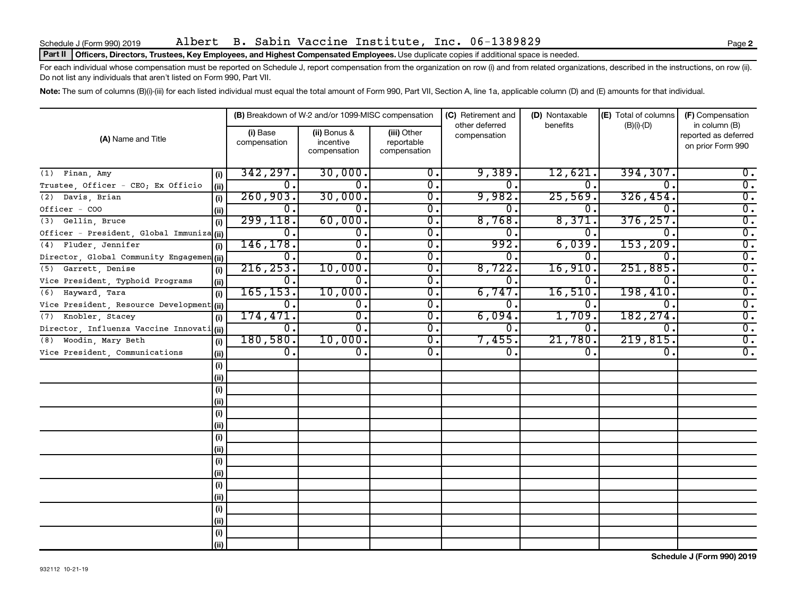### Part II | Officers, Directors, Trustees, Key Employees, and Highest Compensated Employees. Use duplicate copies if additional space is needed.

For each individual whose compensation must be reported on Schedule J, report compensation from the organization on row (i) and from related organizations, described in the instructions, on row (ii). Do not list any individuals that aren't listed on Form 990, Part VII.

Note: The sum of columns (B)(i)-(iii) for each listed individual must equal the total amount of Form 990, Part VII, Section A, line 1a, applicable column (D) and (E) amounts for that individual.

|                                            |                          | (B) Breakdown of W-2 and/or 1099-MISC compensation |                                           | (C) Retirement and             | (D) Nontaxable | (E) Total of columns | (F) Compensation                                           |
|--------------------------------------------|--------------------------|----------------------------------------------------|-------------------------------------------|--------------------------------|----------------|----------------------|------------------------------------------------------------|
| (A) Name and Title                         | (i) Base<br>compensation | (ii) Bonus &<br>incentive<br>compensation          | (iii) Other<br>reportable<br>compensation | other deferred<br>compensation | benefits       | $(B)(i)-(D)$         | in column (B)<br>reported as deferred<br>on prior Form 990 |
| $(1)$ Finan, Amy<br>(i)                    | 342, 297.                | 30,000.                                            | 0.                                        | 9,389.                         | 12,621         | 394, 307.            | $0$ .                                                      |
| Trustee, Officer - CEO; Ex Officio<br>(ii) | 0.                       | 0.                                                 | $\overline{\mathbf{0}}$ .                 | О.                             | 0              | 0.                   | $\overline{0}$ .                                           |
| Davis, Brian<br>(2)<br>(i)                 | 260,903.                 | 30,000.                                            | $\overline{\mathbf{0}}$ .                 | 9,982.                         | 25,569         | 326, 454.            | $\overline{0}$ .                                           |
| Officer - COO<br>(ii)                      | о.                       | 0.                                                 | 0.                                        | 0.                             | 0              | 0.                   | $\overline{0}$ .                                           |
| (3) Gellin, Bruce<br>(i)                   | 299, 118.                | 60,000.                                            | 0.                                        | 8,768.                         | 8,371          | 376, 257.            | $\overline{0}$ .                                           |
| Officer - President, Global Immuniza (ii)  | 0.                       | 0.                                                 | 0.                                        | 0.                             | 0              | 0.                   | $\overline{0}$ .                                           |
| Fluder, Jennifer<br>(4)<br>(i)             | 146, 178.                | $\overline{0}$ .                                   | 0.                                        | 992.                           | 6,039          | 153, 209.            | $\overline{0}$ .                                           |
| Director, Global Community Engagemen (ii)  | 0.                       | $\overline{0}$ .                                   | 0.                                        | 0.                             | 0              | 0.                   | $\overline{0}$ .                                           |
| Garrett, Denise<br>(5)<br>(i)              | 216, 253.                | 10,000.                                            | 0.                                        | 8,722.                         | 16,910         | 251,885.             | $\overline{0}$ .                                           |
| Vice President, Typhoid Programs<br>(ii)   | 0.                       | $\overline{0}$ .                                   | $\overline{\mathbf{0}}$ .                 | σ.                             | 0              | $\mathbf{0}$ .       | $\overline{0}$ .                                           |
| Hayward, Tara<br>(i)<br>(6)                | 165, 153.                | 10,000.                                            | $\overline{\mathbf{0}}$ .                 | 6,747.                         | 16,510         | 198,410.             | $\overline{0}$ .                                           |
| Vice President, Resource Development (ii)  | $\overline{0}$ .         | $\overline{0}$ .                                   | $\overline{0}$ .                          | 0.                             | 0.             | 0.                   | $\overline{0}$ .                                           |
| Knobler, Stacey<br>(7)<br>(i)              | 174,471.                 | $\overline{0}$ .                                   | $\overline{0}$ .                          | 6,094.                         | 1,709          | 182,274.             | $\overline{\mathbf{0}}$ .                                  |
| Director, Influenza Vaccine Innovati (ii)  | 0.                       | $\overline{0}$ .                                   | $\overline{0}$ .                          | о.                             | 0.             | 0.                   | $\overline{0}$ .                                           |
| Woodin, Mary Beth<br>(8)<br>(i)            | 180,580.                 | 10,000.                                            | $\overline{0}$ .                          | 7,455.                         | 21,780         | 219,815.             | $\overline{0}$ .                                           |
| Vice President, Communications<br>(ii)     | $\overline{0}$ .         | $\overline{0}$ .                                   | $\overline{\mathbf{0}}$ .                 | 0.                             | 0.             | $\overline{0}$ .     | $\overline{0}$ .                                           |
| (i)                                        |                          |                                                    |                                           |                                |                |                      |                                                            |
| (ii)                                       |                          |                                                    |                                           |                                |                |                      |                                                            |
| (i)                                        |                          |                                                    |                                           |                                |                |                      |                                                            |
| (ii)                                       |                          |                                                    |                                           |                                |                |                      |                                                            |
| (i)                                        |                          |                                                    |                                           |                                |                |                      |                                                            |
| (ii)                                       |                          |                                                    |                                           |                                |                |                      |                                                            |
| (i)                                        |                          |                                                    |                                           |                                |                |                      |                                                            |
| (ii)                                       |                          |                                                    |                                           |                                |                |                      |                                                            |
| (i)                                        |                          |                                                    |                                           |                                |                |                      |                                                            |
| (ii)                                       |                          |                                                    |                                           |                                |                |                      |                                                            |
| (i)                                        |                          |                                                    |                                           |                                |                |                      |                                                            |
| (ii)                                       |                          |                                                    |                                           |                                |                |                      |                                                            |
| (i)                                        |                          |                                                    |                                           |                                |                |                      |                                                            |
| (ii)                                       |                          |                                                    |                                           |                                |                |                      |                                                            |
| (i)                                        |                          |                                                    |                                           |                                |                |                      |                                                            |
| (iii)                                      |                          |                                                    |                                           |                                |                |                      |                                                            |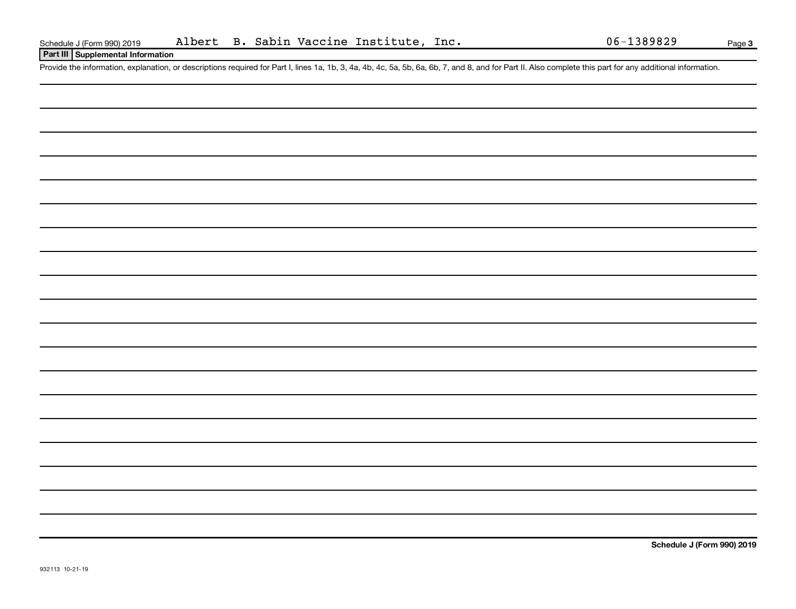## **Part III Supplemental Information**

Provide the information, explanation, or descriptions required for Part I, lines 1a, 1b, 3, 4a, 4b, 4c, 5a, 5b, 6a, 6b, 7, and 8, and for Part II. Also complete this part for any additional information.

**Schedule J (Form 990) 2019**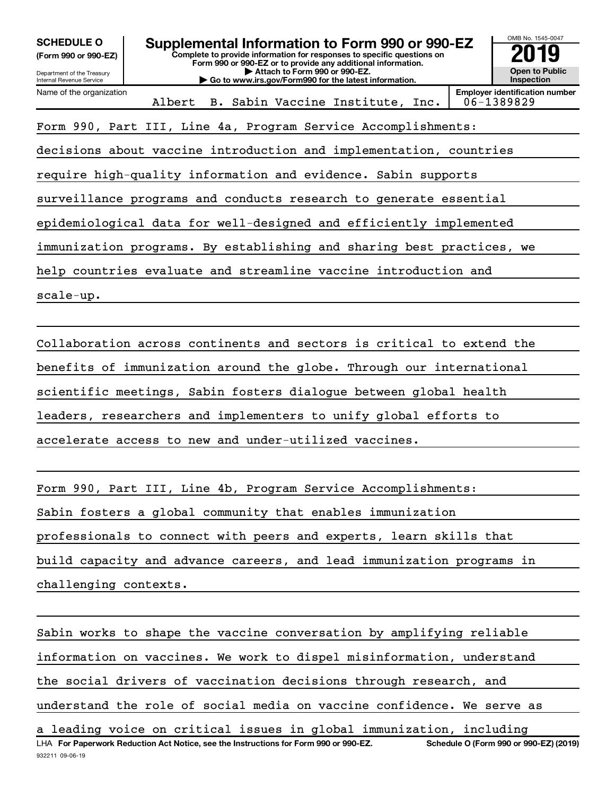| <b>SCHEDULE O</b>                                                 | Supplemental Information to Form 990 or 990-EZ                                                                                         | OMB No. 1545-0047                                   |  |  |  |  |
|-------------------------------------------------------------------|----------------------------------------------------------------------------------------------------------------------------------------|-----------------------------------------------------|--|--|--|--|
| (Form 990 or 990-EZ)                                              | Complete to provide information for responses to specific questions on<br>Form 990 or 990-EZ or to provide any additional information. |                                                     |  |  |  |  |
| Department of the Treasury<br><b>Internal Revenue Service</b>     | Attach to Form 990 or 990-EZ.<br>Go to www.irs.gov/Form990 for the latest information.                                                 | Open to Public<br>Inspection                        |  |  |  |  |
| Name of the organization                                          | Albert<br>B. Sabin Vaccine Institute, Inc.                                                                                             | <b>Employer identification number</b><br>06-1389829 |  |  |  |  |
| Form 990, Part III, Line 4a, Program Service Accomplishments:     |                                                                                                                                        |                                                     |  |  |  |  |
|                                                                   | decisions about vaccine introduction and implementation, countries                                                                     |                                                     |  |  |  |  |
|                                                                   | require high-quality information and evidence. Sabin supports                                                                          |                                                     |  |  |  |  |
|                                                                   | surveillance programs and conducts research to generate essential                                                                      |                                                     |  |  |  |  |
|                                                                   | epidemiological data for well-designed and efficiently implemented                                                                     |                                                     |  |  |  |  |
|                                                                   | immunization programs. By establishing and sharing best practices, we                                                                  |                                                     |  |  |  |  |
|                                                                   | help countries evaluate and streamline vaccine introduction and                                                                        |                                                     |  |  |  |  |
| $scale-up.$                                                       |                                                                                                                                        |                                                     |  |  |  |  |
|                                                                   |                                                                                                                                        |                                                     |  |  |  |  |
|                                                                   | Collaboration across continents and sectors is critical to extend the                                                                  |                                                     |  |  |  |  |
|                                                                   | benefits of immunization around the globe. Through our international                                                                   |                                                     |  |  |  |  |
| scientific meetings, Sabin fosters dialogue between global health |                                                                                                                                        |                                                     |  |  |  |  |
| leaders, researchers and implementers to unify global efforts to  |                                                                                                                                        |                                                     |  |  |  |  |
|                                                                   | accelerate access to new and under-utilized vaccines.                                                                                  |                                                     |  |  |  |  |
|                                                                   |                                                                                                                                        |                                                     |  |  |  |  |
|                                                                   | Form 990, Part III, Line 4b, Program Service Accomplishments:                                                                          |                                                     |  |  |  |  |
|                                                                   | Sabin fosters a global community that enables immunization                                                                             |                                                     |  |  |  |  |

professionals to connect with peers and experts, learn skills that

build capacity and advance careers, and lead immunization programs in

challenging contexts.

Sabin works to shape the vaccine conversation by amplifying reliable information on vaccines. We work to dispel misinformation, understand the social drivers of vaccination decisions through research, and understand the role of social media on vaccine confidence. We serve as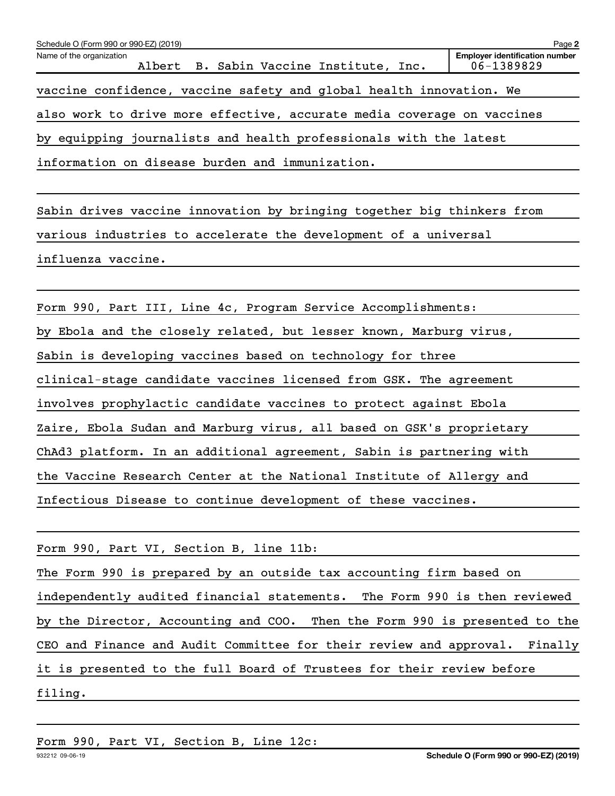| Schedule O (Form 990 or 990-EZ) (2019) |  |                                                                        |  | Page 2                                                  |
|----------------------------------------|--|------------------------------------------------------------------------|--|---------------------------------------------------------|
| Name of the organization               |  | Albert B. Sabin Vaccine Institute, Inc.                                |  | <b>Employer identification number</b><br>$06 - 1389829$ |
|                                        |  | vaccine confidence, vaccine safety and global health innovation. We    |  |                                                         |
|                                        |  | also work to drive more effective, accurate media coverage on vaccines |  |                                                         |
|                                        |  | by equipping journalists and health professionals with the latest      |  |                                                         |
|                                        |  | information on disease burden and immunization.                        |  |                                                         |

Sabin drives vaccine innovation by bringing together big thinkers from various industries to accelerate the development of a universal influenza vaccine.

Form 990, Part III, Line 4c, Program Service Accomplishments: by Ebola and the closely related, but lesser known, Marburg virus, Sabin is developing vaccines based on technology for three clinical-stage candidate vaccines licensed from GSK. The agreement involves prophylactic candidate vaccines to protect against Ebola Zaire, Ebola Sudan and Marburg virus, all based on GSK's proprietary ChAd3 platform. In an additional agreement, Sabin is partnering with the Vaccine Research Center at the National Institute of Allergy and Infectious Disease to continue development of these vaccines.

| Form 990, Part VI, Section B, line 11b:                                    |
|----------------------------------------------------------------------------|
| The Form 990 is prepared by an outside tax accounting firm based on        |
| independently audited financial statements. The Form 990 is then reviewed  |
| by the Director, Accounting and COO. Then the Form 990 is presented to the |
| CEO and Finance and Audit Committee for their review and approval. Finally |
| it is presented to the full Board of Trustees for their review before      |
| filing.                                                                    |

Form 990, Part VI, Section B, Line 12c: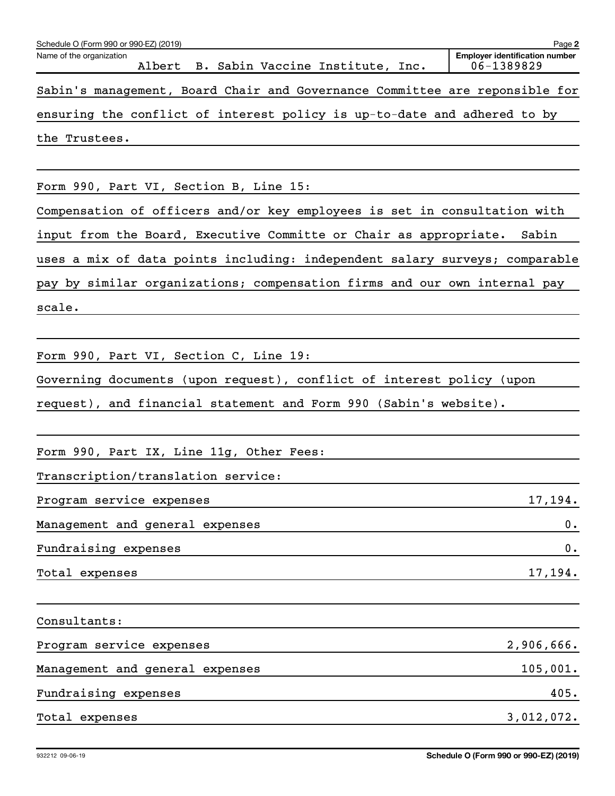| Schedule O (Form 990 or 990-EZ) (2019)                                      | Page 2                                              |
|-----------------------------------------------------------------------------|-----------------------------------------------------|
| Name of the organization<br>Albert B. Sabin Vaccine Institute, Inc.         | <b>Employer identification number</b><br>06-1389829 |
| Sabin's management, Board Chair and Governance Committee are reponsible for |                                                     |
| ensuring the conflict of interest policy is up-to-date and adhered to by    |                                                     |
| the Trustees.                                                               |                                                     |
|                                                                             |                                                     |
| Form 990, Part VI, Section B, Line 15:                                      |                                                     |
| Compensation of officers and/or key employees is set in consultation with   |                                                     |
| input from the Board, Executive Committe or Chair as appropriate. Sabin     |                                                     |
| uses a mix of data points including: independent salary surveys; comparable |                                                     |
| pay by similar organizations; compensation firms and our own internal pay   |                                                     |
| scale.                                                                      |                                                     |
|                                                                             |                                                     |
| Form 990, Part VI, Section C, Line 19:                                      |                                                     |
| Governing documents (upon request), conflict of interest policy (upon       |                                                     |
| request), and financial statement and Form 990 (Sabin's website).           |                                                     |
|                                                                             |                                                     |
| Form 990, Part IX, Line 11g, Other Fees:                                    |                                                     |
| Transcription/translation service:                                          |                                                     |
| Program service expenses                                                    | 17,194.                                             |
| Management and general expenses                                             | $\mathbf 0$ .                                       |
| Fundraising expenses                                                        | $\mathbf 0$ .                                       |
| Total expenses                                                              | 17,194.                                             |
|                                                                             |                                                     |
| Consultants:                                                                |                                                     |
| Program service expenses                                                    | 2,906,666.                                          |
| Management and general expenses                                             | 105,001.                                            |
| Fundraising expenses                                                        | 405.                                                |
| Total expenses                                                              | 3,012,072.                                          |